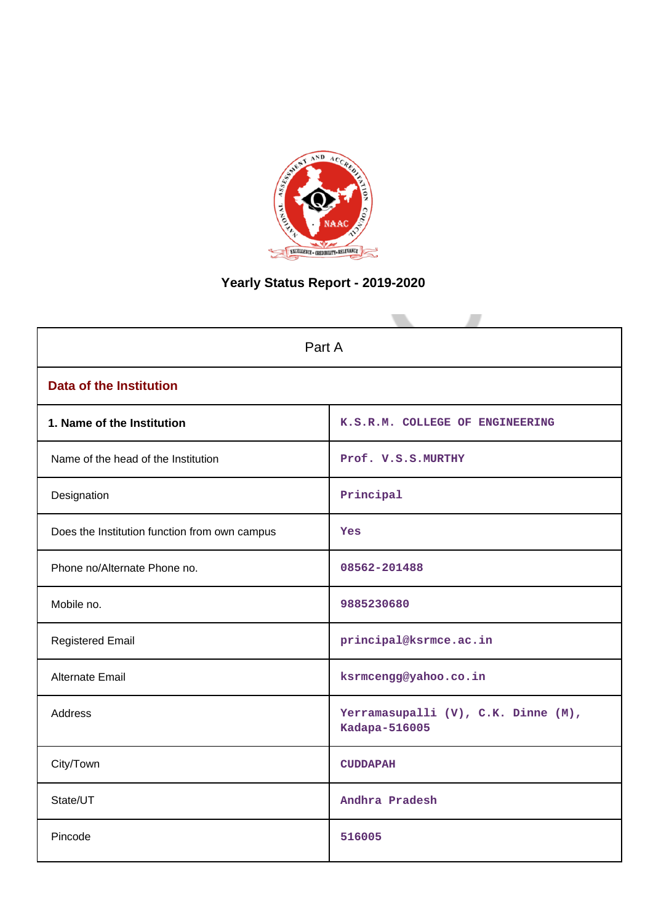

# **Yearly Status Report - 2019-2020**

| Part A                                        |                                                      |  |  |  |  |
|-----------------------------------------------|------------------------------------------------------|--|--|--|--|
| <b>Data of the Institution</b>                |                                                      |  |  |  |  |
| 1. Name of the Institution                    | K.S.R.M. COLLEGE OF ENGINEERING                      |  |  |  |  |
| Name of the head of the Institution           | Prof. V.S.S.MURTHY                                   |  |  |  |  |
| Designation                                   | Principal                                            |  |  |  |  |
| Does the Institution function from own campus | Yes                                                  |  |  |  |  |
| Phone no/Alternate Phone no.                  | 08562-201488                                         |  |  |  |  |
| Mobile no.                                    | 9885230680                                           |  |  |  |  |
| <b>Registered Email</b>                       | principal@ksrmce.ac.in                               |  |  |  |  |
| <b>Alternate Email</b>                        | ksrmcengg@yahoo.co.in                                |  |  |  |  |
| <b>Address</b>                                | Yerramasupalli (V), C.K. Dinne (M),<br>Kadapa-516005 |  |  |  |  |
| City/Town                                     | <b>CUDDAPAH</b>                                      |  |  |  |  |
| State/UT                                      | Andhra Pradesh                                       |  |  |  |  |
| Pincode                                       | 516005                                               |  |  |  |  |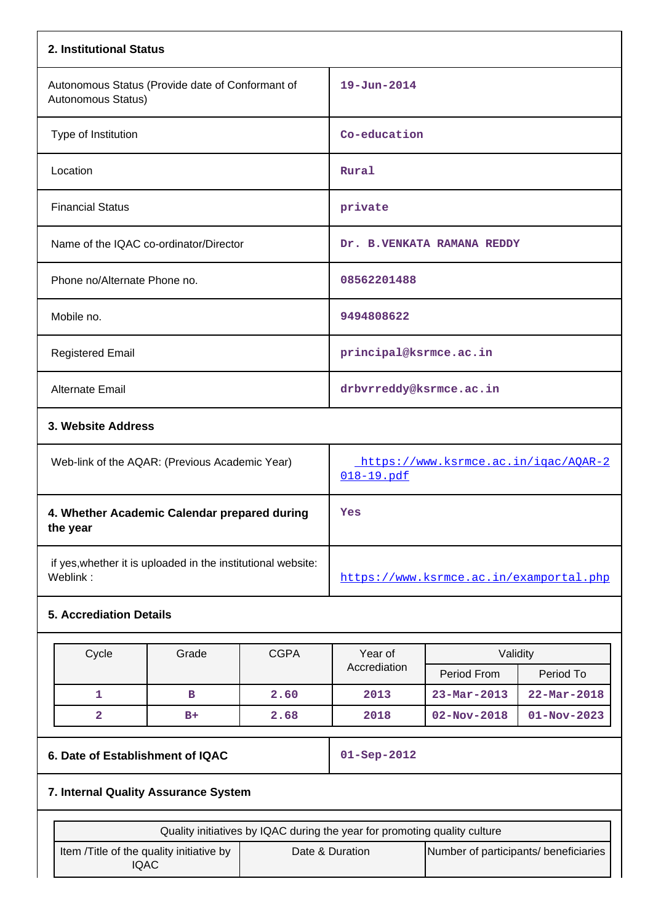| 2. Institutional Status                                                  |       |             |                                                                           |                                         |                          |
|--------------------------------------------------------------------------|-------|-------------|---------------------------------------------------------------------------|-----------------------------------------|--------------------------|
| Autonomous Status (Provide date of Conformant of<br>Autonomous Status)   |       |             | $19 - Jun - 2014$                                                         |                                         |                          |
| Type of Institution                                                      |       |             | Co-education                                                              |                                         |                          |
| Location                                                                 |       |             | Rural                                                                     |                                         |                          |
| <b>Financial Status</b>                                                  |       |             | private                                                                   |                                         |                          |
| Name of the IQAC co-ordinator/Director                                   |       |             |                                                                           | Dr. B.VENKATA RAMANA REDDY              |                          |
| Phone no/Alternate Phone no.                                             |       |             | 08562201488                                                               |                                         |                          |
| Mobile no.                                                               |       |             | 9494808622                                                                |                                         |                          |
| <b>Registered Email</b>                                                  |       |             | principal@ksrmce.ac.in                                                    |                                         |                          |
| <b>Alternate Email</b>                                                   |       |             | drbvrreddy@ksrmce.ac.in                                                   |                                         |                          |
| 3. Website Address                                                       |       |             |                                                                           |                                         |                          |
| Web-link of the AQAR: (Previous Academic Year)                           |       |             | https://www.ksrmce.ac.in/igac/AOAR-2<br>018-19.pdf                        |                                         |                          |
| 4. Whether Academic Calendar prepared during<br>the year                 |       |             | Yes                                                                       |                                         |                          |
| if yes, whether it is uploaded in the institutional website:<br>Weblink: |       |             |                                                                           | https://www.ksrmce.ac.in/examportal.php |                          |
| <b>5. Accrediation Details</b>                                           |       |             |                                                                           |                                         |                          |
| Cycle                                                                    | Grade | <b>CGPA</b> | Year of                                                                   | Validity                                |                          |
|                                                                          |       |             | Accrediation                                                              | Period From                             | Period To                |
| 1                                                                        | в     | 2.60        | 2013                                                                      | $23 - Mar - 2013$                       | $22 - \text{Mar} - 2018$ |
| $\overline{2}$                                                           | $B+$  | 2.68        | 2018                                                                      | $02 - Nov - 2018$                       | $01 - Nov - 2023$        |
| 6. Date of Establishment of IQAC                                         |       |             | $01 -$ Sep-2012                                                           |                                         |                          |
| 7. Internal Quality Assurance System                                     |       |             |                                                                           |                                         |                          |
|                                                                          |       |             | Quality initiatives by IQAC during the year for promoting quality culture |                                         |                          |
| Item /Title of the quality initiative by<br><b>IQAC</b>                  |       |             | Date & Duration                                                           | Number of participants/ beneficiaries   |                          |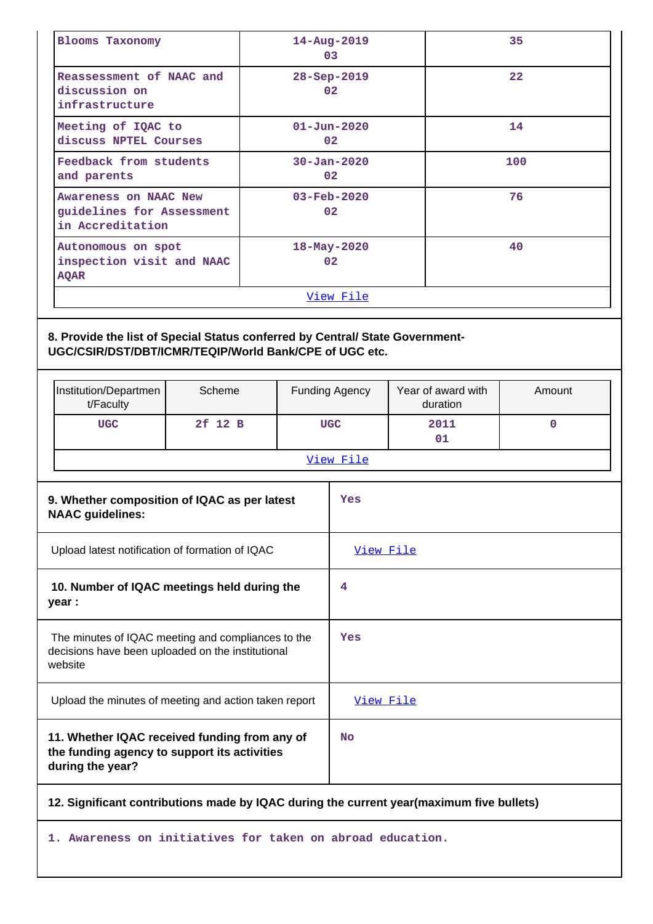| <b>Blooms Taxonomy</b>                                                 | $14 - Aug - 2019$<br>03              | 35  |  |  |
|------------------------------------------------------------------------|--------------------------------------|-----|--|--|
| Reassessment of NAAC and<br>discussion on<br>infrastructure            | $28 - Sep - 2019$<br>02              | 22  |  |  |
| Meeting of IQAC to<br>discuss NPTEL Courses                            | $01 - Jun - 2020$<br>02 <sub>1</sub> | 14  |  |  |
| Feedback from students<br>and parents                                  | $30 - Jan - 2020$<br>02              | 100 |  |  |
| Awareness on NAAC New<br>guidelines for Assessment<br>in Accreditation | $03 - \text{Feb} - 2020$<br>02       | 76  |  |  |
| Autonomous on spot<br>inspection visit and NAAC<br><b>AQAR</b>         | $18 - May - 2020$<br>02              | 40  |  |  |
| <u>View File</u>                                                       |                                      |     |  |  |

# **8. Provide the list of Special Status conferred by Central/ State Government-UGC/CSIR/DST/DBT/ICMR/TEQIP/World Bank/CPE of UGC etc.**

|                                                                                                                    | Institution/Departmen<br>t/Faculty                                                                                | Scheme  |           | <b>Funding Agency</b> | Year of award with<br>duration | Amount      |
|--------------------------------------------------------------------------------------------------------------------|-------------------------------------------------------------------------------------------------------------------|---------|-----------|-----------------------|--------------------------------|-------------|
|                                                                                                                    | <b>UGC</b>                                                                                                        | 2f 12 B |           | <b>UGC</b>            | 2011<br>01                     | $\mathbf 0$ |
|                                                                                                                    |                                                                                                                   |         |           | View File             |                                |             |
| 9. Whether composition of IQAC as per latest<br><b>NAAC guidelines:</b>                                            |                                                                                                                   |         | Yes       |                       |                                |             |
| Upload latest notification of formation of IQAC                                                                    |                                                                                                                   |         | View File |                       |                                |             |
| 10. Number of IQAC meetings held during the<br>year :                                                              |                                                                                                                   | 4       |           |                       |                                |             |
| The minutes of IQAC meeting and compliances to the<br>decisions have been uploaded on the institutional<br>website |                                                                                                                   | Yes     |           |                       |                                |             |
| Upload the minutes of meeting and action taken report                                                              |                                                                                                                   |         | View File |                       |                                |             |
|                                                                                                                    | 11. Whether IQAC received funding from any of<br>the funding agency to support its activities<br>during the year? |         |           | <b>No</b>             |                                |             |
| 12. Significant contributions made by IQAC during the current year(maximum five bullets)                           |                                                                                                                   |         |           |                       |                                |             |

**1. Awareness on initiatives for taken on abroad education.**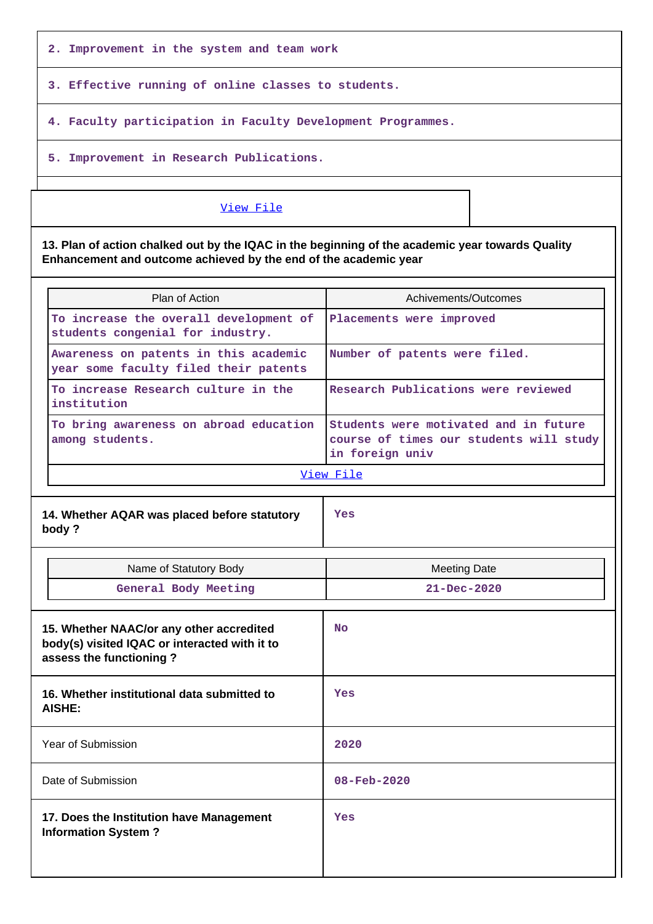**2. Improvement in the system and team work**

**3. Effective running of online classes to students.**

**4. Faculty participation in Faculty Development Programmes.**

**5. Improvement in Research Publications.**

## [View File](https://assessmentonline.naac.gov.in/public/Postacc/Contribution/8587_Contribution.xlsx)

**13. Plan of action chalked out by the IQAC in the beginning of the academic year towards Quality Enhancement and outcome achieved by the end of the academic year**

| Plan of Action                                                                 | Achivements/Outcomes                                                                                |
|--------------------------------------------------------------------------------|-----------------------------------------------------------------------------------------------------|
| To increase the overall development of<br>students congenial for industry.     | Placements were improved                                                                            |
| Awareness on patents in this academic<br>year some faculty filed their patents | Number of patents were filed.                                                                       |
| To increase Research culture in the<br>institution                             | Research Publications were reviewed                                                                 |
| To bring awareness on abroad education<br>among students.                      | Students were motivated and in future<br>course of times our students will study<br>in foreign univ |

[View File](https://assessmentonline.naac.gov.in/public/Postacc/Quality/8587_Quality.xlsx)

**14. Whether AQAR was placed before statutory body ?**

**Yes**

| Name of Statutory Body                                                                                               | <b>Meeting Date</b>      |
|----------------------------------------------------------------------------------------------------------------------|--------------------------|
| General Body Meeting                                                                                                 | $21 - Dec - 2020$        |
|                                                                                                                      |                          |
| 15. Whether NAAC/or any other accredited<br>body(s) visited IQAC or interacted with it to<br>assess the functioning? | <b>No</b>                |
| 16. Whether institutional data submitted to<br>AISHE:                                                                | Yes                      |
| Year of Submission                                                                                                   | 2020                     |
| Date of Submission                                                                                                   | $08 - \text{Feb} - 2020$ |
| 17. Does the Institution have Management<br><b>Information System?</b>                                               | Yes                      |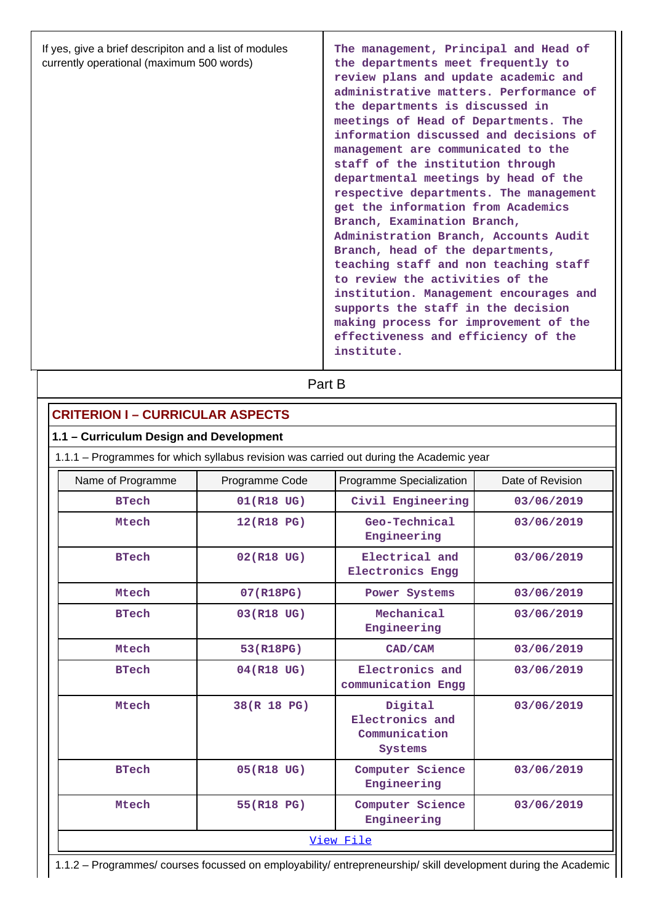| If yes, give a brief descripiton and a list of modules<br>currently operational (maximum 500 words) | The management, Principal and Head of<br>the departments meet frequently to<br>review plans and update academic and<br>administrative matters. Performance of<br>the departments is discussed in<br>meetings of Head of Departments. The<br>information discussed and decisions of<br>management are communicated to the<br>staff of the institution through<br>departmental meetings by head of the<br>respective departments. The management<br>get the information from Academics<br>Branch, Examination Branch,<br>Administration Branch, Accounts Audit<br>Branch, head of the departments,<br>teaching staff and non teaching staff<br>to review the activities of the<br>institution. Management encourages and<br>supports the staff in the decision<br>making process for improvement of the<br>effectiveness and efficiency of the<br>institute. |
|-----------------------------------------------------------------------------------------------------|------------------------------------------------------------------------------------------------------------------------------------------------------------------------------------------------------------------------------------------------------------------------------------------------------------------------------------------------------------------------------------------------------------------------------------------------------------------------------------------------------------------------------------------------------------------------------------------------------------------------------------------------------------------------------------------------------------------------------------------------------------------------------------------------------------------------------------------------------------|
|-----------------------------------------------------------------------------------------------------|------------------------------------------------------------------------------------------------------------------------------------------------------------------------------------------------------------------------------------------------------------------------------------------------------------------------------------------------------------------------------------------------------------------------------------------------------------------------------------------------------------------------------------------------------------------------------------------------------------------------------------------------------------------------------------------------------------------------------------------------------------------------------------------------------------------------------------------------------------|

| <b>CRITERION I - CURRICULAR ASPECTS</b>                                                 |             |                                                        |            |  |  |  |  |
|-----------------------------------------------------------------------------------------|-------------|--------------------------------------------------------|------------|--|--|--|--|
| 1.1 - Curriculum Design and Development                                                 |             |                                                        |            |  |  |  |  |
| 1.1.1 – Programmes for which syllabus revision was carried out during the Academic year |             |                                                        |            |  |  |  |  |
| Programme Specialization<br>Date of Revision<br>Name of Programme<br>Programme Code     |             |                                                        |            |  |  |  |  |
| <b>BTech</b>                                                                            | 01(R18 UG)  | Civil Engineering                                      | 03/06/2019 |  |  |  |  |
| Mtech                                                                                   | 12(R18 PG)  | Geo-Technical<br>Engineering                           | 03/06/2019 |  |  |  |  |
| <b>BTech</b>                                                                            | 02(R18 UG)  | Electrical and<br><b>Electronics Engg</b>              | 03/06/2019 |  |  |  |  |
| Mtech                                                                                   | 07(R18PG)   | Power Systems                                          | 03/06/2019 |  |  |  |  |
| <b>BTech</b><br>03(R18 UG)                                                              |             | Mechanical<br>Engineering                              | 03/06/2019 |  |  |  |  |
| Mtech                                                                                   | 53(R18PG)   | CAD/CAM                                                | 03/06/2019 |  |  |  |  |
| 04(R18 UG)<br><b>BTech</b>                                                              |             | Electronics and<br>communication Engg                  | 03/06/2019 |  |  |  |  |
| Mtech                                                                                   | 38(R 18 PG) | Digital<br>Electronics and<br>Communication<br>Systems | 03/06/2019 |  |  |  |  |
| <b>BTech</b>                                                                            | 05(R18 UG)  | Computer Science<br>Engineering                        | 03/06/2019 |  |  |  |  |
| Computer Science<br>Mtech<br>55(R18 PG)<br>03/06/2019<br>Engineering                    |             |                                                        |            |  |  |  |  |
| View File                                                                               |             |                                                        |            |  |  |  |  |

1.1.2 – Programmes/ courses focussed on employability/ entrepreneurship/ skill development during the Academic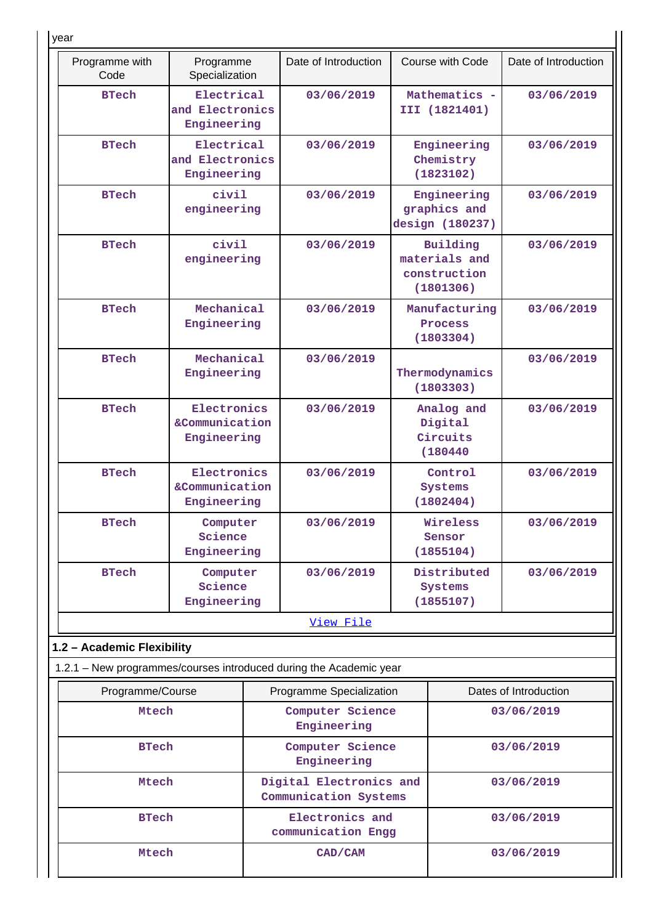| year                                                               |                                              |                                                  |                      |                                              |                                                        |                       |
|--------------------------------------------------------------------|----------------------------------------------|--------------------------------------------------|----------------------|----------------------------------------------|--------------------------------------------------------|-----------------------|
| Programme with<br>Code                                             | Programme<br>Specialization                  |                                                  | Date of Introduction |                                              | Course with Code                                       | Date of Introduction  |
| <b>BTech</b>                                                       | Electrical<br>and Electronics<br>Engineering |                                                  | 03/06/2019           | Mathematics -<br>III (1821401)               |                                                        | 03/06/2019            |
| <b>BTech</b>                                                       | Electrical<br>and Electronics<br>Engineering |                                                  | 03/06/2019           |                                              | Engineering<br>Chemistry<br>(1823102)                  | 03/06/2019            |
| <b>BTech</b>                                                       | civil<br>engineering                         |                                                  | 03/06/2019           |                                              | Engineering<br>graphics and<br>design (180237)         | 03/06/2019            |
| <b>BTech</b>                                                       | civil<br>engineering                         |                                                  | 03/06/2019           |                                              | Building<br>materials and<br>construction<br>(1801306) | 03/06/2019            |
| <b>BTech</b>                                                       | Mechanical<br>Engineering                    |                                                  | 03/06/2019           |                                              | Manufacturing<br>Process<br>(1803304)                  | 03/06/2019            |
| <b>BTech</b>                                                       | Mechanical<br>Engineering                    |                                                  | 03/06/2019           |                                              | Thermodynamics<br>(1803303)                            | 03/06/2019            |
| <b>BTech</b>                                                       | Electronics<br>&Communication<br>Engineering |                                                  | 03/06/2019           | Analog and<br>Digital<br>Circuits<br>(180440 |                                                        | 03/06/2019            |
| <b>BTech</b>                                                       | Electronics<br>&Communication<br>Engineering | 03/06/2019<br>Systems<br>(1802404)               |                      | Control                                      | 03/06/2019                                             |                       |
| <b>BTech</b>                                                       | Computer<br>Science<br>Engineering           |                                                  | 03/06/2019           |                                              | Wireless<br>Sensor<br>(1855104)                        | 03/06/2019            |
| <b>BTech</b>                                                       | Computer<br>Science<br>Engineering           |                                                  | 03/06/2019           | Distributed<br>Systems<br>(1855107)          |                                                        | 03/06/2019            |
|                                                                    |                                              |                                                  | View File            |                                              |                                                        |                       |
| 1.2 - Academic Flexibility                                         |                                              |                                                  |                      |                                              |                                                        |                       |
| 1.2.1 - New programmes/courses introduced during the Academic year |                                              |                                                  |                      |                                              |                                                        |                       |
| Programme/Course                                                   |                                              | Programme Specialization                         |                      |                                              |                                                        | Dates of Introduction |
| Mtech                                                              |                                              | Computer Science<br>Engineering                  |                      | 03/06/2019                                   |                                                        |                       |
| <b>BTech</b>                                                       |                                              | Computer Science<br>Engineering                  |                      |                                              |                                                        | 03/06/2019            |
| Mtech                                                              |                                              | Digital Electronics and<br>Communication Systems |                      |                                              | 03/06/2019                                             |                       |
| <b>BTech</b>                                                       |                                              | Electronics and<br>communication Engg            |                      |                                              |                                                        | 03/06/2019            |
|                                                                    | Mtech<br>CAD/CAM                             |                                                  |                      | 03/06/2019                                   |                                                        |                       |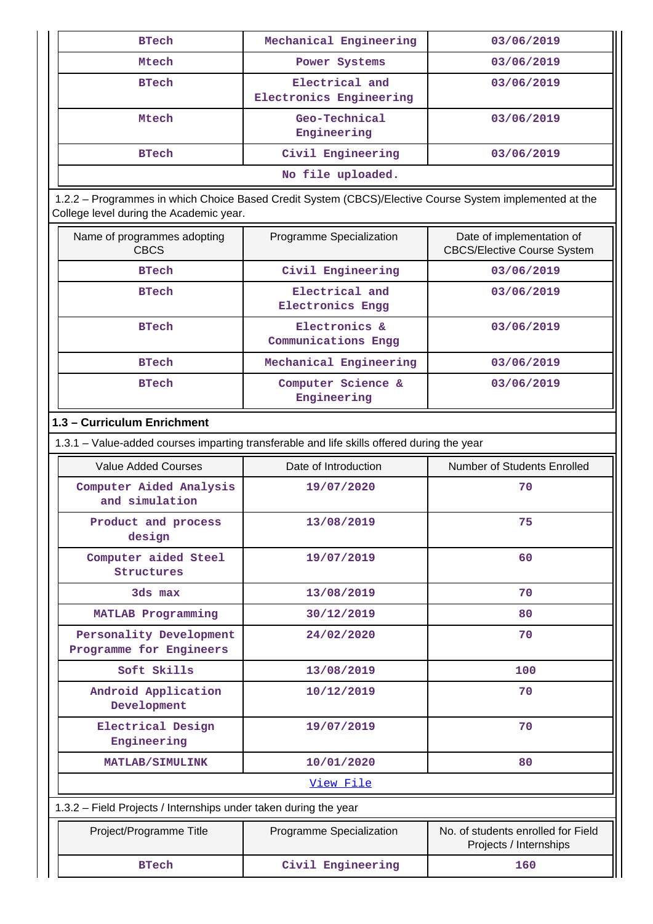| <b>BTech</b>      | Mechanical Engineering                    | 03/06/2019 |  |  |
|-------------------|-------------------------------------------|------------|--|--|
| Mtech             | Power Systems                             | 03/06/2019 |  |  |
| <b>BTech</b>      | Electrical and<br>Electronics Engineering | 03/06/2019 |  |  |
| Mtech             | Geo-Technical<br>Engineering              | 03/06/2019 |  |  |
| <b>BTech</b>      | Civil Engineering                         | 03/06/2019 |  |  |
| No file uploaded. |                                           |            |  |  |

 1.2.2 – Programmes in which Choice Based Credit System (CBCS)/Elective Course System implemented at the College level during the Academic year.

| Name of programmes adopting<br><b>CBCS</b> | Programme Specialization             | Date of implementation of<br><b>CBCS/Elective Course System</b> |
|--------------------------------------------|--------------------------------------|-----------------------------------------------------------------|
| <b>BTech</b>                               | Civil Engineering                    | 03/06/2019                                                      |
| <b>BTech</b>                               | Electrical and<br>Electronics Engg   | 03/06/2019                                                      |
| <b>BTech</b>                               | Electronics &<br>Communications Engg | 03/06/2019                                                      |
| <b>BTech</b>                               | Mechanical Engineering               | 03/06/2019                                                      |
| <b>BTech</b>                               | Computer Science &<br>Engineering    | 03/06/2019                                                      |

# **1.3 – Curriculum Enrichment**

1.3.1 – Value-added courses imparting transferable and life skills offered during the year

| Value Added Courses                                              | Date of Introduction     | Number of Students Enrolled                                  |
|------------------------------------------------------------------|--------------------------|--------------------------------------------------------------|
| Computer Aided Analysis<br>and simulation                        | 19/07/2020               | 70                                                           |
| Product and process<br>design                                    | 13/08/2019               | 75                                                           |
| Computer aided Steel<br>Structures                               | 19/07/2019               | 60                                                           |
| 3ds max                                                          | 13/08/2019               | 70                                                           |
| MATLAB Programming                                               | 30/12/2019               | 80                                                           |
| Personality Development<br>Programme for Engineers               | 24/02/2020               | 70                                                           |
| Soft Skills                                                      | 13/08/2019               | 100                                                          |
| Android Application<br>Development                               | 10/12/2019               | 70                                                           |
| Electrical Design<br>Engineering                                 | 19/07/2019               | 70                                                           |
| <b>MATLAB/SIMULINK</b>                                           | 10/01/2020               | 80                                                           |
|                                                                  | View File                |                                                              |
| 1.3.2 – Field Projects / Internships under taken during the year |                          |                                                              |
| Project/Programme Title                                          | Programme Specialization | No. of students enrolled for Field<br>Projects / Internships |
| <b>BTech</b>                                                     | Civil Engineering        | 160                                                          |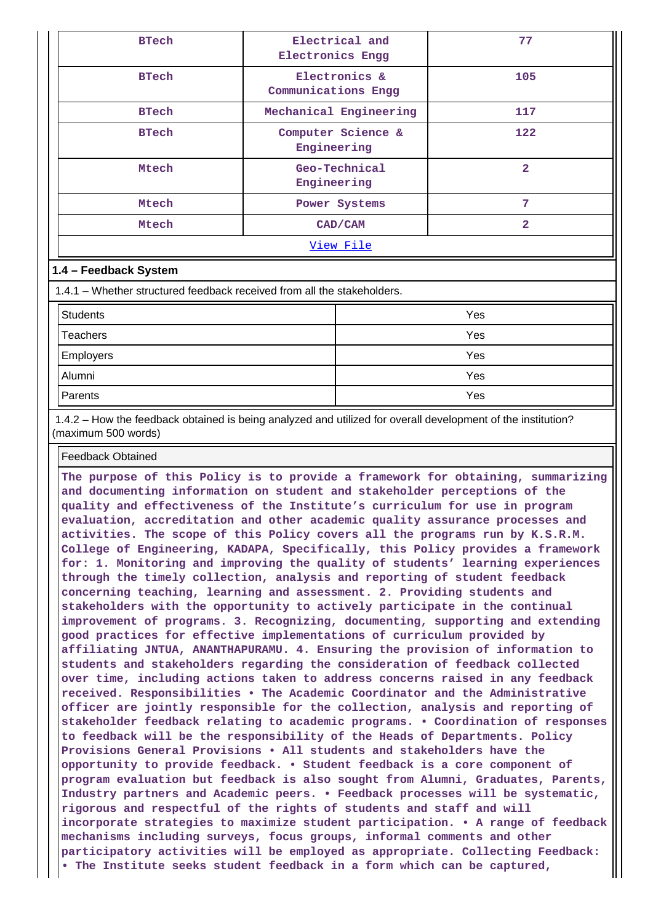| <b>BTech</b>          | Electrical and<br><b>Electronics Engg</b> | 77             |  |  |  |  |  |
|-----------------------|-------------------------------------------|----------------|--|--|--|--|--|
| <b>BTech</b>          | Electronics &<br>Communications Engg      | 105            |  |  |  |  |  |
| <b>BTech</b>          | Mechanical Engineering                    | 117            |  |  |  |  |  |
| <b>BTech</b>          | Computer Science &<br>Engineering         | 122            |  |  |  |  |  |
| Mtech                 | Geo-Technical<br>Engineering              | $\overline{2}$ |  |  |  |  |  |
| Mtech                 | Power Systems                             | 7              |  |  |  |  |  |
| Mtech                 | CAD/CAM                                   | $\overline{2}$ |  |  |  |  |  |
|                       | View File                                 |                |  |  |  |  |  |
| 1.4 – Feedback System |                                           |                |  |  |  |  |  |

1.4.1 – Whether structured feedback received from all the stakeholders.

| <b>Students</b>  | Yes |
|------------------|-----|
| Teachers         | Yes |
| <b>Employers</b> | Yes |
| Alumni           | Yes |
| Parents          | Yes |

 1.4.2 – How the feedback obtained is being analyzed and utilized for overall development of the institution? (maximum 500 words)

Feedback Obtained

**The purpose of this Policy is to provide a framework for obtaining, summarizing and documenting information on student and stakeholder perceptions of the quality and effectiveness of the Institute's curriculum for use in program evaluation, accreditation and other academic quality assurance processes and activities. The scope of this Policy covers all the programs run by K.S.R.M. College of Engineering, KADAPA, Specifically, this Policy provides a framework for: 1. Monitoring and improving the quality of students' learning experiences through the timely collection, analysis and reporting of student feedback concerning teaching, learning and assessment. 2. Providing students and stakeholders with the opportunity to actively participate in the continual improvement of programs. 3. Recognizing, documenting, supporting and extending good practices for effective implementations of curriculum provided by affiliating JNTUA, ANANTHAPURAMU. 4. Ensuring the provision of information to students and stakeholders regarding the consideration of feedback collected over time, including actions taken to address concerns raised in any feedback received. Responsibilities • The Academic Coordinator and the Administrative officer are jointly responsible for the collection, analysis and reporting of stakeholder feedback relating to academic programs. • Coordination of responses to feedback will be the responsibility of the Heads of Departments. Policy Provisions General Provisions • All students and stakeholders have the opportunity to provide feedback. • Student feedback is a core component of program evaluation but feedback is also sought from Alumni, Graduates, Parents, Industry partners and Academic peers. • Feedback processes will be systematic, rigorous and respectful of the rights of students and staff and will incorporate strategies to maximize student participation. • A range of feedback mechanisms including surveys, focus groups, informal comments and other participatory activities will be employed as appropriate. Collecting Feedback: • The Institute seeks student feedback in a form which can be captured,**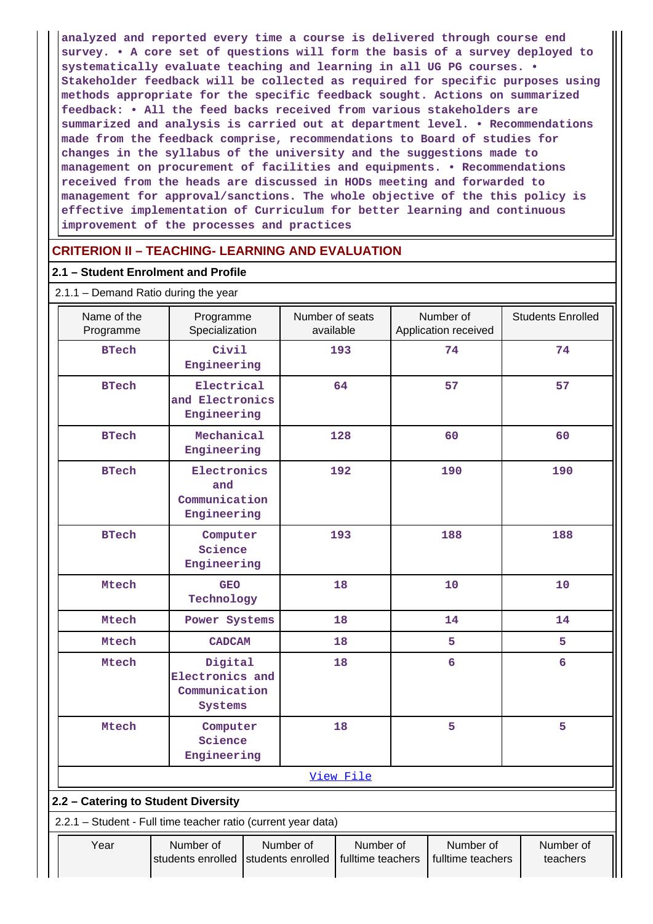**analyzed and reported every time a course is delivered through course end survey. • A core set of questions will form the basis of a survey deployed to systematically evaluate teaching and learning in all UG PG courses. • Stakeholder feedback will be collected as required for specific purposes using methods appropriate for the specific feedback sought. Actions on summarized feedback: • All the feed backs received from various stakeholders are summarized and analysis is carried out at department level. • Recommendations made from the feedback comprise, recommendations to Board of studies for changes in the syllabus of the university and the suggestions made to management on procurement of facilities and equipments. • Recommendations received from the heads are discussed in HODs meeting and forwarded to management for approval/sanctions. The whole objective of the this policy is effective implementation of Curriculum for better learning and continuous improvement of the processes and practices**

# **CRITERION II – TEACHING- LEARNING AND EVALUATION**

# **2.1 – Student Enrolment and Profile**

| $2.1.1 -$ Demand Ratio during the year                        |                                                        |  |                              |           |    |                                   |  |                          |
|---------------------------------------------------------------|--------------------------------------------------------|--|------------------------------|-----------|----|-----------------------------------|--|--------------------------|
| Name of the<br>Programme                                      | Programme<br>Specialization                            |  | Number of seats<br>available |           |    | Number of<br>Application received |  | <b>Students Enrolled</b> |
| <b>BTech</b>                                                  | Civil<br>Engineering                                   |  |                              | 193       |    | 74                                |  | 74                       |
| <b>BTech</b>                                                  | Electrical<br>and Electronics<br>Engineering           |  |                              | 64        |    | 57                                |  | 57                       |
| <b>BTech</b>                                                  | Mechanical<br>Engineering                              |  |                              | 128       |    | 60                                |  | 60                       |
| <b>BTech</b>                                                  | Electronics<br>and<br>Communication<br>Engineering     |  |                              | 192       |    | 190                               |  | 190                      |
| <b>BTech</b>                                                  | Computer<br>Science<br>Engineering                     |  |                              | 193       |    | 188                               |  | 188                      |
| Mtech                                                         | <b>GEO</b><br>Technology                               |  |                              | 18        |    | 10                                |  | 10                       |
| Mtech                                                         | Power Systems                                          |  | 18                           |           | 14 |                                   |  | 14                       |
| Mtech                                                         | <b>CADCAM</b>                                          |  |                              | 18        |    | 5                                 |  | 5                        |
| Mtech                                                         | Digital<br>Electronics and<br>Communication<br>Systems |  |                              | 18        |    | 6                                 |  | $6\overline{6}$          |
| Mtech                                                         | Computer<br>Science<br>Engineering                     |  |                              | 18        |    | 5                                 |  | 5                        |
| View File                                                     |                                                        |  |                              |           |    |                                   |  |                          |
| 2.2 - Catering to Student Diversity                           |                                                        |  |                              |           |    |                                   |  |                          |
| 2.2.1 - Student - Full time teacher ratio (current year data) |                                                        |  |                              |           |    |                                   |  |                          |
| Year                                                          | Number of                                              |  | Number of                    | Number of |    | Number of                         |  | Number of                |

students enrolled | students enrolled | fulltime teachers | fulltime teachers

teachers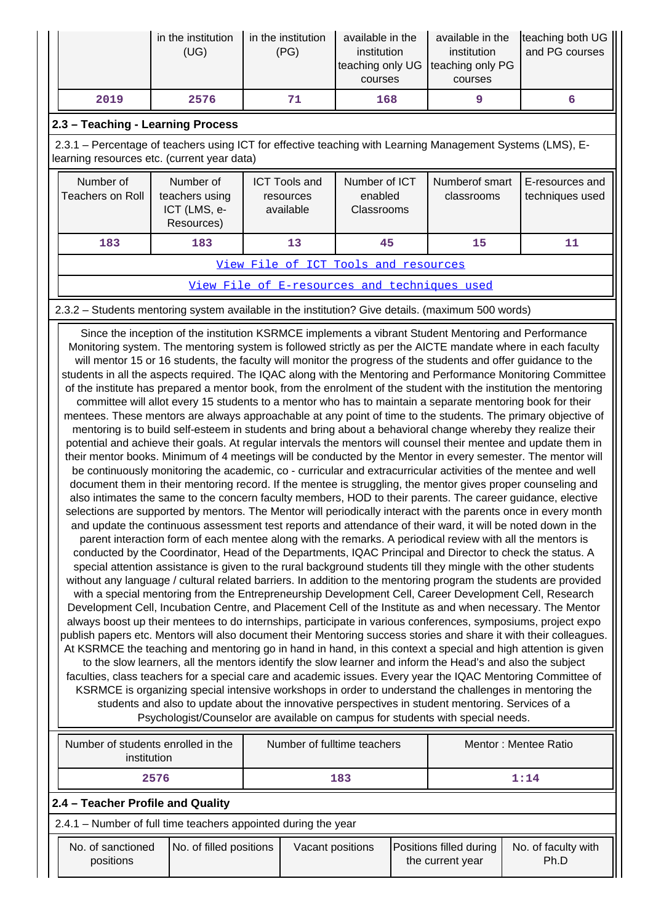|      | in the institution<br>(UG) | in the institution<br>(PG) | available in the<br>institution<br>teaching only UG teaching only PG<br>courses | available in the<br>institution<br>courses | teaching both UG<br>and PG courses |
|------|----------------------------|----------------------------|---------------------------------------------------------------------------------|--------------------------------------------|------------------------------------|
| 2019 | 2576                       | 71                         | 168                                                                             |                                            |                                    |

# **2.3 – Teaching - Learning Process**

 2.3.1 – Percentage of teachers using ICT for effective teaching with Learning Management Systems (LMS), Elearning resources etc. (current year data)

| Number of<br>Teachers on Roll        | Number of<br>teachers using<br>ICT (LMS, e-<br>Resources) | <b>ICT Tools and</b><br>resources<br>available | Number of ICT<br>enabled<br>Classrooms | Numberof smart<br>classrooms | E-resources and<br>techniques used |  |  |
|--------------------------------------|-----------------------------------------------------------|------------------------------------------------|----------------------------------------|------------------------------|------------------------------------|--|--|
| 183                                  | 183                                                       | 13                                             | 45                                     | 15                           |                                    |  |  |
| View File of ICT Tools and resources |                                                           |                                                |                                        |                              |                                    |  |  |

[View File of E-resources and techniques used](https://assessmentonline.naac.gov.in/public/Postacc/e_resource/8587_e_resource_1609325757.xlsx)

2.3.2 – Students mentoring system available in the institution? Give details. (maximum 500 words)

 Since the inception of the institution KSRMCE implements a vibrant Student Mentoring and Performance Monitoring system. The mentoring system is followed strictly as per the AICTE mandate where in each faculty will mentor 15 or 16 students, the faculty will monitor the progress of the students and offer guidance to the students in all the aspects required. The IQAC along with the Mentoring and Performance Monitoring Committee of the institute has prepared a mentor book, from the enrolment of the student with the institution the mentoring committee will allot every 15 students to a mentor who has to maintain a separate mentoring book for their mentees. These mentors are always approachable at any point of time to the students. The primary objective of mentoring is to build self-esteem in students and bring about a behavioral change whereby they realize their potential and achieve their goals. At regular intervals the mentors will counsel their mentee and update them in their mentor books. Minimum of 4 meetings will be conducted by the Mentor in every semester. The mentor will be continuously monitoring the academic, co - curricular and extracurricular activities of the mentee and well document them in their mentoring record. If the mentee is struggling, the mentor gives proper counseling and also intimates the same to the concern faculty members, HOD to their parents. The career guidance, elective selections are supported by mentors. The Mentor will periodically interact with the parents once in every month and update the continuous assessment test reports and attendance of their ward, it will be noted down in the parent interaction form of each mentee along with the remarks. A periodical review with all the mentors is conducted by the Coordinator, Head of the Departments, IQAC Principal and Director to check the status. A special attention assistance is given to the rural background students till they mingle with the other students without any language / cultural related barriers. In addition to the mentoring program the students are provided with a special mentoring from the Entrepreneurship Development Cell, Career Development Cell, Research Development Cell, Incubation Centre, and Placement Cell of the Institute as and when necessary. The Mentor always boost up their mentees to do internships, participate in various conferences, symposiums, project expo publish papers etc. Mentors will also document their Mentoring success stories and share it with their colleagues. At KSRMCE the teaching and mentoring go in hand in hand, in this context a special and high attention is given to the slow learners, all the mentors identify the slow learner and inform the Head's and also the subject faculties, class teachers for a special care and academic issues. Every year the IQAC Mentoring Committee of KSRMCE is organizing special intensive workshops in order to understand the challenges in mentoring the students and also to update about the innovative perspectives in student mentoring. Services of a Psychologist/Counselor are available on campus for students with special needs.

| Number of students enrolled in the<br>Number of fulltime teachers<br>institution |                         | Mentor: Mentee Ratio |                  |  |                                             |                             |  |
|----------------------------------------------------------------------------------|-------------------------|----------------------|------------------|--|---------------------------------------------|-----------------------------|--|
|                                                                                  | 2576<br>183             |                      | 1:14             |  |                                             |                             |  |
| 2.4 - Teacher Profile and Quality                                                |                         |                      |                  |  |                                             |                             |  |
| 2.4.1 – Number of full time teachers appointed during the year                   |                         |                      |                  |  |                                             |                             |  |
| No. of sanctioned<br>positions                                                   | No. of filled positions |                      | Vacant positions |  | Positions filled during<br>the current year | No. of faculty with<br>Ph.D |  |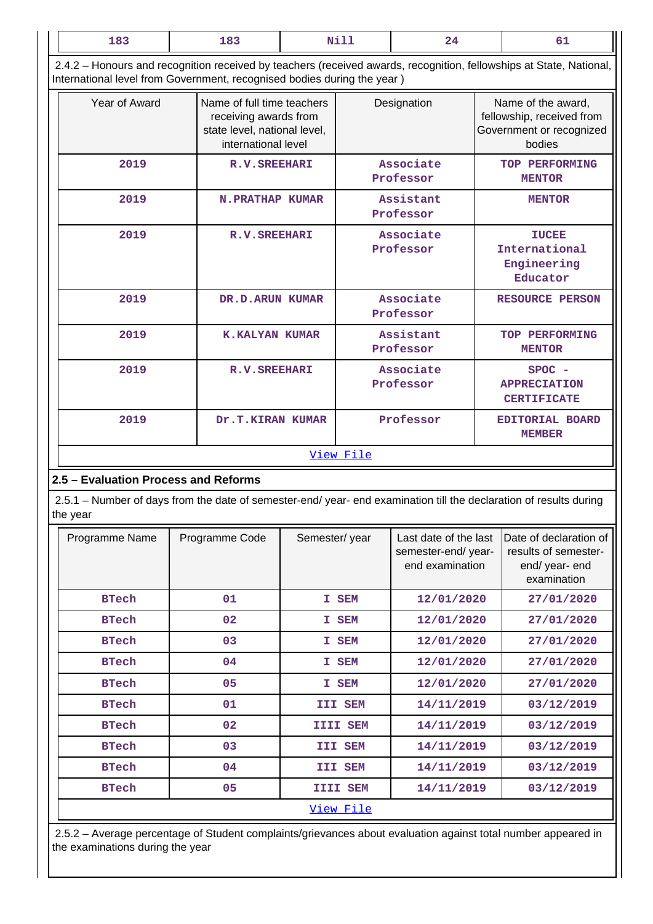| 183                                                                                                                                                                                            | 183                                                                                                        | Nill            |  | 24                     |  | 61                                                                                    |  |  |  |
|------------------------------------------------------------------------------------------------------------------------------------------------------------------------------------------------|------------------------------------------------------------------------------------------------------------|-----------------|--|------------------------|--|---------------------------------------------------------------------------------------|--|--|--|
| 2.4.2 – Honours and recognition received by teachers (received awards, recognition, fellowships at State, National,<br>International level from Government, recognised bodies during the year) |                                                                                                            |                 |  |                        |  |                                                                                       |  |  |  |
| Year of Award                                                                                                                                                                                  | Name of full time teachers<br>receiving awards from<br>state level, national level,<br>international level |                 |  | Designation            |  | Name of the award,<br>fellowship, received from<br>Government or recognized<br>bodies |  |  |  |
| 2019<br><b>R.V. SREEHARI</b>                                                                                                                                                                   |                                                                                                            |                 |  | Associate<br>Professor |  | TOP PERFORMING<br><b>MENTOR</b>                                                       |  |  |  |
| 2019                                                                                                                                                                                           | <b>N.PRATHAP KUMAR</b>                                                                                     |                 |  | Assistant<br>Professor |  | <b>MENTOR</b>                                                                         |  |  |  |
| 2019                                                                                                                                                                                           | <b>R.V. SREEHARI</b>                                                                                       |                 |  | Associate<br>Professor |  | <b>IUCEE</b><br>International<br>Engineering<br>Educator                              |  |  |  |
| 2019                                                                                                                                                                                           |                                                                                                            | DR.D.ARUN KUMAR |  | Associate<br>Professor |  | <b>RESOURCE PERSON</b>                                                                |  |  |  |
| 2019                                                                                                                                                                                           | <b>K.KALYAN KUMAR</b>                                                                                      |                 |  | Assistant<br>Professor |  | TOP PERFORMING<br><b>MENTOR</b>                                                       |  |  |  |
| 2019                                                                                                                                                                                           | <b>R.V. SREEHARI</b>                                                                                       |                 |  | Associate              |  | <b>SPOC</b>                                                                           |  |  |  |

 2.5.1 – Number of days from the date of semester-end/ year- end examination till the declaration of results during the year

**2.5 – Evaluation Process and Reforms**

[View File](https://assessmentonline.naac.gov.in/public/Postacc/Honours_recieved/8587_Honours_recieved_1629526769.xlsx)

 **2019 Dr.T.KIRAN KUMAR Professor EDITORIAL BOARD**

**Professor**

**APPRECIATION CERTIFICATE**

**MEMBER**

| Programme Name | Programme Code | Semester/year     | Last date of the last<br>semester-end/year-<br>end examination | Date of declaration of<br>results of semester-<br>end/ year- end<br>examination |
|----------------|----------------|-------------------|----------------------------------------------------------------|---------------------------------------------------------------------------------|
| <b>BTech</b>   | 01             | SEM<br>Ι.         | 12/01/2020                                                     | 27/01/2020                                                                      |
| <b>BTech</b>   | 02             | ${\tt SEM}$<br>Ι. | 12/01/2020                                                     | 27/01/2020                                                                      |
| <b>BTech</b>   | 03             | I SEM             | 12/01/2020                                                     | 27/01/2020                                                                      |
| <b>BTech</b>   | 04             | <b>SEM</b><br>Ι.  | 12/01/2020                                                     | 27/01/2020                                                                      |
| <b>BTech</b>   | 05             | SEM<br>Ι.         | 12/01/2020                                                     | 27/01/2020                                                                      |
| <b>BTech</b>   | 01             | III SEM           | 14/11/2019                                                     | 03/12/2019                                                                      |
| <b>BTech</b>   | 02             | <b>IIII SEM</b>   | 14/11/2019                                                     | 03/12/2019                                                                      |
| <b>BTech</b>   | 03             | III SEM           | 14/11/2019                                                     | 03/12/2019                                                                      |
| <b>BTech</b>   | 04             | III SEM           | 14/11/2019                                                     | 03/12/2019                                                                      |
| <b>BTech</b>   | 05             | <b>IIII SEM</b>   | 14/11/2019                                                     | 03/12/2019                                                                      |
|                |                | <u>View File</u>  |                                                                |                                                                                 |

 2.5.2 – Average percentage of Student complaints/grievances about evaluation against total number appeared in the examinations during the year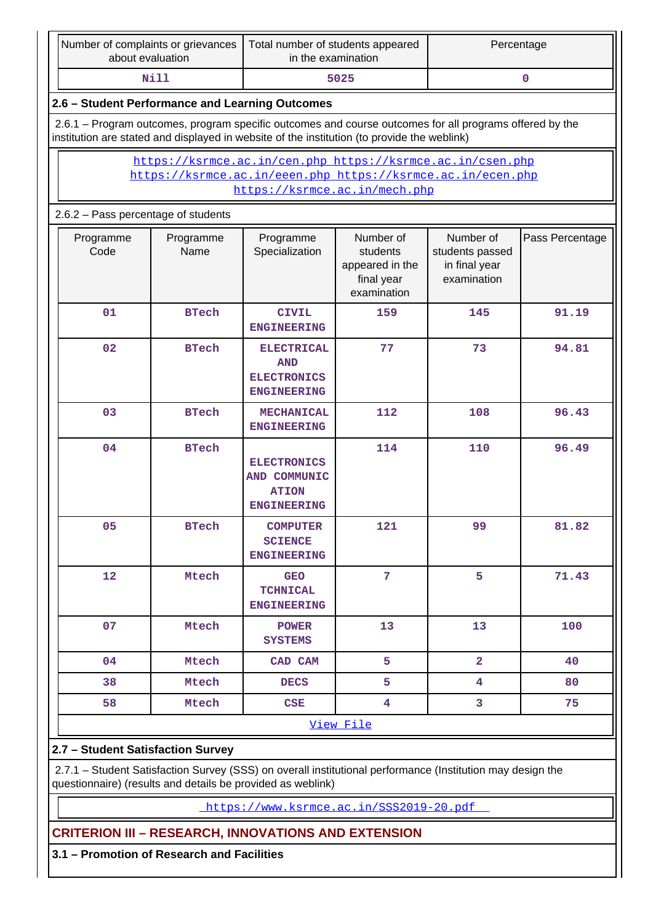|                                    | Number of complaints or grievances<br>about evaluation                                                                                                                                                 |                   | Total number of students appeared<br>in the examination                                                                                                                   |                                                                       | Percentage                                                   |                 |  |  |  |  |  |
|------------------------------------|--------------------------------------------------------------------------------------------------------------------------------------------------------------------------------------------------------|-------------------|---------------------------------------------------------------------------------------------------------------------------------------------------------------------------|-----------------------------------------------------------------------|--------------------------------------------------------------|-----------------|--|--|--|--|--|
| <b>Nill</b><br>5025<br>$\mathbf 0$ |                                                                                                                                                                                                        |                   |                                                                                                                                                                           |                                                                       |                                                              |                 |  |  |  |  |  |
|                                    | 2.6 - Student Performance and Learning Outcomes                                                                                                                                                        |                   |                                                                                                                                                                           |                                                                       |                                                              |                 |  |  |  |  |  |
|                                    | 2.6.1 – Program outcomes, program specific outcomes and course outcomes for all programs offered by the<br>institution are stated and displayed in website of the institution (to provide the weblink) |                   |                                                                                                                                                                           |                                                                       |                                                              |                 |  |  |  |  |  |
|                                    | https://ksrmce.ac.in/cen.php https://ksrmce.ac.in/csen.php<br>https://ksrmce.ac.in/eeen.php https://ksrmce.ac.in/ecen.php<br>https://ksrmce.ac.in/mech.php                                             |                   |                                                                                                                                                                           |                                                                       |                                                              |                 |  |  |  |  |  |
|                                    | 2.6.2 - Pass percentage of students                                                                                                                                                                    |                   |                                                                                                                                                                           |                                                                       |                                                              |                 |  |  |  |  |  |
|                                    | Programme<br>Code                                                                                                                                                                                      | Programme<br>Name | Programme<br>Specialization                                                                                                                                               | Number of<br>students<br>appeared in the<br>final year<br>examination | Number of<br>students passed<br>in final year<br>examination | Pass Percentage |  |  |  |  |  |
|                                    | 01                                                                                                                                                                                                     | <b>BTech</b>      | <b>CIVIL</b><br><b>ENGINEERING</b>                                                                                                                                        | 159                                                                   | 145                                                          | 91.19           |  |  |  |  |  |
|                                    | 02                                                                                                                                                                                                     | <b>BTech</b>      | <b>ELECTRICAL</b><br><b>AND</b><br><b>ELECTRONICS</b><br><b>ENGINEERING</b>                                                                                               | 77                                                                    | 73                                                           | 94.81           |  |  |  |  |  |
|                                    | 03                                                                                                                                                                                                     | <b>BTech</b>      | <b>MECHANICAL</b><br><b>ENGINEERING</b>                                                                                                                                   | 112                                                                   | 108                                                          | 96.43           |  |  |  |  |  |
|                                    | 04                                                                                                                                                                                                     | <b>BTech</b>      | <b>ELECTRONICS</b><br>AND COMMUNIC<br><b>ATION</b><br><b>ENGINEERING</b>                                                                                                  | 114                                                                   | 110                                                          | 96.49           |  |  |  |  |  |
|                                    | 05                                                                                                                                                                                                     | <b>BTech</b>      | <b>COMPUTER</b><br><b>SCIENCE</b><br><b>ENGINEERING</b>                                                                                                                   | 121                                                                   | 99                                                           | 81.82           |  |  |  |  |  |
|                                    | 12                                                                                                                                                                                                     | Mtech             | <b>GEO</b><br><b>TCHNICAL</b><br><b>ENGINEERING</b>                                                                                                                       | 7                                                                     | 5                                                            | 71.43           |  |  |  |  |  |
|                                    | 07                                                                                                                                                                                                     | Mtech             | <b>POWER</b><br><b>SYSTEMS</b>                                                                                                                                            | 13                                                                    | 13                                                           | 100             |  |  |  |  |  |
|                                    | 04                                                                                                                                                                                                     | Mtech             | CAD CAM                                                                                                                                                                   | 5                                                                     | $\overline{\mathbf{2}}$                                      | 40              |  |  |  |  |  |
|                                    | 38                                                                                                                                                                                                     | Mtech             | <b>DECS</b>                                                                                                                                                               | 5                                                                     | 4                                                            | 80              |  |  |  |  |  |
|                                    | 58                                                                                                                                                                                                     | Mtech             | CSE                                                                                                                                                                       | 4                                                                     | 3                                                            | 75              |  |  |  |  |  |
|                                    |                                                                                                                                                                                                        |                   |                                                                                                                                                                           | View File                                                             |                                                              |                 |  |  |  |  |  |
|                                    | 2.7 - Student Satisfaction Survey                                                                                                                                                                      |                   |                                                                                                                                                                           |                                                                       |                                                              |                 |  |  |  |  |  |
|                                    |                                                                                                                                                                                                        |                   | 2.7.1 - Student Satisfaction Survey (SSS) on overall institutional performance (Institution may design the<br>questionnaire) (results and details be provided as weblink) |                                                                       |                                                              |                 |  |  |  |  |  |
|                                    |                                                                                                                                                                                                        |                   |                                                                                                                                                                           |                                                                       |                                                              |                 |  |  |  |  |  |

<https://www.ksrmce.ac.in/SSS2019-20.pdf>

**CRITERION III – RESEARCH, INNOVATIONS AND EXTENSION**

**3.1 – Promotion of Research and Facilities**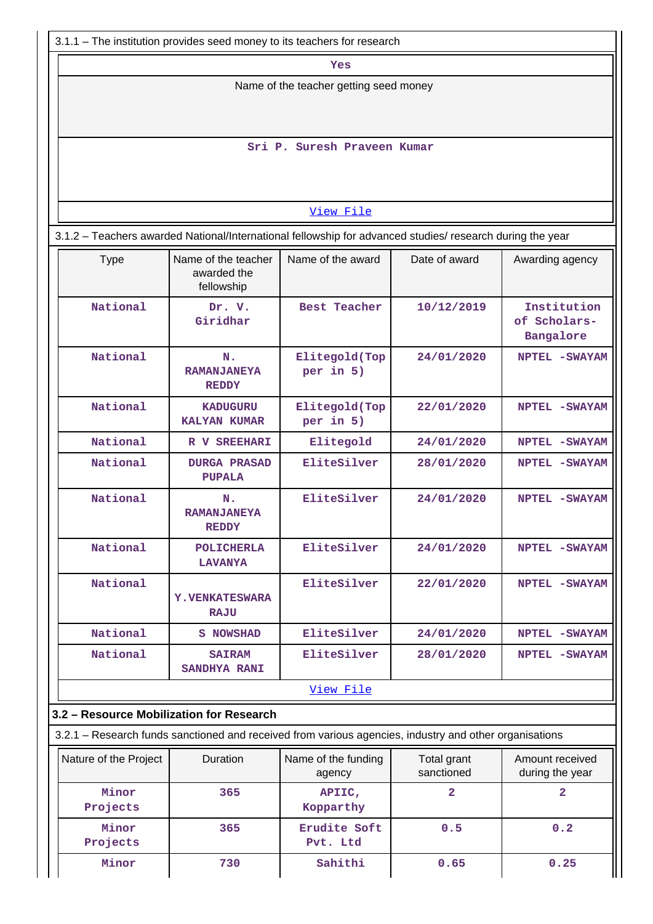| 3.1.1 - The institution provides seed money to its teachers for research                                  |                                                  |                               |                           |                                    |  |  |  |  |  |
|-----------------------------------------------------------------------------------------------------------|--------------------------------------------------|-------------------------------|---------------------------|------------------------------------|--|--|--|--|--|
|                                                                                                           | Yes                                              |                               |                           |                                    |  |  |  |  |  |
| Name of the teacher getting seed money                                                                    |                                                  |                               |                           |                                    |  |  |  |  |  |
|                                                                                                           |                                                  |                               |                           |                                    |  |  |  |  |  |
|                                                                                                           |                                                  |                               |                           |                                    |  |  |  |  |  |
|                                                                                                           |                                                  | Sri P. Suresh Praveen Kumar   |                           |                                    |  |  |  |  |  |
|                                                                                                           |                                                  |                               |                           |                                    |  |  |  |  |  |
|                                                                                                           |                                                  |                               |                           |                                    |  |  |  |  |  |
|                                                                                                           |                                                  | View File                     |                           |                                    |  |  |  |  |  |
| 3.1.2 - Teachers awarded National/International fellowship for advanced studies/ research during the year |                                                  |                               |                           |                                    |  |  |  |  |  |
| <b>Type</b>                                                                                               | Name of the teacher<br>awarded the<br>fellowship | Name of the award             | Date of award             | Awarding agency                    |  |  |  |  |  |
| National                                                                                                  | Dr. V.                                           | <b>Best Teacher</b>           | 10/12/2019                | Institution                        |  |  |  |  |  |
|                                                                                                           | Giridhar                                         |                               |                           | of Scholars-<br>Bangalore          |  |  |  |  |  |
| National                                                                                                  | N.                                               | Elitegold(Top                 | 24/01/2020                | NPTEL - SWAYAM                     |  |  |  |  |  |
|                                                                                                           | <b>RAMANJANEYA</b><br><b>REDDY</b>               | per in 5)                     |                           |                                    |  |  |  |  |  |
| National                                                                                                  | <b>KADUGURU</b>                                  | Elitegold(Top                 | 22/01/2020                | NPTEL - SWAYAM                     |  |  |  |  |  |
|                                                                                                           | <b>KALYAN KUMAR</b>                              | per in 5)                     |                           |                                    |  |  |  |  |  |
| National                                                                                                  | R V SREEHARI                                     | Elitegold                     | 24/01/2020                | NPTEL - SWAYAM                     |  |  |  |  |  |
| National                                                                                                  | <b>DURGA PRASAD</b><br><b>PUPALA</b>             | EliteSilver                   | 28/01/2020                | NPTEL - SWAYAM                     |  |  |  |  |  |
| National                                                                                                  | N.<br><b>RAMANJANEYA</b><br><b>REDDY</b>         | EliteSilver                   | 24/01/2020                | NPTEL - SWAYAM                     |  |  |  |  |  |
| National                                                                                                  | <b>POLICHERLA</b><br><b>LAVANYA</b>              | EliteSilver                   | 24/01/2020                | NPTEL - SWAYAM                     |  |  |  |  |  |
| National                                                                                                  | <b>Y. VENKATESWARA</b>                           | EliteSilver                   | 22/01/2020                | NPTEL -SWAYAM                      |  |  |  |  |  |
|                                                                                                           | <b>RAJU</b>                                      |                               |                           |                                    |  |  |  |  |  |
| National                                                                                                  | <b>S NOWSHAD</b>                                 | EliteSilver                   | 24/01/2020                | NPTEL - SWAYAM                     |  |  |  |  |  |
| National                                                                                                  | <b>SAIRAM</b><br><b>SANDHYA RANI</b>             | EliteSilver                   | 28/01/2020                | NPTEL - SWAYAM                     |  |  |  |  |  |
|                                                                                                           |                                                  | View File                     |                           |                                    |  |  |  |  |  |
| 3.2 - Resource Mobilization for Research                                                                  |                                                  |                               |                           |                                    |  |  |  |  |  |
| 3.2.1 – Research funds sanctioned and received from various agencies, industry and other organisations    |                                                  |                               |                           |                                    |  |  |  |  |  |
| Nature of the Project                                                                                     | Duration                                         | Name of the funding<br>agency | Total grant<br>sanctioned | Amount received<br>during the year |  |  |  |  |  |
| Minor<br>Projects                                                                                         | 365                                              | APIIC,<br>Kopparthy           | $\overline{2}$            | $\overline{2}$                     |  |  |  |  |  |
| Minor<br>Projects                                                                                         | 365                                              | Erudite Soft<br>Pvt. Ltd      | 0.5                       | 0.2                                |  |  |  |  |  |
| Minor                                                                                                     | 730                                              | Sahithi                       | 0.65                      | 0.25                               |  |  |  |  |  |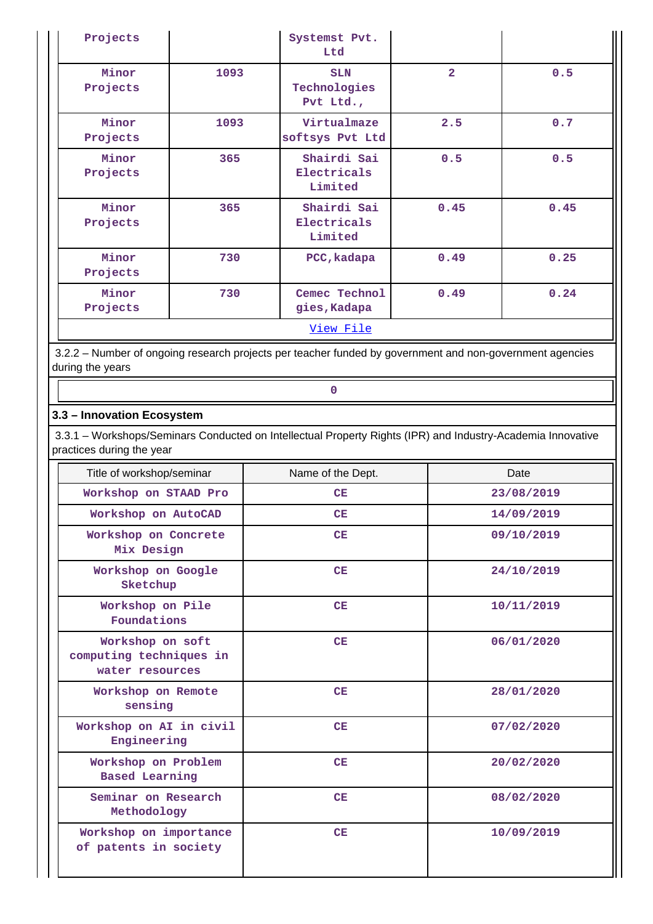| Projects          |      | Systemst Pvt.<br>Ltd                    |                |      |  |
|-------------------|------|-----------------------------------------|----------------|------|--|
| Minor<br>Projects | 1093 | <b>SLN</b><br>Technologies<br>Pvt Ltd., | $\overline{2}$ | 0.5  |  |
| Minor<br>Projects | 1093 | Virtualmaze<br>softsys Pvt Ltd          | 2.5            | 0.7  |  |
| Minor<br>Projects | 365  | Shairdi Sai<br>Electricals<br>Limited   | 0.5            | 0.5  |  |
| Minor<br>Projects | 365  | Shairdi Sai<br>Electricals<br>Limited   | 0.45           | 0.45 |  |
| Minor<br>Projects | 730  | PCC, kadapa                             | 0.49           | 0.25 |  |
| Minor<br>Projects | 730  | Cemec Technol<br>gies, Kadapa           | 0.49           | 0.24 |  |
| View File         |      |                                         |                |      |  |

 3.2.2 – Number of ongoing research projects per teacher funded by government and non-government agencies during the years

# **3.3 – Innovation Ecosystem**

**0**

 3.3.1 – Workshops/Seminars Conducted on Intellectual Property Rights (IPR) and Industry-Academia Innovative practices during the year

| Title of workshop/seminar                                      | Name of the Dept. | Date       |
|----------------------------------------------------------------|-------------------|------------|
| Workshop on STAAD Pro                                          | CE                | 23/08/2019 |
| Workshop on AutoCAD                                            | CE                | 14/09/2019 |
| Workshop on Concrete<br>Mix Design                             | CE                | 09/10/2019 |
| Workshop on Google<br>Sketchup                                 | CE                | 24/10/2019 |
| Workshop on Pile<br>Foundations                                | CE                | 10/11/2019 |
| Workshop on soft<br>computing techniques in<br>water resources | CE                | 06/01/2020 |
| Workshop on Remote<br>sensing                                  | CE                | 28/01/2020 |
| Workshop on AI in civil<br>Engineering                         | CE                | 07/02/2020 |
| Workshop on Problem<br><b>Based Learning</b>                   | CE                | 20/02/2020 |
| Seminar on Research<br>Methodology                             | CE                | 08/02/2020 |
| Workshop on importance<br>of patents in society                | CE                | 10/09/2019 |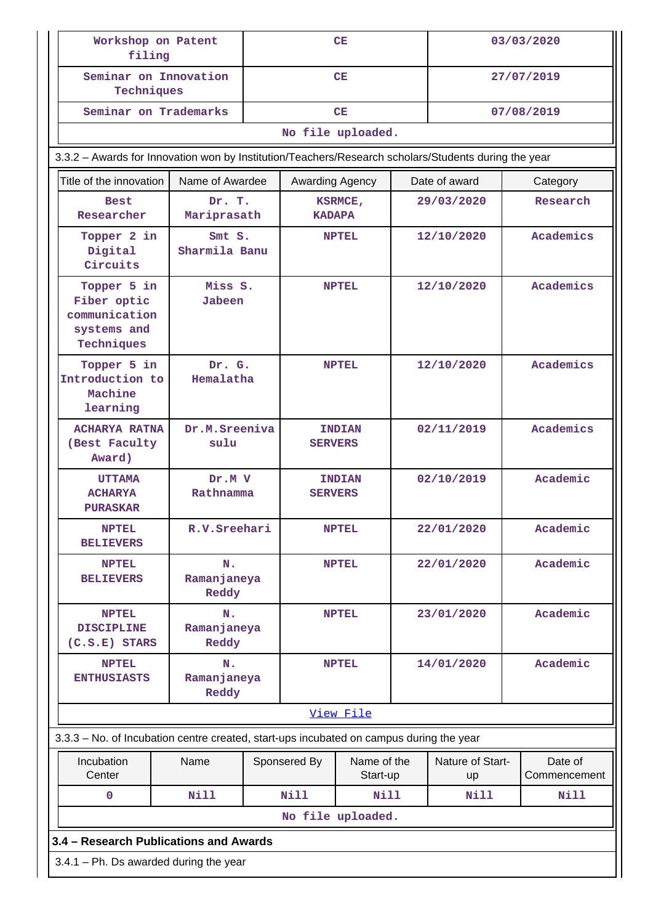| Workshop on Patent<br>filing                                                            |                                                                                                      |                         | CE                |                                 |            |                        | 03/03/2020              |  |  |
|-----------------------------------------------------------------------------------------|------------------------------------------------------------------------------------------------------|-------------------------|-------------------|---------------------------------|------------|------------------------|-------------------------|--|--|
| Seminar on Innovation<br>Techniques                                                     |                                                                                                      |                         |                   | CE                              |            |                        | 27/07/2019              |  |  |
| Seminar on Trademarks                                                                   |                                                                                                      |                         | CE                |                                 |            |                        | 07/08/2019              |  |  |
|                                                                                         |                                                                                                      |                         | No file uploaded. |                                 |            |                        |                         |  |  |
|                                                                                         | 3.3.2 - Awards for Innovation won by Institution/Teachers/Research scholars/Students during the year |                         |                   |                                 |            |                        |                         |  |  |
|                                                                                         | Title of the innovation<br>Name of Awardee                                                           |                         |                   | Awarding Agency                 |            | Date of award          | Category                |  |  |
| <b>Best</b><br>Researcher                                                               |                                                                                                      | Dr. T.<br>Mariprasath   |                   | KSRMCE,<br><b>KADAPA</b>        |            | 29/03/2020             | Research                |  |  |
| Topper 2 in<br>Digital<br>Circuits                                                      |                                                                                                      | Smt S.<br>Sharmila Banu |                   | <b>NPTEL</b>                    |            | 12/10/2020             | Academics               |  |  |
| Topper 5 in<br>Fiber optic<br>communication<br>systems and<br>Techniques                | Miss S.<br><b>Jabeen</b>                                                                             |                         |                   | <b>NPTEL</b>                    |            | 12/10/2020             | Academics               |  |  |
| Topper 5 in<br>Introduction to<br>Machine<br>learning                                   | Hemalatha                                                                                            | Dr. G.                  |                   | <b>NPTEL</b>                    |            | 12/10/2020             | Academics               |  |  |
| <b>ACHARYA RATNA</b><br>(Best Faculty<br>Award)                                         | sulu                                                                                                 | Dr.M.Sreeniva           |                   | <b>INDIAN</b><br><b>SERVERS</b> |            | 02/11/2019             | Academics               |  |  |
| <b>UTTAMA</b><br><b>ACHARYA</b><br><b>PURASKAR</b>                                      | Dr.M V<br>Rathnamma                                                                                  |                         | <b>SERVERS</b>    | <b>INDIAN</b>                   |            | 02/10/2019             | Academic                |  |  |
| <b>NPTEL</b><br><b>BELIEVERS</b>                                                        | R.V.Sreehari                                                                                         |                         |                   | <b>NPTEL</b>                    | 22/01/2020 |                        | Academic                |  |  |
| <b>NPTEL</b><br><b>BELIEVERS</b>                                                        | N.<br>Ramanjaneya<br>Reddy                                                                           |                         |                   | <b>NPTEL</b>                    |            | 22/01/2020             | Academic                |  |  |
| <b>NPTEL</b><br><b>DISCIPLINE</b><br>$(C.S.E)$ STARS                                    | N.<br>Ramanjaneya<br>Reddy                                                                           |                         |                   | <b>NPTEL</b>                    |            | 23/01/2020             | Academic                |  |  |
| <b>NPTEL</b><br><b>ENTHUSIASTS</b>                                                      | Ν.<br>Ramanjaneya<br>Reddy                                                                           |                         |                   | <b>NPTEL</b>                    |            | 14/01/2020             | Academic                |  |  |
|                                                                                         |                                                                                                      |                         |                   | View File                       |            |                        |                         |  |  |
| 3.3.3 - No. of Incubation centre created, start-ups incubated on campus during the year |                                                                                                      |                         |                   |                                 |            |                        |                         |  |  |
| Incubation<br>Center                                                                    | Name                                                                                                 |                         | Sponsered By      | Name of the<br>Start-up         |            | Nature of Start-<br>up | Date of<br>Commencement |  |  |
| $\mathbf 0$                                                                             | <b>Nill</b>                                                                                          |                         | <b>Nill</b>       | <b>Nill</b>                     |            | Nill<br>Nill           |                         |  |  |
|                                                                                         |                                                                                                      |                         | No file uploaded. |                                 |            |                        |                         |  |  |
| 3.4 - Research Publications and Awards                                                  |                                                                                                      |                         |                   |                                 |            |                        |                         |  |  |
| $3.4.1$ – Ph. Ds awarded during the year                                                |                                                                                                      |                         |                   |                                 |            |                        |                         |  |  |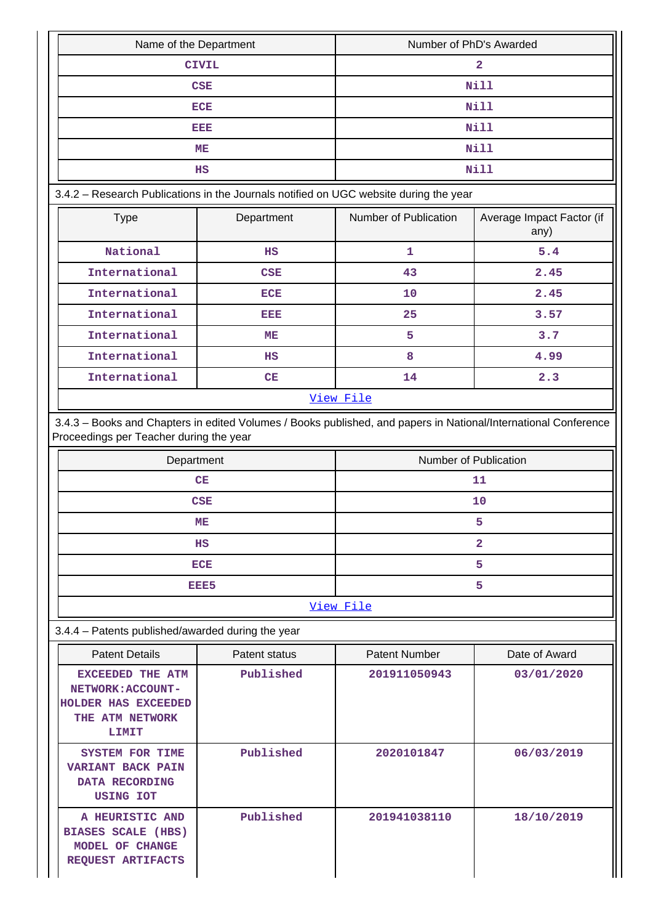| Name of the Department                                                                                                                                     |               | Number of PhD's Awarded |                                   |  |  |  |  |
|------------------------------------------------------------------------------------------------------------------------------------------------------------|---------------|-------------------------|-----------------------------------|--|--|--|--|
|                                                                                                                                                            | <b>CIVIL</b>  | $\overline{a}$          |                                   |  |  |  |  |
|                                                                                                                                                            | <b>CSE</b>    | Nill                    |                                   |  |  |  |  |
|                                                                                                                                                            | <b>ECE</b>    | Nill                    |                                   |  |  |  |  |
|                                                                                                                                                            | <b>DED</b>    | <b>Nill</b>             |                                   |  |  |  |  |
|                                                                                                                                                            | MЕ            |                         | <b>Nill</b>                       |  |  |  |  |
|                                                                                                                                                            | $_{\rm HS}$   |                         | <b>Nill</b>                       |  |  |  |  |
| 3.4.2 - Research Publications in the Journals notified on UGC website during the year                                                                      |               |                         |                                   |  |  |  |  |
| <b>Type</b>                                                                                                                                                | Department    | Number of Publication   | Average Impact Factor (if<br>any) |  |  |  |  |
| National                                                                                                                                                   | HS            | 1                       | 5.4                               |  |  |  |  |
| International                                                                                                                                              | <b>CSE</b>    | 43                      | 2.45                              |  |  |  |  |
| International                                                                                                                                              | <b>ECE</b>    | 10                      | 2.45                              |  |  |  |  |
| International                                                                                                                                              | вівів         | 25                      | 3.57                              |  |  |  |  |
| International                                                                                                                                              | MЕ            | 5                       | 3.7                               |  |  |  |  |
| International                                                                                                                                              | HS            | 8                       | 4.99                              |  |  |  |  |
| International                                                                                                                                              | CE            | 14                      | 2.3                               |  |  |  |  |
| View File                                                                                                                                                  |               |                         |                                   |  |  |  |  |
| 3.4.3 - Books and Chapters in edited Volumes / Books published, and papers in National/International Conference<br>Proceedings per Teacher during the year |               |                         |                                   |  |  |  |  |
| Department                                                                                                                                                 |               |                         | Number of Publication             |  |  |  |  |
|                                                                                                                                                            | CE            |                         | 11                                |  |  |  |  |
|                                                                                                                                                            | <b>CSE</b>    |                         | 10                                |  |  |  |  |
|                                                                                                                                                            | ME            |                         | 5.                                |  |  |  |  |
|                                                                                                                                                            | ΗS            | $\overline{a}$          |                                   |  |  |  |  |
|                                                                                                                                                            | <b>ECE</b>    | 5                       |                                   |  |  |  |  |
|                                                                                                                                                            | EEE5          |                         | 5                                 |  |  |  |  |
|                                                                                                                                                            |               | View File               |                                   |  |  |  |  |
| 3.4.4 - Patents published/awarded during the year                                                                                                          |               |                         |                                   |  |  |  |  |
| <b>Patent Details</b>                                                                                                                                      | Patent status | <b>Patent Number</b>    | Date of Award                     |  |  |  |  |
| EXCEEDED THE ATM<br>NETWORK: ACCOUNT-<br>HOLDER HAS EXCEEDED<br>THE ATM NETWORK<br><b>LIMIT</b>                                                            | Published     | 201911050943            | 03/01/2020                        |  |  |  |  |
| <b>SYSTEM FOR TIME</b><br><b>VARIANT BACK PAIN</b><br>DATA RECORDING<br>USING IOT                                                                          | Published     | 2020101847              | 06/03/2019                        |  |  |  |  |
| A HEURISTIC AND<br><b>BIASES SCALE (HBS)</b><br>MODEL OF CHANGE<br>REQUEST ARTIFACTS                                                                       | Published     | 201941038110            | 18/10/2019                        |  |  |  |  |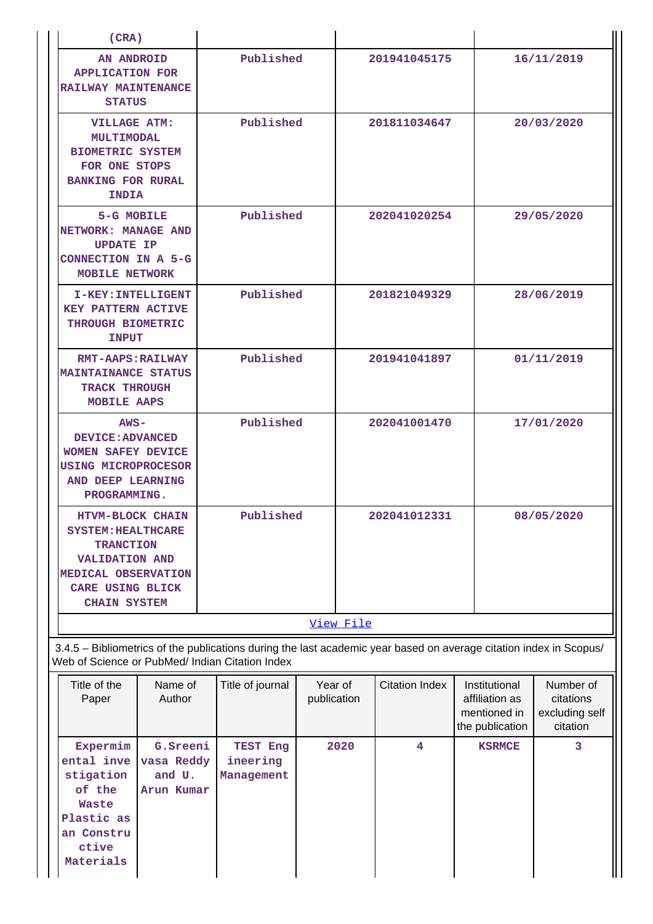| (CRA)                                                                                                                                                               |                                                |                                                                                                                                                                       |  |                        |                         |                                                                    |                                                      |  |
|---------------------------------------------------------------------------------------------------------------------------------------------------------------------|------------------------------------------------|-----------------------------------------------------------------------------------------------------------------------------------------------------------------------|--|------------------------|-------------------------|--------------------------------------------------------------------|------------------------------------------------------|--|
| <b>AN ANDROID</b><br><b>APPLICATION FOR</b><br>RAILWAY MAINTENANCE<br><b>STATUS</b>                                                                                 |                                                | Published                                                                                                                                                             |  |                        | 201941045175            |                                                                    | 16/11/2019                                           |  |
| <b>VILLAGE ATM:</b><br>MULTIMODAL<br><b>BIOMETRIC SYSTEM</b><br>FOR ONE STOPS<br><b>BANKING FOR RURAL</b><br><b>INDIA</b>                                           |                                                | Published                                                                                                                                                             |  | 201811034647           |                         |                                                                    | 20/03/2020                                           |  |
| 5-G MOBILE<br>NETWORK: MANAGE AND<br><b>UPDATE IP</b><br>CONNECTION IN A 5-G<br><b>MOBILE NETWORK</b>                                                               |                                                | Published                                                                                                                                                             |  |                        | 202041020254            |                                                                    | 29/05/2020                                           |  |
| I-KEY: INTELLIGENT<br><b>KEY PATTERN ACTIVE</b><br>THROUGH BIOMETRIC<br><b>INPUT</b>                                                                                |                                                | Published                                                                                                                                                             |  |                        | 201821049329            |                                                                    | 28/06/2019                                           |  |
| <b>RMT-AAPS: RAILWAY</b><br><b>MAINTAINANCE STATUS</b><br><b>TRACK THROUGH</b><br>MOBILE AAPS                                                                       |                                                | Published                                                                                                                                                             |  |                        | 201941041897            |                                                                    | 01/11/2019                                           |  |
| $ANS -$<br>DEVICE: ADVANCED<br>WOMEN SAFEY DEVICE<br><b>USING MICROPROCESOR</b><br>AND DEEP LEARNING<br>PROGRAMMING.                                                |                                                | Published                                                                                                                                                             |  |                        | 202041001470            |                                                                    | 17/01/2020                                           |  |
| <b>HTVM-BLOCK CHAIN</b><br><b>SYSTEM: HEALTHCARE</b><br><b>TRANCTION</b><br><b>VALIDATION AND</b><br>MEDICAL OBSERVATION<br>CARE USING BLICK<br><b>CHAIN SYSTEM</b> |                                                | Published                                                                                                                                                             |  |                        | 202041012331            |                                                                    | 08/05/2020                                           |  |
|                                                                                                                                                                     |                                                |                                                                                                                                                                       |  | View File              |                         |                                                                    |                                                      |  |
|                                                                                                                                                                     |                                                | 3.4.5 - Bibliometrics of the publications during the last academic year based on average citation index in Scopus/<br>Web of Science or PubMed/ Indian Citation Index |  |                        |                         |                                                                    |                                                      |  |
| Title of the<br>Paper                                                                                                                                               | Name of<br>Author                              | Title of journal                                                                                                                                                      |  | Year of<br>publication | <b>Citation Index</b>   | Institutional<br>affiliation as<br>mentioned in<br>the publication | Number of<br>citations<br>excluding self<br>citation |  |
| Expermim<br>ental inve<br>stigation<br>of the<br>Waste<br>Plastic as<br>an Constru<br>ctive<br>Materials                                                            | G.Sreeni<br>vasa Reddy<br>and U.<br>Arun Kumar | TEST Eng<br>ineering<br>Management                                                                                                                                    |  | 2020                   | $\overline{\mathbf{4}}$ | <b>KSRMCE</b>                                                      | 3                                                    |  |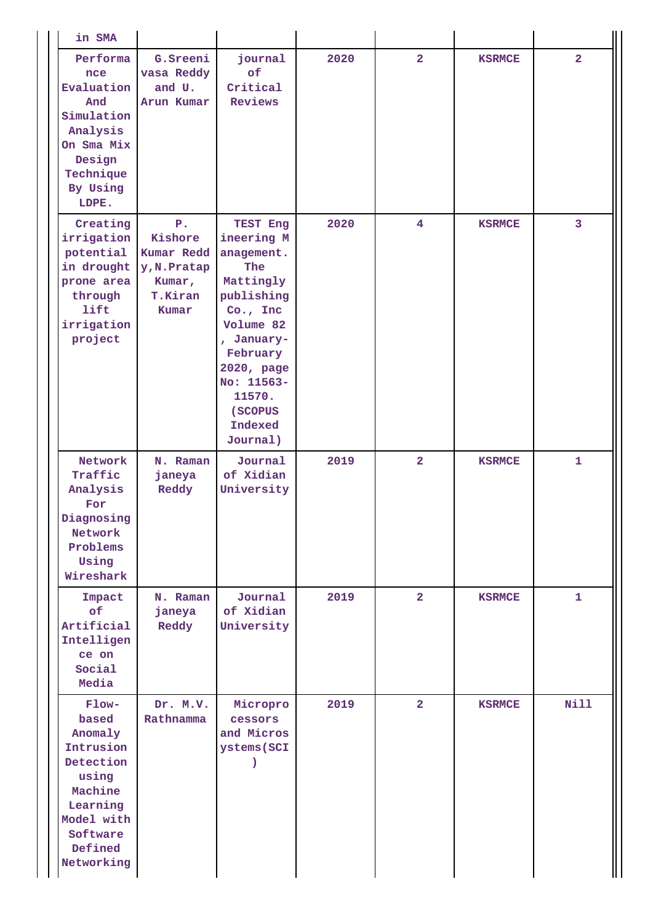| in SMA                                                                                                                                 |                                                                                    |                                                                                                                                                                                                          |      |                         |               |                |
|----------------------------------------------------------------------------------------------------------------------------------------|------------------------------------------------------------------------------------|----------------------------------------------------------------------------------------------------------------------------------------------------------------------------------------------------------|------|-------------------------|---------------|----------------|
| Performa<br>nce<br>Evaluation<br>And<br>Simulation<br>Analysis<br>On Sma Mix<br>Design<br>Technique<br>By Using<br>LDPE.               | G. Sreeni<br>vasa Reddy<br>and U.<br>Arun Kumar                                    | journal<br>of<br>Critical<br>Reviews                                                                                                                                                                     | 2020 | $\overline{2}$          | <b>KSRMCE</b> | $\overline{2}$ |
| Creating<br>irrigation<br>potential<br>in drought<br>prone area<br>through<br>lift<br>irrigation<br>project                            | ${\bf P}$ .<br>Kishore<br>Kumar Redd<br>y, N. Pratap<br>Kumar,<br>T.Kiran<br>Kumar | TEST Eng<br>ineering M<br>anagement.<br><b>The</b><br>Mattingly<br>publishing<br>Co., Inc<br>Volume 82<br>, January-<br>February<br>2020, page<br>No: 11563-<br>11570.<br>(SCOPUS<br>Indexed<br>Journal) | 2020 | $\overline{\mathbf{4}}$ | <b>KSRMCE</b> | 3              |
| Network<br>Traffic<br>Analysis<br>For<br>Diagnosing<br>Network<br>Problems<br>Using<br>Wireshark                                       | N. Raman<br>janeya<br>Reddy                                                        | Journal<br>of Xidian<br>University                                                                                                                                                                       | 2019 | $\overline{a}$          | <b>KSRMCE</b> | $\mathbf{1}$   |
| Impact<br>of<br>Artificial<br>Intelligen<br>ce on<br>Social<br>Media                                                                   | N. Raman<br>janeya<br>Reddy                                                        | Journal<br>of Xidian<br>University                                                                                                                                                                       | 2019 | $\overline{2}$          | <b>KSRMCE</b> | $\mathbf{1}$   |
| Flow-<br>based<br>Anomaly<br>Intrusion<br>Detection<br>using<br>Machine<br>Learning<br>Model with<br>Software<br>Defined<br>Networking | Dr. M.V.<br>Rathnamma                                                              | Micropro<br>cessors<br>and Micros<br>ystems (SCI                                                                                                                                                         | 2019 | $\overline{2}$          | <b>KSRMCE</b> | <b>Nill</b>    |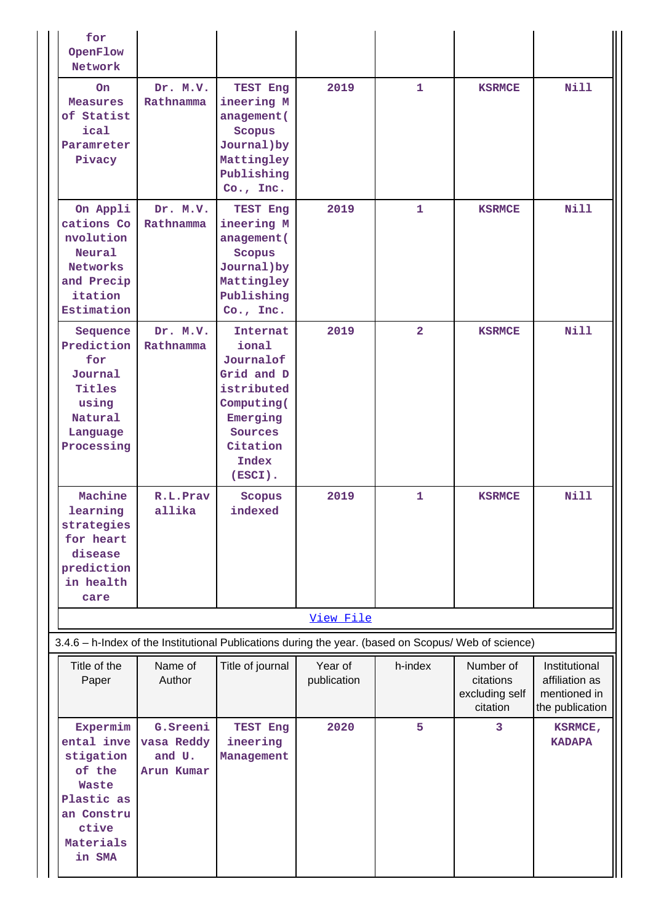| for<br>OpenFlow<br>Network                                                                                                |                                                 |                                                                                                                                 |                        |                |                                                      |                                                                    |
|---------------------------------------------------------------------------------------------------------------------------|-------------------------------------------------|---------------------------------------------------------------------------------------------------------------------------------|------------------------|----------------|------------------------------------------------------|--------------------------------------------------------------------|
| On.<br><b>Measures</b><br>of Statist<br>ical<br>Paramreter<br>Pivacy                                                      | Dr. M.V.<br>Rathnamma                           | TEST Eng<br>ineering M<br>anagement (<br>Scopus<br>Journal) by<br>Mattingley<br>Publishing<br>Co., Inc.                         | 2019                   | $\mathbf{1}$   | <b>KSRMCE</b>                                        | <b>Nill</b>                                                        |
| On Appli<br>cations Co<br>nvolution<br><b>Neural</b><br>Networks<br>and Precip<br>itation<br>Estimation                   | Dr. M.V.<br>Rathnamma                           | TEST Eng<br>ineering M<br>anagement (<br>Scopus<br>Journal) by<br>Mattingley<br>Publishing<br>Co., Inc.                         | 2019                   | $\mathbf{1}$   | <b>KSRMCE</b>                                        | <b>Nill</b>                                                        |
| Sequence<br>Prediction<br>for<br>Journal<br>Titles<br>using<br>Natural<br>Language<br>Processing                          | Dr. M.V.<br>Rathnamma                           | Internat<br>ional<br>Journalof<br>Grid and D<br>istributed<br>Computing(<br>Emerging<br>Sources<br>Citation<br>Index<br>(ESCI). | 2019                   | $\overline{2}$ | <b>KSRMCE</b>                                        | <b>Nill</b>                                                        |
| Machine<br>learning<br>strategies<br>for heart<br>disease<br>prediction<br>in health<br>care                              | R.L.Prav<br>allika                              | Scopus<br>indexed                                                                                                               | 2019                   | 1              | <b>KSRMCE</b>                                        | Nill                                                               |
|                                                                                                                           |                                                 |                                                                                                                                 | View File              |                |                                                      |                                                                    |
| 3.4.6 - h-Index of the Institutional Publications during the year. (based on Scopus/ Web of science)                      |                                                 |                                                                                                                                 |                        |                |                                                      |                                                                    |
| Title of the<br>Paper                                                                                                     | Name of<br>Author                               | Title of journal                                                                                                                | Year of<br>publication | h-index        | Number of<br>citations<br>excluding self<br>citation | Institutional<br>affiliation as<br>mentioned in<br>the publication |
| Expermim<br>ental inve<br>stigation<br>of the<br><b>Waste</b><br>Plastic as<br>an Constru<br>ctive<br>Materials<br>in SMA | G. Sreeni<br>vasa Reddy<br>and U.<br>Arun Kumar | TEST Eng<br>ineering<br>Management                                                                                              | 2020                   | 5              | 3                                                    | KSRMCE,<br><b>KADAPA</b>                                           |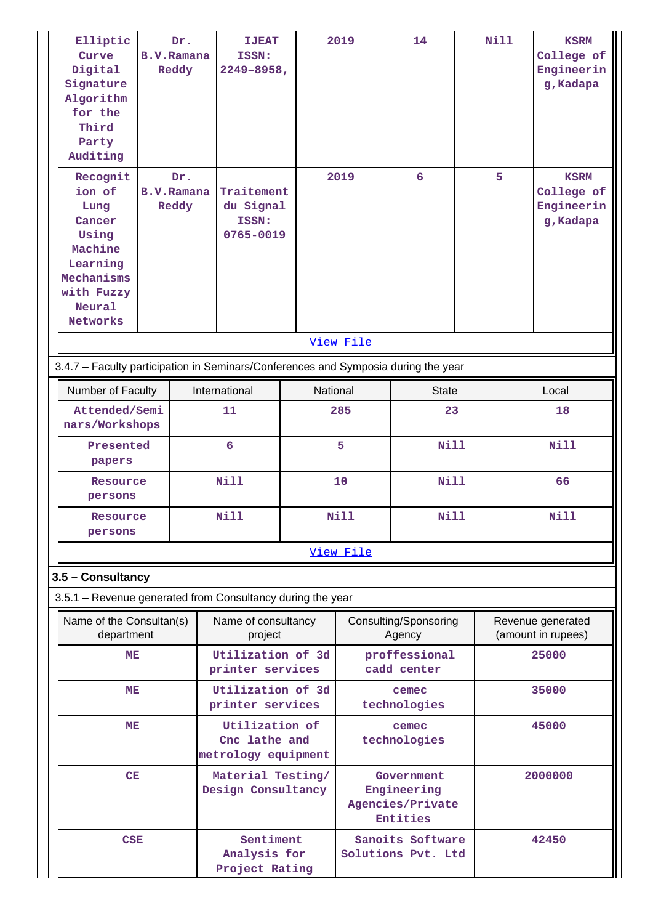| Elliptic<br>Curve<br>Digital<br>Signature<br>Algorithm<br>for the<br>Third<br>Party<br>Auditing                   | Dr.<br><b>B.V.Ramana</b><br>Reddy |  | <b>IJEAT</b><br>ISSN:<br>$2249 - 8958$ ,               |  | 2019                                                      | 14                              | <b>Nill</b> |         | <b>KSRM</b><br>College of<br>Engineerin<br>g, Kadapa |
|-------------------------------------------------------------------------------------------------------------------|-----------------------------------|--|--------------------------------------------------------|--|-----------------------------------------------------------|---------------------------------|-------------|---------|------------------------------------------------------|
| Recognit<br>ion of<br>Lung<br>Cancer<br>Using<br>Machine<br>Learning<br>Mechanisms<br>with Fuzzy<br><b>Neural</b> | Dr.<br><b>B.V.Ramana</b><br>Reddy |  | Traitement<br>du Signal<br>ISSN:<br>0765-0019          |  | 2019                                                      | 6                               | 5           |         | <b>KSRM</b><br>College of<br>Engineerin<br>g, Kadapa |
| Networks                                                                                                          |                                   |  |                                                        |  | View File                                                 |                                 |             |         |                                                      |
|                                                                                                                   |                                   |  |                                                        |  |                                                           |                                 |             |         |                                                      |
| 3.4.7 - Faculty participation in Seminars/Conferences and Symposia during the year                                |                                   |  |                                                        |  |                                                           |                                 |             |         | Local                                                |
| Number of Faculty<br>Attended/Semi                                                                                |                                   |  | International<br>11                                    |  | National<br>285                                           | <b>State</b><br>23              |             | 18      |                                                      |
|                                                                                                                   | nars/Workshops                    |  |                                                        |  |                                                           |                                 |             |         |                                                      |
| papers                                                                                                            | Presented                         |  | 6                                                      |  | 5<br><b>Nill</b>                                          |                                 |             |         | <b>Nill</b>                                          |
| Resource<br>persons                                                                                               |                                   |  | <b>Nill</b>                                            |  | 10                                                        |                                 | <b>Nill</b> |         | 66                                                   |
| Resource<br>persons                                                                                               |                                   |  | <b>Nill</b>                                            |  | Nill<br><b>Nill</b>                                       |                                 |             |         | <b>Nill</b>                                          |
|                                                                                                                   |                                   |  |                                                        |  | View File                                                 |                                 |             |         |                                                      |
| 3.5 - Consultancy                                                                                                 |                                   |  |                                                        |  |                                                           |                                 |             |         |                                                      |
| 3.5.1 - Revenue generated from Consultancy during the year                                                        |                                   |  |                                                        |  |                                                           |                                 |             |         |                                                      |
| Name of the Consultan(s)<br>department                                                                            |                                   |  | Name of consultancy<br>project                         |  |                                                           | Consulting/Sponsoring<br>Agency |             |         | Revenue generated<br>(amount in rupees)              |
| MЕ                                                                                                                |                                   |  | Utilization of 3d<br>printer services                  |  |                                                           | proffessional<br>cadd center    |             |         | 25000                                                |
| MЕ                                                                                                                |                                   |  | Utilization of 3d<br>printer services                  |  |                                                           | cemec<br>technologies           |             |         | 35000                                                |
| MЕ                                                                                                                |                                   |  | Utilization of<br>Cnc lathe and<br>metrology equipment |  |                                                           | cemec<br>technologies           |             |         | 45000                                                |
| CE                                                                                                                |                                   |  | Material Testing/<br>Design Consultancy                |  | Government<br>Engineering<br>Agencies/Private<br>Entities |                                 |             | 2000000 |                                                      |
| <b>CSE</b>                                                                                                        |                                   |  | Sentiment<br>Analysis for<br>Project Rating            |  | Sanoits Software<br>Solutions Pvt. Ltd                    |                                 |             |         | 42450                                                |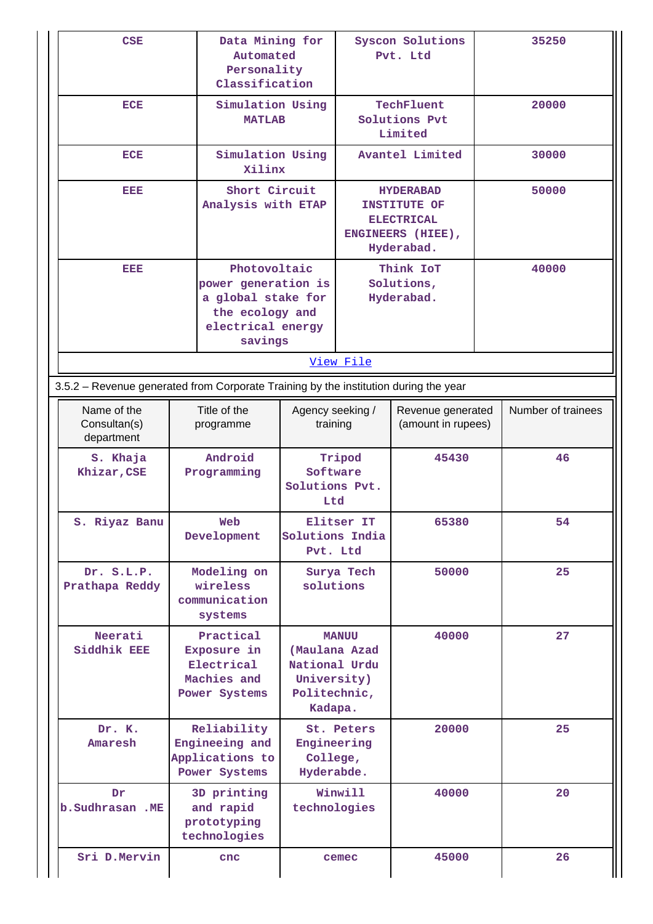| <b>CSE</b>                                                                           | Data Mining for<br>Automated<br>Personality<br>Classification                                                |                                       |                                                                                                 | Syscon Solutions<br>Pvt. Ltd          | 35250              |
|--------------------------------------------------------------------------------------|--------------------------------------------------------------------------------------------------------------|---------------------------------------|-------------------------------------------------------------------------------------------------|---------------------------------------|--------------------|
| <b>ECE</b>                                                                           | Simulation Using<br><b>MATLAB</b>                                                                            |                                       | TechFluent<br>Solutions Pvt<br>Limited                                                          |                                       | 20000              |
| <b>ECE</b>                                                                           | Simulation Using<br>Xilinx                                                                                   |                                       |                                                                                                 | Avantel Limited                       | 30000              |
| EEE                                                                                  | Short Circuit<br>Analysis with ETAP                                                                          |                                       | <b>HYDERABAD</b><br><b>INSTITUTE OF</b><br><b>ELECTRICAL</b><br>ENGINEERS (HIEE),<br>Hyderabad. |                                       | 50000              |
| EEE                                                                                  | Photovoltaic<br>power generation is<br>a global stake for<br>the ecology and<br>electrical energy<br>savings |                                       | View File                                                                                       | Think IoT<br>Solutions,<br>Hyderabad. | 40000              |
| 3.5.2 – Revenue generated from Corporate Training by the institution during the year |                                                                                                              |                                       |                                                                                                 |                                       |                    |
| Name of the<br>Consultan(s)<br>department                                            | Title of the<br>programme                                                                                    | Agency seeking /<br>training          | Revenue generated<br>(amount in rupees)                                                         |                                       | Number of trainees |
| S. Khaja<br>Khizar, CSE                                                              | Android<br>Programming                                                                                       | Software<br>Solutions Pvt.<br>Ltd     | Tripod                                                                                          | 45430                                 | 46                 |
| S. Riyaz Banu                                                                        | Web<br>Development                                                                                           | Solutions India                       | Elitser IT<br>65380<br>Pvt. Ltd                                                                 |                                       | 54                 |
| Dr. S.L.P.<br>Prathapa Reddy                                                         | Modeling on<br>wireless<br>communication<br>systems                                                          |                                       | Surya Tech<br>50000<br>solutions                                                                |                                       | 25                 |
| Neerati<br>Siddhik EEE                                                               | Practical<br>Exposure in<br>Electrical<br>Machies and<br>Politechnic,<br>Power Systems                       |                                       | <b>MANUU</b><br>(Maulana Azad<br>National Urdu<br>University)<br>Kadapa.                        | 40000                                 | 27                 |
| Dr. K.<br>Amaresh                                                                    | Reliability<br>Engineeing and<br>Applications to<br>Power Systems                                            | Engineering<br>College,<br>Hyderabde. | St. Peters                                                                                      | 20000                                 | 25                 |
| Dr<br>b.Sudhrasan .ME                                                                | 3D printing<br>and rapid<br>prototyping<br>technologies                                                      | technologies                          | Winwill                                                                                         | 40000                                 | 20                 |
| Sri D.Mervin                                                                         | cnc                                                                                                          | cemec                                 |                                                                                                 | 45000                                 | 26                 |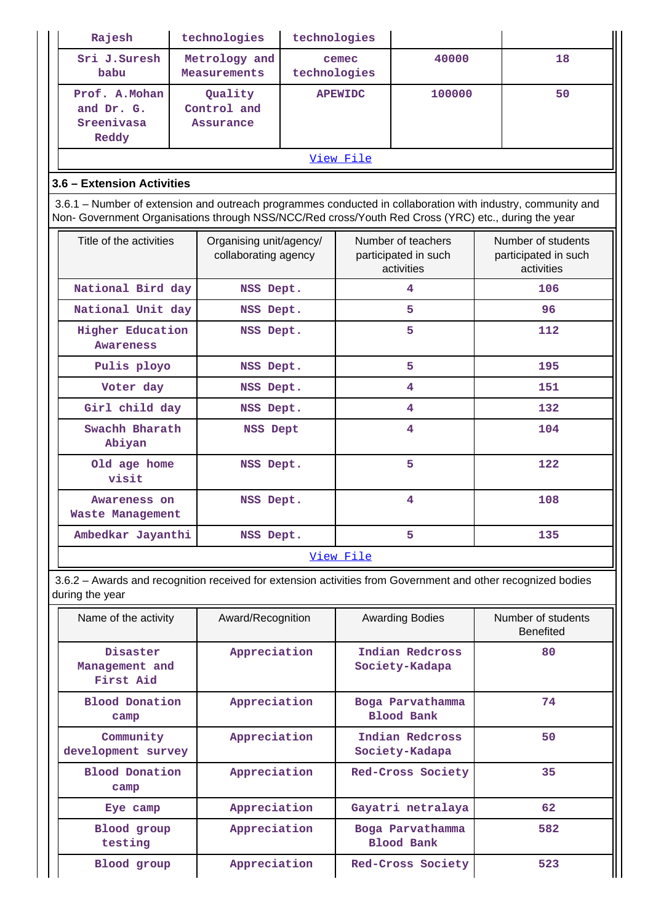| Rajesh                                                                                                                                                                                                             |  | technologies                                           | technologies                                    |                |                                                          |     |                                                          |  |
|--------------------------------------------------------------------------------------------------------------------------------------------------------------------------------------------------------------------|--|--------------------------------------------------------|-------------------------------------------------|----------------|----------------------------------------------------------|-----|----------------------------------------------------------|--|
| Sri J.Suresh<br>babu                                                                                                                                                                                               |  | Metrology and<br>cemec<br>technologies<br>Measurements |                                                 |                | 40000                                                    |     | 18                                                       |  |
| Prof. A. Mohan<br>and Dr. G.<br>Sreenivasa<br>Reddy                                                                                                                                                                |  | Quality<br>Control and<br><b>Assurance</b>             |                                                 | <b>APEWIDC</b> | 100000                                                   |     | 50                                                       |  |
|                                                                                                                                                                                                                    |  |                                                        |                                                 | View File      |                                                          |     |                                                          |  |
| 3.6 - Extension Activities                                                                                                                                                                                         |  |                                                        |                                                 |                |                                                          |     |                                                          |  |
| 3.6.1 – Number of extension and outreach programmes conducted in collaboration with industry, community and<br>Non- Government Organisations through NSS/NCC/Red cross/Youth Red Cross (YRC) etc., during the year |  |                                                        |                                                 |                |                                                          |     |                                                          |  |
| Title of the activities                                                                                                                                                                                            |  |                                                        | Organising unit/agency/<br>collaborating agency |                | Number of teachers<br>participated in such<br>activities |     | Number of students<br>participated in such<br>activities |  |
| National Bird day                                                                                                                                                                                                  |  | NSS Dept.                                              |                                                 |                | 4                                                        | 106 |                                                          |  |
| National Unit day                                                                                                                                                                                                  |  | NSS Dept.                                              |                                                 |                | 5                                                        |     | 96                                                       |  |
| Higher Education<br><b>Awareness</b>                                                                                                                                                                               |  | NSS Dept.                                              |                                                 |                | 5                                                        |     | 112                                                      |  |
| Pulis ployo                                                                                                                                                                                                        |  | NSS Dept.                                              |                                                 |                | 5                                                        | 195 |                                                          |  |
| Voter day                                                                                                                                                                                                          |  | NSS Dept.                                              |                                                 |                | 4                                                        |     | 151                                                      |  |
| Girl child day                                                                                                                                                                                                     |  | NSS Dept.                                              |                                                 |                | $\overline{4}$                                           |     | 132                                                      |  |
| Swachh Bharath<br>NSS Dept<br>Abiyan                                                                                                                                                                               |  |                                                        |                                                 | 4              |                                                          | 104 |                                                          |  |
| Old age home<br>NSS Dept.<br>visit                                                                                                                                                                                 |  |                                                        |                                                 | 5              |                                                          | 122 |                                                          |  |
| Awareness on<br><b>Waste Management</b>                                                                                                                                                                            |  | NSS Dept.                                              |                                                 |                | 4                                                        |     | 108                                                      |  |
| Ambedkar Jayanthi                                                                                                                                                                                                  |  | NSS Dept.                                              |                                                 |                | 5                                                        |     | 135                                                      |  |
|                                                                                                                                                                                                                    |  |                                                        |                                                 | View File      |                                                          |     |                                                          |  |

 3.6.2 – Awards and recognition received for extension activities from Government and other recognized bodies during the year

| Name of the activity                            | Award/Recognition |                                       | Number of students<br><b>Benefited</b> |
|-------------------------------------------------|-------------------|---------------------------------------|----------------------------------------|
| Disaster<br>Management and<br>First Aid         | Appreciation      | Indian Redcross<br>Society-Kadapa     | 80                                     |
| <b>Blood Donation</b><br>Appreciation<br>camp   |                   | Boga Parvathamma<br>Blood Bank        | 74                                     |
| Community<br>Appreciation<br>development survey |                   | Indian Redcross<br>Society-Kadapa     | 50                                     |
| <b>Blood Donation</b><br>Appreciation<br>camp   |                   | Red-Cross Society                     | 35                                     |
| Eye camp                                        | Appreciation      | Gayatri netralaya                     | 62                                     |
| Appreciation<br>Blood group<br>testing          |                   | Boga Parvathamma<br><b>Blood Bank</b> | 582                                    |
| Blood group                                     | Appreciation      | Red-Cross Society                     | 523                                    |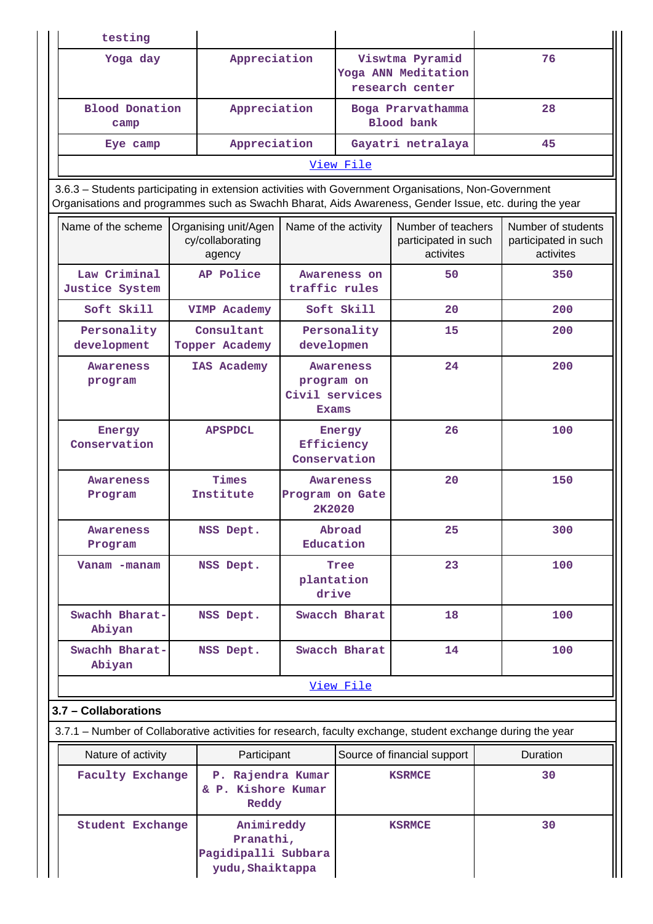| testing                                                                                                                                                                                                        |                                                                    |                                                                  |                                                           |                                                         |    |                                                         |
|----------------------------------------------------------------------------------------------------------------------------------------------------------------------------------------------------------------|--------------------------------------------------------------------|------------------------------------------------------------------|-----------------------------------------------------------|---------------------------------------------------------|----|---------------------------------------------------------|
| Yoga day                                                                                                                                                                                                       | Appreciation                                                       |                                                                  | Viswtma Pyramid<br>Yoga ANN Meditation<br>research center |                                                         | 76 |                                                         |
| <b>Blood Donation</b><br>camp                                                                                                                                                                                  |                                                                    | Appreciation<br>Boga Prarvathamma<br><b>Blood</b> bank           |                                                           |                                                         | 28 |                                                         |
| Eye camp                                                                                                                                                                                                       | Appreciation                                                       |                                                                  |                                                           | Gayatri netralaya                                       |    | 45                                                      |
|                                                                                                                                                                                                                |                                                                    |                                                                  | View File                                                 |                                                         |    |                                                         |
| 3.6.3 - Students participating in extension activities with Government Organisations, Non-Government<br>Organisations and programmes such as Swachh Bharat, Aids Awareness, Gender Issue, etc. during the year |                                                                    |                                                                  |                                                           |                                                         |    |                                                         |
| Name of the scheme                                                                                                                                                                                             | Organising unit/Agen<br>cy/collaborating<br>agency                 |                                                                  | Name of the activity                                      | Number of teachers<br>participated in such<br>activites |    | Number of students<br>participated in such<br>activites |
| Law Criminal<br>Justice System                                                                                                                                                                                 | AP Police                                                          | traffic rules                                                    | Awareness on                                              | 50                                                      |    | 350                                                     |
| Soft Skill                                                                                                                                                                                                     | VIMP Academy                                                       |                                                                  | Soft Skill                                                | 20                                                      |    | 200                                                     |
| Personality<br>development                                                                                                                                                                                     | Consultant<br>Topper Academy                                       | developmen                                                       | Personality                                               | 15                                                      |    | 200                                                     |
| <b>Awareness</b><br>program                                                                                                                                                                                    | IAS Academy                                                        | <b>Awareness</b><br>program on<br>Civil services<br><b>Exams</b> |                                                           | 24                                                      |    | 200                                                     |
| Energy<br>Conservation                                                                                                                                                                                         | <b>APSPDCL</b>                                                     |                                                                  | Energy<br>Efficiency<br>Conservation                      | 26                                                      |    | 100                                                     |
| <b>Awareness</b><br>Program                                                                                                                                                                                    | Times<br>Institute                                                 | Program on Gate<br>2K2020                                        | Awareness                                                 | 20                                                      |    | 150                                                     |
| Awareness<br>Program                                                                                                                                                                                           | NSS Dept.                                                          |                                                                  | Abroad<br>Education                                       | 25                                                      |    | 300                                                     |
| Vanam -manam                                                                                                                                                                                                   | NSS Dept.                                                          | plantation                                                       | Tree<br>drive                                             | 23                                                      |    | 100                                                     |
| Swachh Bharat-<br>Abiyan                                                                                                                                                                                       | NSS Dept.                                                          |                                                                  | Swacch Bharat                                             | 18                                                      |    | 100                                                     |
| Swachh Bharat-<br>Abiyan                                                                                                                                                                                       | NSS Dept.                                                          |                                                                  | Swacch Bharat                                             | 14                                                      |    | 100                                                     |
|                                                                                                                                                                                                                |                                                                    |                                                                  | View File                                                 |                                                         |    |                                                         |
| 3.7 - Collaborations                                                                                                                                                                                           |                                                                    |                                                                  |                                                           |                                                         |    |                                                         |
| 3.7.1 – Number of Collaborative activities for research, faculty exchange, student exchange during the year                                                                                                    |                                                                    |                                                                  |                                                           |                                                         |    |                                                         |
| Nature of activity<br>Participant                                                                                                                                                                              |                                                                    |                                                                  |                                                           | Source of financial support                             |    | Duration                                                |
| <b>Faculty Exchange</b>                                                                                                                                                                                        | P. Rajendra Kumar<br>& P. Kishore Kumar<br>Reddy                   |                                                                  |                                                           | <b>KSRMCE</b>                                           |    | 30                                                      |
| <b>Student Exchange</b>                                                                                                                                                                                        | Animireddy<br>Pranathi,<br>Pagidipalli Subbara<br>yudu, Shaiktappa |                                                                  |                                                           | <b>KSRMCE</b>                                           |    | 30                                                      |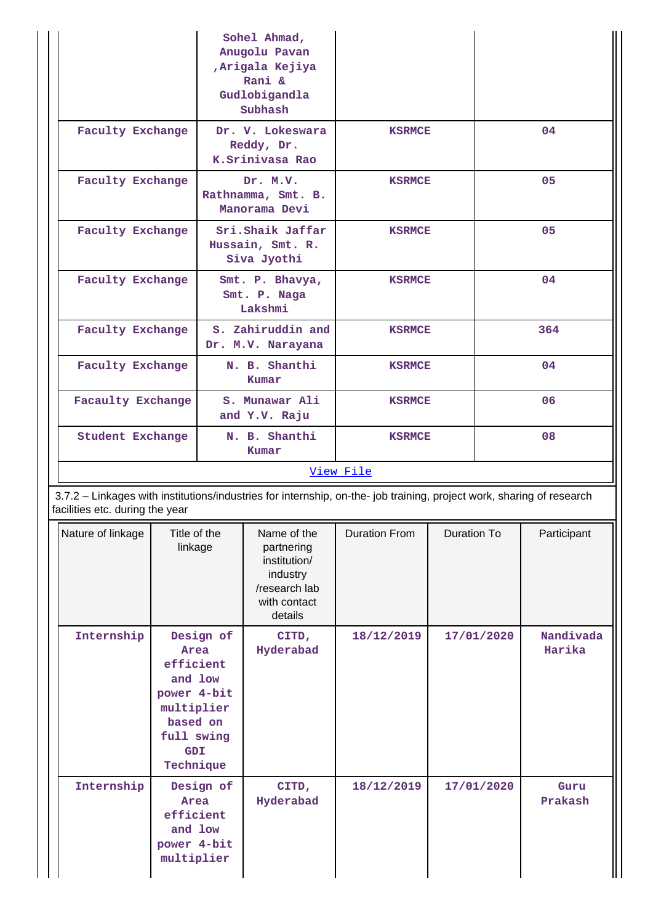|                                                                                                                                                          |                                                                                                                | Sohel Ahmad,<br>Anugolu Pavan<br>Arigala Kejiya<br>Rani &<br>Gudlobigandla<br>Subhash |                                                                                                   |                      |             |            |                     |
|----------------------------------------------------------------------------------------------------------------------------------------------------------|----------------------------------------------------------------------------------------------------------------|---------------------------------------------------------------------------------------|---------------------------------------------------------------------------------------------------|----------------------|-------------|------------|---------------------|
|                                                                                                                                                          | <b>Faculty Exchange</b>                                                                                        |                                                                                       | Dr. V. Lokeswara<br>Reddy, Dr.<br>K.Srinivasa Rao                                                 | <b>KSRMCE</b>        |             |            | 04                  |
| <b>Faculty Exchange</b>                                                                                                                                  |                                                                                                                |                                                                                       | Dr. M.V.<br>Rathnamma, Smt. B.<br>Manorama Devi                                                   | <b>KSRMCE</b>        |             |            | 05                  |
| <b>Faculty Exchange</b>                                                                                                                                  |                                                                                                                |                                                                                       | Sri.Shaik Jaffar<br>Hussain, Smt. R.<br>Siva Jyothi                                               | <b>KSRMCE</b>        |             |            | 05                  |
| Faculty Exchange                                                                                                                                         |                                                                                                                |                                                                                       | Smt. P. Bhavya,<br>Smt. P. Naga<br>Lakshmi                                                        | <b>KSRMCE</b>        |             |            | 04                  |
| <b>Faculty Exchange</b>                                                                                                                                  |                                                                                                                |                                                                                       | S. Zahiruddin and<br>Dr. M.V. Narayana                                                            | <b>KSRMCE</b>        |             |            | 364                 |
|                                                                                                                                                          | <b>Faculty Exchange</b>                                                                                        |                                                                                       | N. B. Shanthi<br>Kumar                                                                            | <b>KSRMCE</b>        |             |            | 04                  |
|                                                                                                                                                          | <b>Facaulty Exchange</b>                                                                                       |                                                                                       | S. Munawar Ali<br>and Y.V. Raju                                                                   | <b>KSRMCE</b>        |             |            | 06                  |
|                                                                                                                                                          | <b>Student Exchange</b>                                                                                        |                                                                                       | N. B. Shanthi<br>Kumar                                                                            | <b>KSRMCE</b>        |             |            | 08                  |
|                                                                                                                                                          |                                                                                                                |                                                                                       |                                                                                                   | View File            |             |            |                     |
| 3.7.2 - Linkages with institutions/industries for internship, on-the- job training, project work, sharing of research<br>facilities etc. during the year |                                                                                                                |                                                                                       |                                                                                                   |                      |             |            |                     |
| Nature of linkage                                                                                                                                        | Title of the<br>linkage                                                                                        |                                                                                       | Name of the<br>partnering<br>institution/<br>industry<br>/research lab<br>with contact<br>details | <b>Duration From</b> | Duration To |            | Participant         |
| Internship                                                                                                                                               | Design of<br>Area<br>efficient<br>and low<br>power 4-bit<br>multiplier<br>based on<br>full swing<br><b>GDI</b> |                                                                                       | CITD,<br>Hyderabad                                                                                | 18/12/2019           | 17/01/2020  |            | Nandivada<br>Harika |
| Internship                                                                                                                                               | Technique<br>Design of<br>Area<br>efficient<br>and low<br>power 4-bit<br>multiplier                            |                                                                                       | CITD,<br>Hyderabad                                                                                | 18/12/2019           |             | 17/01/2020 | Guru<br>Prakash     |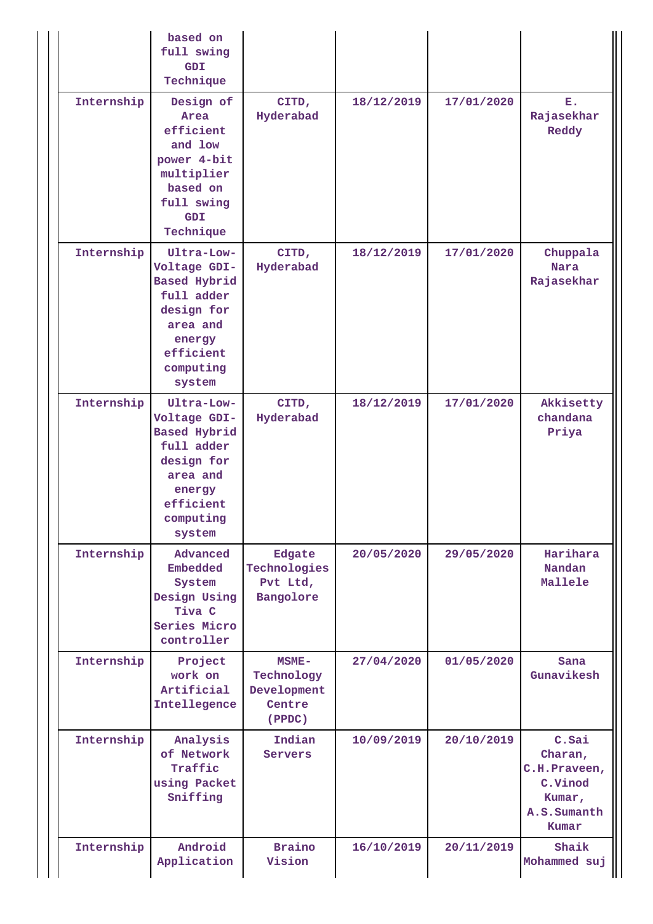|            | based on<br>full swing<br><b>GDI</b><br>Technique                                                                                       |                                                        |            |            |                                                                               |
|------------|-----------------------------------------------------------------------------------------------------------------------------------------|--------------------------------------------------------|------------|------------|-------------------------------------------------------------------------------|
| Internship | Design of<br>Area<br>efficient<br>and low<br>power 4-bit<br>multiplier<br>based on<br>full swing<br><b>GDI</b><br>Technique             | CITD,<br>Hyderabad                                     | 18/12/2019 | 17/01/2020 | Ε.<br>Rajasekhar<br>Reddy                                                     |
| Internship | Ultra-Low-<br>Voltage GDI-<br>Based Hybrid<br>full adder<br>design for<br>area and<br>energy<br>efficient<br>computing<br>system        | CITD,<br>Hyderabad                                     | 18/12/2019 | 17/01/2020 | Chuppala<br><b>Nara</b><br>Rajasekhar                                         |
| Internship | Ultra-Low-<br>Voltage GDI-<br><b>Based Hybrid</b><br>full adder<br>design for<br>area and<br>energy<br>efficient<br>computing<br>system | CITD,<br>Hyderabad                                     | 18/12/2019 | 17/01/2020 | Akkisetty<br>chandana<br>Priya                                                |
| Internship | Advanced<br>Embedded<br>System<br>Design Using<br>Tiva C<br>Series Micro<br>controller                                                  | Edgate<br>Technologies<br>Pvt Ltd,<br>Bangolore        | 20/05/2020 | 29/05/2020 | Harihara<br>Nandan<br>Mallele                                                 |
| Internship | Project<br>work on<br>Artificial<br>Intellegence                                                                                        | MSME-<br>Technology<br>Development<br>Centre<br>(PPDC) | 27/04/2020 | 01/05/2020 | Sana<br>Gunavikesh                                                            |
| Internship | Analysis<br>of Network<br>Traffic<br>using Packet<br>Sniffing                                                                           | Indian<br>Servers                                      | 10/09/2019 | 20/10/2019 | C.Sai<br>Charan,<br>C.H.Praveen,<br>C.Vinod<br>Kumar,<br>A.S.Sumanth<br>Kumar |
| Internship | Android<br>Application                                                                                                                  | <b>Braino</b><br>Vision                                | 16/10/2019 | 20/11/2019 | Shaik<br>Mohammed suj                                                         |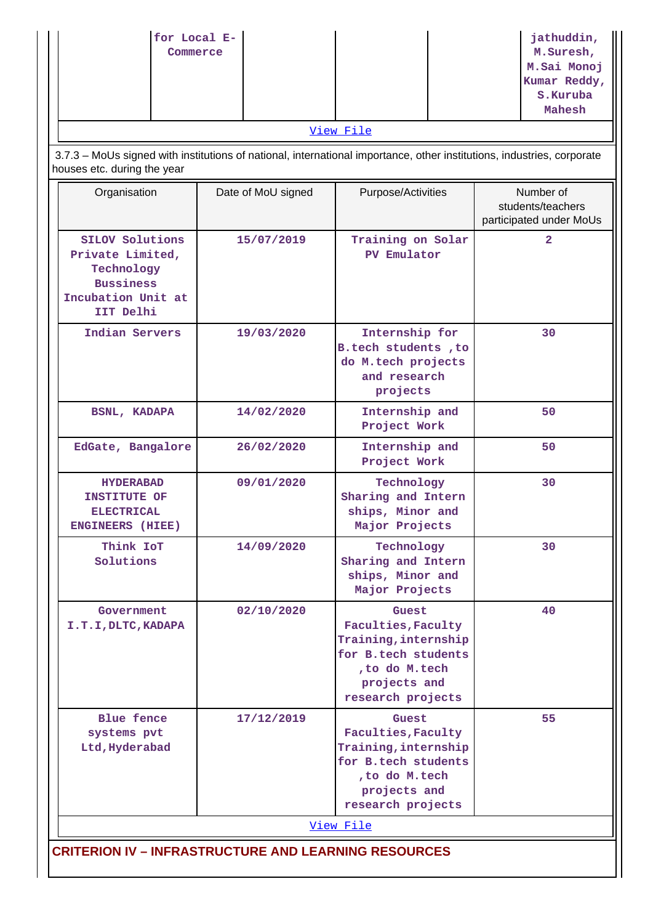| for Local E-<br>Commerce                                                                                                                              |                    |                                                                                                                                   | jathuddin,<br>M.Suresh,<br>M. Sai Monoj<br>Kumar Reddy,<br>S.Kuruba<br>Mahesh |  |  |  |
|-------------------------------------------------------------------------------------------------------------------------------------------------------|--------------------|-----------------------------------------------------------------------------------------------------------------------------------|-------------------------------------------------------------------------------|--|--|--|
|                                                                                                                                                       |                    | View File                                                                                                                         |                                                                               |  |  |  |
| 3.7.3 - MoUs signed with institutions of national, international importance, other institutions, industries, corporate<br>houses etc. during the year |                    |                                                                                                                                   |                                                                               |  |  |  |
| Organisation                                                                                                                                          | Date of MoU signed | Purpose/Activities                                                                                                                | Number of<br>students/teachers<br>participated under MoUs                     |  |  |  |
| <b>SILOV Solutions</b><br>Private Limited,<br>Technology<br><b>Bussiness</b><br>Incubation Unit at<br>IIT Delhi                                       | 15/07/2019         | Training on Solar<br>PV Emulator                                                                                                  | $\overline{2}$                                                                |  |  |  |
| Indian Servers                                                                                                                                        | 19/03/2020         | Internship for<br>B.tech students , to<br>do M.tech projects<br>and research<br>projects                                          | 30                                                                            |  |  |  |
| <b>BSNL, KADAPA</b>                                                                                                                                   | 14/02/2020         | Internship and<br>Project Work                                                                                                    | 50                                                                            |  |  |  |
| EdGate, Bangalore                                                                                                                                     | 26/02/2020         | Internship and<br>Project Work                                                                                                    | 50                                                                            |  |  |  |
| <b>HYDERABAD</b><br><b>INSTITUTE OF</b><br><b>ELECTRICAL</b><br><b>ENGINEERS</b> (HIEE)                                                               | 09/01/2020         | Technology<br>Sharing and Intern<br>ships, Minor and<br>Major Projects                                                            | 30                                                                            |  |  |  |
| Think IoT<br>Solutions                                                                                                                                | 14/09/2020         | Technology<br>Sharing and Intern<br>ships, Minor and<br>Major Projects                                                            | 30                                                                            |  |  |  |
| Government<br>I.T.I, DLTC, KADAPA                                                                                                                     | 02/10/2020         | Guest<br>Faculties, Faculty<br>Training, internship<br>for B.tech students<br>, to do M.tech<br>projects and<br>research projects | 40                                                                            |  |  |  |
| <b>Blue fence</b><br>systems pvt<br>Ltd, Hyderabad                                                                                                    | 17/12/2019         | Guest<br>Faculties, Faculty<br>Training, internship<br>for B.tech students<br>, to do M.tech<br>projects and<br>research projects | 55                                                                            |  |  |  |
|                                                                                                                                                       |                    | View File                                                                                                                         |                                                                               |  |  |  |
| <b>CRITERION IV - INFRASTRUCTURE AND LEARNING RESOURCES</b>                                                                                           |                    |                                                                                                                                   |                                                                               |  |  |  |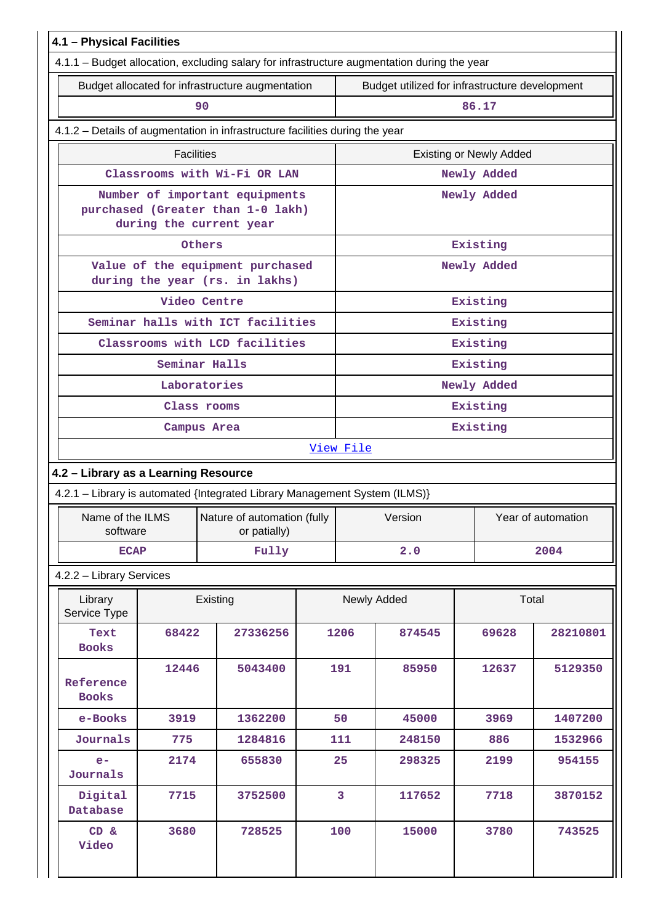| 4.1 - Physical Facilities            |                                                  |                                                                                                |        |                               |             |                                                |          |  |  |
|--------------------------------------|--------------------------------------------------|------------------------------------------------------------------------------------------------|--------|-------------------------------|-------------|------------------------------------------------|----------|--|--|
|                                      |                                                  | 4.1.1 - Budget allocation, excluding salary for infrastructure augmentation during the year    |        |                               |             |                                                |          |  |  |
|                                      | Budget allocated for infrastructure augmentation |                                                                                                |        |                               |             | Budget utilized for infrastructure development |          |  |  |
|                                      |                                                  | 90                                                                                             |        |                               |             | 86.17                                          |          |  |  |
|                                      |                                                  | 4.1.2 - Details of augmentation in infrastructure facilities during the year                   |        |                               |             |                                                |          |  |  |
|                                      | <b>Facilities</b>                                |                                                                                                |        |                               |             | <b>Existing or Newly Added</b>                 |          |  |  |
|                                      |                                                  | Classrooms with Wi-Fi OR LAN                                                                   |        |                               |             | Newly Added                                    |          |  |  |
|                                      |                                                  | Number of important equipments<br>purchased (Greater than 1-0 lakh)<br>during the current year |        |                               |             | Newly Added                                    |          |  |  |
|                                      |                                                  | Others                                                                                         |        |                               |             | Existing                                       |          |  |  |
|                                      |                                                  | Value of the equipment purchased<br>during the year (rs. in lakhs)                             |        |                               |             | Newly Added                                    |          |  |  |
|                                      |                                                  | Video Centre                                                                                   |        |                               |             | Existing                                       |          |  |  |
|                                      |                                                  | Seminar halls with ICT facilities                                                              |        |                               |             | Existing                                       |          |  |  |
|                                      |                                                  | Classrooms with LCD facilities                                                                 |        |                               |             | Existing                                       |          |  |  |
|                                      |                                                  | Seminar Halls                                                                                  |        |                               |             | Existing                                       |          |  |  |
|                                      |                                                  | Laboratories                                                                                   |        |                               |             | Newly Added                                    |          |  |  |
|                                      |                                                  | Class rooms                                                                                    |        | Existing                      |             |                                                |          |  |  |
|                                      |                                                  | Campus Area                                                                                    |        | Existing                      |             |                                                |          |  |  |
|                                      |                                                  |                                                                                                |        | View File                     |             |                                                |          |  |  |
| 4.2 - Library as a Learning Resource |                                                  |                                                                                                |        |                               |             |                                                |          |  |  |
|                                      |                                                  | 4.2.1 - Library is automated {Integrated Library Management System (ILMS)}                     |        |                               |             |                                                |          |  |  |
| software                             |                                                  | Name of the ILMS   Nature of automation (fully  <br>or patially)                               |        | Year of automation<br>Version |             |                                                |          |  |  |
| <b>ECAP</b>                          |                                                  | Fully                                                                                          |        | 2004<br>2.0                   |             |                                                |          |  |  |
| 4.2.2 - Library Services             |                                                  |                                                                                                |        |                               |             |                                                |          |  |  |
| Library<br>Service Type              |                                                  | Existing                                                                                       |        |                               | Newly Added | Total                                          |          |  |  |
| Text<br><b>Books</b>                 | 68422                                            | 27336256                                                                                       |        | 1206                          | 874545      | 69628                                          | 28210801 |  |  |
| Reference<br><b>Books</b>            | 12446                                            | 5043400                                                                                        |        | 191                           | 85950       | 12637                                          | 5129350  |  |  |
| e-Books                              | 3919<br>1362200                                  |                                                                                                | 50     | 45000                         | 3969        | 1407200                                        |          |  |  |
| Journals<br>775<br>1284816           |                                                  | 111                                                                                            | 248150 | 886                           | 1532966     |                                                |          |  |  |
| $e-$<br>Journals                     | 2174                                             | 655830                                                                                         |        | 25                            | 298325      | 2199                                           | 954155   |  |  |
| Digital<br>Database                  | 7715                                             | 3752500                                                                                        |        | $\overline{3}$                | 117652      | 7718                                           | 3870152  |  |  |
| CD &<br>Video                        | 3680                                             | 728525                                                                                         |        | 100                           | 15000       | 3780                                           | 743525   |  |  |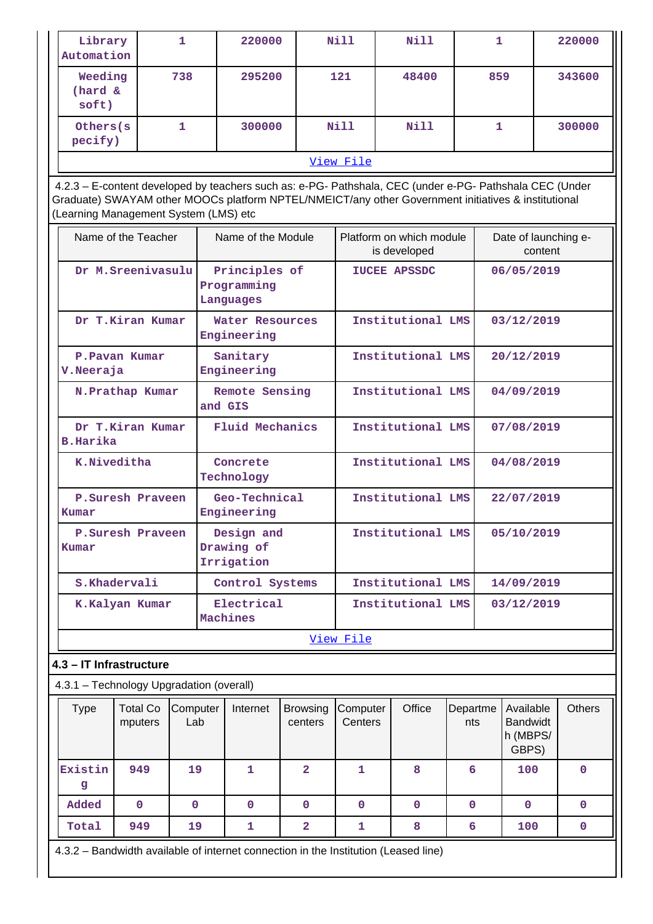| Library<br>Automation                    |                                                                                                                                                                                                                                                         | 1               |                         | 220000                                    |                            | Nill                            | Nill                                     |                 | 1                                                 |            | 220000        |
|------------------------------------------|---------------------------------------------------------------------------------------------------------------------------------------------------------------------------------------------------------------------------------------------------------|-----------------|-------------------------|-------------------------------------------|----------------------------|---------------------------------|------------------------------------------|-----------------|---------------------------------------------------|------------|---------------|
| Weeding<br>(hard &<br>soft)              |                                                                                                                                                                                                                                                         | 738             |                         | 295200                                    |                            | 121                             | 48400                                    |                 | 859                                               |            | 343600        |
| Others (s)<br>pecify)                    |                                                                                                                                                                                                                                                         | 1               |                         | 300000                                    |                            | Nill                            | Nill                                     | 1               |                                                   |            | 300000        |
|                                          |                                                                                                                                                                                                                                                         |                 |                         |                                           |                            | View File                       |                                          |                 |                                                   |            |               |
|                                          | 4.2.3 - E-content developed by teachers such as: e-PG- Pathshala, CEC (under e-PG- Pathshala CEC (Under<br>Graduate) SWAYAM other MOOCs platform NPTEL/NMEICT/any other Government initiatives & institutional<br>(Learning Management System (LMS) etc |                 |                         |                                           |                            |                                 |                                          |                 |                                                   |            |               |
|                                          | Name of the Teacher                                                                                                                                                                                                                                     |                 |                         | Name of the Module                        |                            |                                 | Platform on which module<br>is developed |                 | Date of launching e-                              | content    |               |
|                                          | Dr M. Sreenivasulu                                                                                                                                                                                                                                      |                 |                         | Principles of<br>Programming<br>Languages |                            |                                 | <b>IUCEE APSSDC</b>                      |                 | 06/05/2019                                        |            |               |
|                                          | Dr T.Kiran Kumar                                                                                                                                                                                                                                        |                 |                         | Water Resources<br>Engineering            |                            |                                 | Institutional LMS                        |                 | 03/12/2019                                        |            |               |
| V. Neeraja                               | P. Pavan Kumar                                                                                                                                                                                                                                          |                 | Sanitary<br>Engineering |                                           |                            |                                 | Institutional LMS                        |                 | 20/12/2019                                        |            |               |
|                                          | N.Prathap Kumar                                                                                                                                                                                                                                         |                 |                         | Remote Sensing<br>and GIS                 |                            |                                 | Institutional LMS                        |                 |                                                   | 04/09/2019 |               |
|                                          | Dr T.Kiran Kumar<br><b>B.Harika</b>                                                                                                                                                                                                                     |                 |                         | Fluid Mechanics                           |                            |                                 | Institutional LMS                        |                 |                                                   | 07/08/2019 |               |
| K.Niveditha                              |                                                                                                                                                                                                                                                         |                 | Concrete<br>Technology  |                                           |                            |                                 | Institutional LMS                        |                 |                                                   | 04/08/2019 |               |
| Kumar                                    | P.Suresh Praveen                                                                                                                                                                                                                                        |                 |                         | Geo-Technical<br>Engineering              |                            |                                 | Institutional LMS                        |                 | 22/07/2019                                        |            |               |
| Kumar                                    | P.Suresh Praveen                                                                                                                                                                                                                                        |                 |                         | Design and<br>Drawing of<br>Irrigation    |                            |                                 | Institutional LMS                        |                 | 05/10/2019                                        |            |               |
|                                          | S.Khadervali                                                                                                                                                                                                                                            |                 |                         | Control Systems                           |                            | Institutional LMS               |                                          |                 | 14/09/2019                                        |            |               |
|                                          | K.Kalyan Kumar                                                                                                                                                                                                                                          |                 | Electrical<br>Machines  |                                           |                            | Institutional LMS<br>03/12/2019 |                                          |                 |                                                   |            |               |
|                                          |                                                                                                                                                                                                                                                         |                 |                         |                                           |                            | View File                       |                                          |                 |                                                   |            |               |
| 4.3 - IT Infrastructure                  |                                                                                                                                                                                                                                                         |                 |                         |                                           |                            |                                 |                                          |                 |                                                   |            |               |
| 4.3.1 - Technology Upgradation (overall) |                                                                                                                                                                                                                                                         |                 |                         |                                           |                            |                                 |                                          |                 |                                                   |            |               |
| <b>Type</b>                              | <b>Total Co</b><br>mputers                                                                                                                                                                                                                              | Computer<br>Lab |                         | Internet                                  | <b>Browsing</b><br>centers | Computer<br>Centers             | Office                                   | Departme<br>nts | Available<br><b>Bandwidt</b><br>h (MBPS/<br>GBPS) |            | <b>Others</b> |
| Existin<br>g                             | 949                                                                                                                                                                                                                                                     | 19              |                         | 1                                         | $\overline{2}$             | $\mathbf{1}$                    | 8                                        | 6               | 100                                               |            | $\mathbf 0$   |
| Added                                    | $\mathbf 0$                                                                                                                                                                                                                                             | $\mathbf 0$     |                         | $\mathbf{0}$                              | $\mathbf{O}$               | $\mathbf 0$                     | $\mathbf 0$                              | $\mathbf{0}$    | $\mathbf{0}$                                      |            | $\mathbf{0}$  |
| Total                                    | 949                                                                                                                                                                                                                                                     | 19              |                         | 1                                         | $\overline{\mathbf{2}}$    | 1                               | 8                                        | 6               | 100                                               |            | 0             |
|                                          | 4.3.2 - Bandwidth available of internet connection in the Institution (Leased line)                                                                                                                                                                     |                 |                         |                                           |                            |                                 |                                          |                 |                                                   |            |               |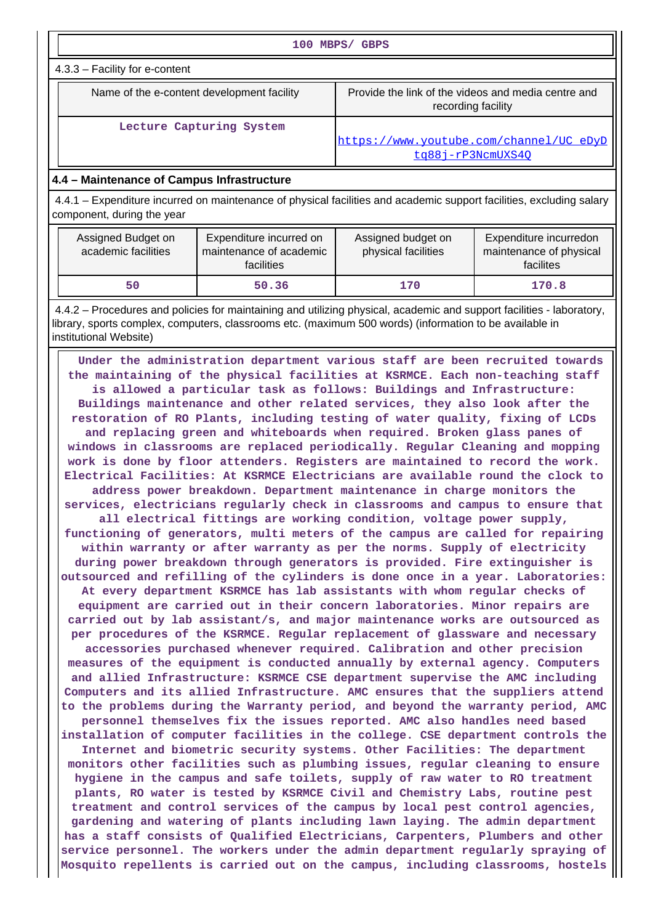| 100 MBPS/ GBPS                                                                                                                                                                                                                                                                                                                                                                                                                                                                                                                                                                                                                                                                                                                                                                                                                                                                                                                                                                                                                                                                                                                                                                                                                                                                                                                                                                                         |                          |                                                                           |       |  |  |  |  |  |
|--------------------------------------------------------------------------------------------------------------------------------------------------------------------------------------------------------------------------------------------------------------------------------------------------------------------------------------------------------------------------------------------------------------------------------------------------------------------------------------------------------------------------------------------------------------------------------------------------------------------------------------------------------------------------------------------------------------------------------------------------------------------------------------------------------------------------------------------------------------------------------------------------------------------------------------------------------------------------------------------------------------------------------------------------------------------------------------------------------------------------------------------------------------------------------------------------------------------------------------------------------------------------------------------------------------------------------------------------------------------------------------------------------|--------------------------|---------------------------------------------------------------------------|-------|--|--|--|--|--|
| 4.3.3 - Facility for e-content                                                                                                                                                                                                                                                                                                                                                                                                                                                                                                                                                                                                                                                                                                                                                                                                                                                                                                                                                                                                                                                                                                                                                                                                                                                                                                                                                                         |                          |                                                                           |       |  |  |  |  |  |
| Name of the e-content development facility                                                                                                                                                                                                                                                                                                                                                                                                                                                                                                                                                                                                                                                                                                                                                                                                                                                                                                                                                                                                                                                                                                                                                                                                                                                                                                                                                             |                          | Provide the link of the videos and media centre and<br>recording facility |       |  |  |  |  |  |
|                                                                                                                                                                                                                                                                                                                                                                                                                                                                                                                                                                                                                                                                                                                                                                                                                                                                                                                                                                                                                                                                                                                                                                                                                                                                                                                                                                                                        | Lecture Capturing System | https://www.youtube.com/channel/UC eDyD<br>tg88j-rP3NcmUXS40              |       |  |  |  |  |  |
| 4.4 - Maintenance of Campus Infrastructure                                                                                                                                                                                                                                                                                                                                                                                                                                                                                                                                                                                                                                                                                                                                                                                                                                                                                                                                                                                                                                                                                                                                                                                                                                                                                                                                                             |                          |                                                                           |       |  |  |  |  |  |
| 4.4.1 – Expenditure incurred on maintenance of physical facilities and academic support facilities, excluding salary<br>component, during the year                                                                                                                                                                                                                                                                                                                                                                                                                                                                                                                                                                                                                                                                                                                                                                                                                                                                                                                                                                                                                                                                                                                                                                                                                                                     |                          |                                                                           |       |  |  |  |  |  |
| Assigned Budget on<br>Expenditure incurred on<br>Assigned budget on<br>Expenditure incurredon<br>academic facilities<br>maintenance of academic<br>physical facilities<br>maintenance of physical<br>facilities<br>facilites                                                                                                                                                                                                                                                                                                                                                                                                                                                                                                                                                                                                                                                                                                                                                                                                                                                                                                                                                                                                                                                                                                                                                                           |                          |                                                                           |       |  |  |  |  |  |
| 50                                                                                                                                                                                                                                                                                                                                                                                                                                                                                                                                                                                                                                                                                                                                                                                                                                                                                                                                                                                                                                                                                                                                                                                                                                                                                                                                                                                                     | 50.36                    | 170                                                                       | 170.8 |  |  |  |  |  |
|                                                                                                                                                                                                                                                                                                                                                                                                                                                                                                                                                                                                                                                                                                                                                                                                                                                                                                                                                                                                                                                                                                                                                                                                                                                                                                                                                                                                        |                          |                                                                           |       |  |  |  |  |  |
| 4.4.2 - Procedures and policies for maintaining and utilizing physical, academic and support facilities - laboratory,<br>library, sports complex, computers, classrooms etc. (maximum 500 words) (information to be available in<br>institutional Website)<br>Under the administration department various staff are been recruited towards<br>the maintaining of the physical facilities at KSRMCE. Each non-teaching staff<br>is allowed a particular task as follows: Buildings and Infrastructure:<br>Buildings maintenance and other related services, they also look after the<br>restoration of RO Plants, including testing of water quality, fixing of LCDs<br>and replacing green and whiteboards when required. Broken glass panes of<br>windows in classrooms are replaced periodically. Regular Cleaning and mopping<br>work is done by floor attenders. Registers are maintained to record the work.<br>Electrical Facilities: At KSRMCE Electricians are available round the clock to<br>address power breakdown. Department maintenance in charge monitors the<br>services, electricians regularly check in classrooms and campus to ensure that<br>all electrical fittings are working condition, voltage power supply,<br>functioning of generators, multi meters of the campus are called for repairing<br>within warranty or after warranty as per the norms. Supply of electricity |                          |                                                                           |       |  |  |  |  |  |

**outsourced and refilling of the cylinders is done once in a year. Laboratories: At every department KSRMCE has lab assistants with whom regular checks of equipment are carried out in their concern laboratories. Minor repairs are carried out by lab assistant/s, and major maintenance works are outsourced as per procedures of the KSRMCE. Regular replacement of glassware and necessary accessories purchased whenever required. Calibration and other precision measures of the equipment is conducted annually by external agency. Computers and allied Infrastructure: KSRMCE CSE department supervise the AMC including Computers and its allied Infrastructure. AMC ensures that the suppliers attend to the problems during the Warranty period, and beyond the warranty period, AMC personnel themselves fix the issues reported. AMC also handles need based installation of computer facilities in the college. CSE department controls the Internet and biometric security systems. Other Facilities: The department monitors other facilities such as plumbing issues, regular cleaning to ensure hygiene in the campus and safe toilets, supply of raw water to RO treatment plants, RO water is tested by KSRMCE Civil and Chemistry Labs, routine pest treatment and control services of the campus by local pest control agencies, gardening and watering of plants including lawn laying. The admin department has a staff consists of Qualified Electricians, Carpenters, Plumbers and other service personnel. The workers under the admin department regularly spraying of Mosquito repellents is carried out on the campus, including classrooms, hostels**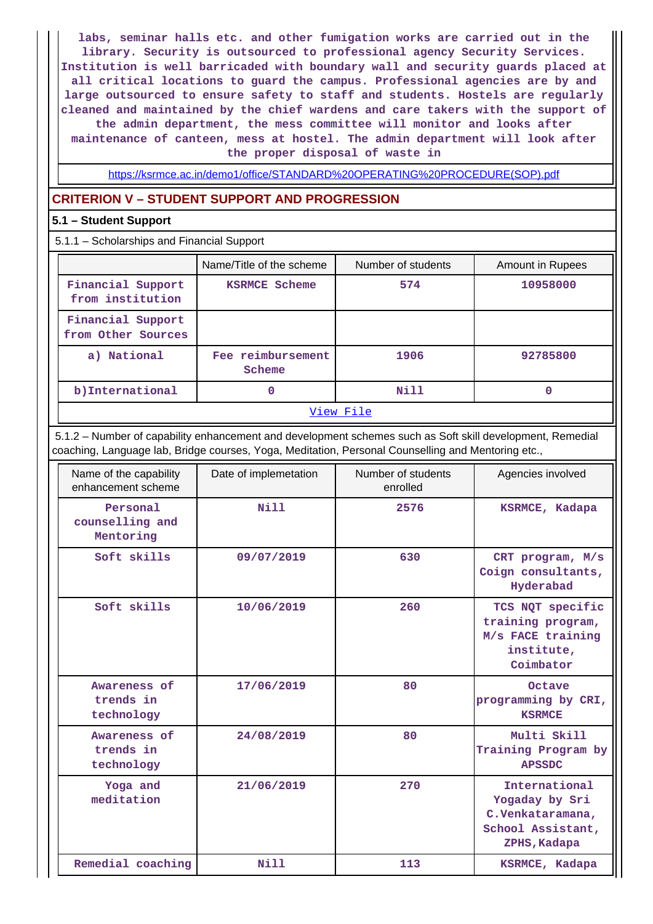**labs, seminar halls etc. and other fumigation works are carried out in the library. Security is outsourced to professional agency Security Services. Institution is well barricaded with boundary wall and security guards placed at all critical locations to guard the campus. Professional agencies are by and large outsourced to ensure safety to staff and students. Hostels are regularly cleaned and maintained by the chief wardens and care takers with the support of the admin department, the mess committee will monitor and looks after maintenance of canteen, mess at hostel. The admin department will look after**

**the proper disposal of waste in**

[https://ksrmce.ac.in/demo1/office/STANDARD%20OPERATING%20PROCEDURE\(SOP\).pdf](https://ksrmce.ac.in/demo1/office/STANDARD%20OPERATING%20PROCEDURE(SOP).pdf)

# **CRITERION V – STUDENT SUPPORT AND PROGRESSION**

## **5.1 – Student Support**

5.1.1 – Scholarships and Financial Support

|                                         | Name/Title of the scheme    | Number of students | <b>Amount in Rupees</b> |  |  |  |
|-----------------------------------------|-----------------------------|--------------------|-------------------------|--|--|--|
| Financial Support<br>from institution   | <b>KSRMCE Scheme</b>        | 574                | 10958000                |  |  |  |
| Financial Support<br>from Other Sources |                             |                    |                         |  |  |  |
| a) National                             | Fee reimbursement<br>Scheme | 1906               | 92785800                |  |  |  |
| b) International                        |                             | Nill               | 0                       |  |  |  |
| View File                               |                             |                    |                         |  |  |  |

 5.1.2 – Number of capability enhancement and development schemes such as Soft skill development, Remedial coaching, Language lab, Bridge courses, Yoga, Meditation, Personal Counselling and Mentoring etc.,

| Name of the capability<br>enhancement scheme | Date of implemetation | Number of students<br>enrolled | Agencies involved                                                                        |
|----------------------------------------------|-----------------------|--------------------------------|------------------------------------------------------------------------------------------|
| Personal<br>counselling and<br>Mentoring     | N11                   | 2576                           | KSRMCE, Kadapa                                                                           |
| Soft skills                                  | 09/07/2019            | 630                            | CRT program, M/s<br>Coign consultants,<br>Hyderabad                                      |
| Soft skills                                  | 10/06/2019            | 260                            | TCS NQT specific<br>training program,<br>M/s FACE training<br>institute,<br>Coimbator    |
| Awareness of<br>trends in<br>technology      | 17/06/2019            | 80                             | Octave<br>programming by CRI,<br><b>KSRMCE</b>                                           |
| Awareness of<br>trends in<br>technology      | 24/08/2019            | 80                             | Multi Skill<br>Training Program by<br><b>APSSDC</b>                                      |
| Yoga and<br>meditation                       | 21/06/2019            | 270                            | International<br>Yogaday by Sri<br>C.Venkataramana,<br>School Assistant,<br>ZPHS, Kadapa |
| Remedial coaching                            | Nill                  | 113                            | KSRMCE, Kadapa                                                                           |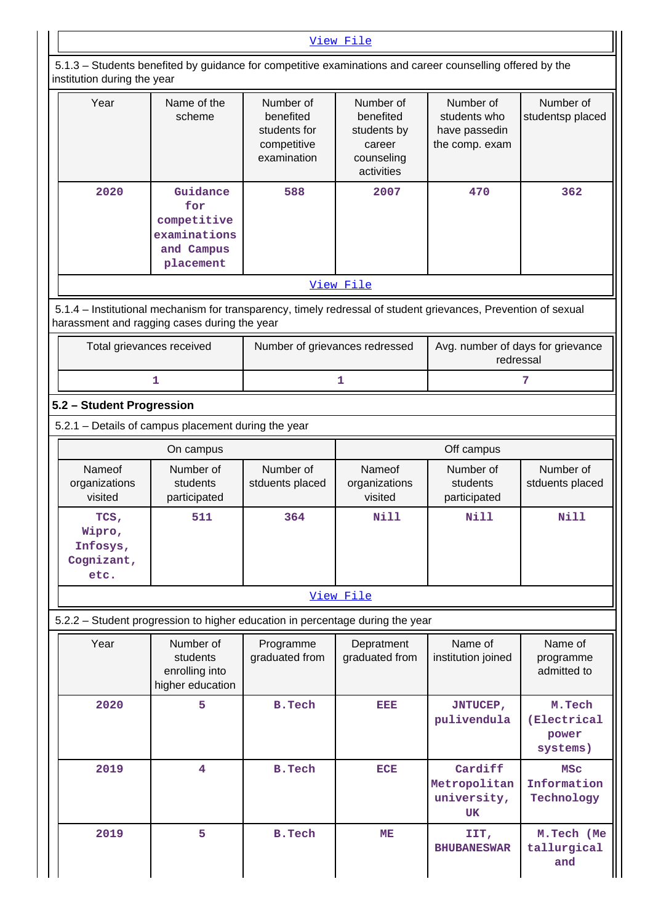|                                                  |                                                                                                                                                                |                                                                      | View File                                                                   |                                                              |                                            |  |
|--------------------------------------------------|----------------------------------------------------------------------------------------------------------------------------------------------------------------|----------------------------------------------------------------------|-----------------------------------------------------------------------------|--------------------------------------------------------------|--------------------------------------------|--|
| institution during the year                      | 5.1.3 – Students benefited by guidance for competitive examinations and career counselling offered by the                                                      |                                                                      |                                                                             |                                                              |                                            |  |
| Year                                             | Name of the<br>scheme                                                                                                                                          | Number of<br>benefited<br>students for<br>competitive<br>examination | Number of<br>benefited<br>students by<br>career<br>counseling<br>activities | Number of<br>students who<br>have passedin<br>the comp. exam | Number of<br>studentsp placed              |  |
| 2020                                             | Guidance<br>for<br>competitive<br>examinations<br>and Campus<br>placement                                                                                      | 588                                                                  | 2007                                                                        | 470                                                          | 362                                        |  |
|                                                  |                                                                                                                                                                |                                                                      | View File                                                                   |                                                              |                                            |  |
|                                                  | 5.1.4 - Institutional mechanism for transparency, timely redressal of student grievances, Prevention of sexual<br>harassment and ragging cases during the year |                                                                      |                                                                             |                                                              |                                            |  |
|                                                  | Total grievances received                                                                                                                                      | Number of grievances redressed                                       |                                                                             | Avg. number of days for grievance<br>redressal               |                                            |  |
|                                                  | 1                                                                                                                                                              |                                                                      | 1                                                                           |                                                              | 7                                          |  |
| 5.2 - Student Progression                        |                                                                                                                                                                |                                                                      |                                                                             |                                                              |                                            |  |
|                                                  | 5.2.1 - Details of campus placement during the year                                                                                                            |                                                                      |                                                                             |                                                              |                                            |  |
|                                                  | On campus                                                                                                                                                      |                                                                      |                                                                             | Off campus                                                   |                                            |  |
| Nameof<br>organizations<br>visited               | Number of<br>students<br>participated                                                                                                                          | Number of<br>stduents placed                                         | Nameof<br>organizations<br>visited                                          | Number of<br>students<br>participated                        | Number of<br>stduents placed               |  |
| TCS,<br>Wipro,<br>Infosys,<br>Cognizant,<br>etc. | 511                                                                                                                                                            | 364                                                                  | <b>Nill</b>                                                                 | <b>Nill</b>                                                  | <b>Nill</b>                                |  |
|                                                  |                                                                                                                                                                |                                                                      | View File                                                                   |                                                              |                                            |  |
|                                                  | 5.2.2 - Student progression to higher education in percentage during the year                                                                                  |                                                                      |                                                                             |                                                              |                                            |  |
| Year                                             | Number of<br>students<br>enrolling into<br>higher education                                                                                                    | Programme<br>graduated from                                          | Depratment<br>graduated from                                                | Name of<br>institution joined                                | Name of<br>programme<br>admitted to        |  |
| 2020                                             | 5                                                                                                                                                              | <b>B.Tech</b>                                                        | EEE                                                                         | <b>JNTUCEP,</b><br>pulivendula                               | M.Tech<br>(Electrical<br>power<br>systems) |  |
| 2019                                             | $\overline{4}$                                                                                                                                                 | <b>B.Tech</b>                                                        | <b>ECE</b>                                                                  | Cardiff<br>Metropolitan<br>university,<br><b>UK</b>          | <b>MSC</b><br>Information<br>Technology    |  |
| 2019                                             | 5                                                                                                                                                              | <b>B.Tech</b>                                                        | ME                                                                          | IIT,<br><b>BHUBANESWAR</b>                                   | M.Tech (Me<br>tallurgical<br>and           |  |

٦I

 $\mathbf{I}$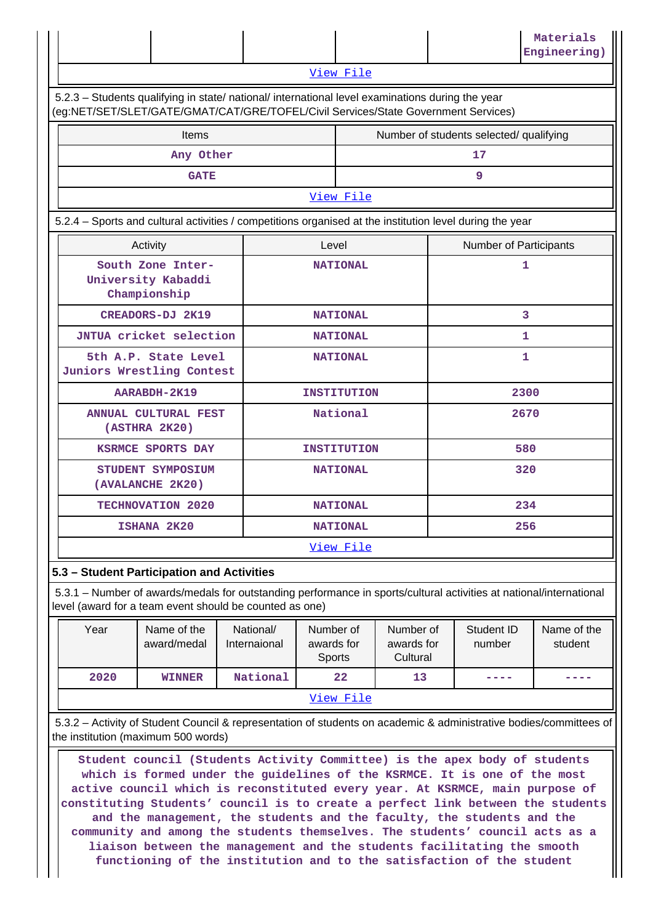|                                                                                                                                                                                        |  |  |  |  | Materials<br>Engineering) |  |  |
|----------------------------------------------------------------------------------------------------------------------------------------------------------------------------------------|--|--|--|--|---------------------------|--|--|
| View File                                                                                                                                                                              |  |  |  |  |                           |  |  |
| 5.2.3 - Students qualifying in state/ national/ international level examinations during the year<br>(eg:NET/SET/SLET/GATE/GMAT/CAT/GRE/TOFEL/Civil Services/State Government Services) |  |  |  |  |                           |  |  |
| Number of students selected/ qualifying<br><b>Items</b>                                                                                                                                |  |  |  |  |                           |  |  |

| .           | <b>Trainber</b> or staachts sciedtear qualitying |  |  |  |  |
|-------------|--------------------------------------------------|--|--|--|--|
| Any Other   | 17                                               |  |  |  |  |
| <b>GATE</b> |                                                  |  |  |  |  |
| View File   |                                                  |  |  |  |  |

5.2.4 – Sports and cultural activities / competitions organised at the institution level during the year

| Activity                                                | Level              | <b>Number of Participants</b> |
|---------------------------------------------------------|--------------------|-------------------------------|
| South Zone Inter-<br>University Kabaddi<br>Championship | <b>NATIONAL</b>    | 1                             |
| CREADORS-DJ 2K19                                        | <b>NATIONAL</b>    | 3                             |
| JNTUA cricket selection                                 | <b>NATIONAL</b>    | 1                             |
| 5th A.P. State Level<br>Juniors Wrestling Contest       | <b>NATIONAL</b>    | 1                             |
| AARABDH-2K19                                            | <b>INSTITUTION</b> | 2300                          |
| ANNUAL CULTURAL FEST<br>(ASTHRA 2K20)                   | National           | 2670                          |
| KSRMCE SPORTS DAY                                       | <b>INSTITUTION</b> | 580                           |
| STUDENT SYMPOSIUM<br>(AVALANCHE 2K20)                   | <b>NATIONAL</b>    | 320                           |
| TECHNOVATION 2020                                       | <b>NATIONAL</b>    | 234                           |
| ISHANA 2K20                                             | <b>NATIONAL</b>    | 256                           |
|                                                         | <u>View File</u>   |                               |

# **5.3 – Student Participation and Activities**

 5.3.1 – Number of awards/medals for outstanding performance in sports/cultural activities at national/international level (award for a team event should be counted as one)

| Year      | Name of the<br>award/medal | National/<br>Internaional | Number of<br>awards for<br><b>Sports</b> | Number of<br>awards for<br>Cultural | Student ID<br>number | Name of the<br>student |  |  |
|-----------|----------------------------|---------------------------|------------------------------------------|-------------------------------------|----------------------|------------------------|--|--|
| 2020      | <b>WINNER</b>              | National                  | 22                                       | 13                                  |                      |                        |  |  |
| View File |                            |                           |                                          |                                     |                      |                        |  |  |

 5.3.2 – Activity of Student Council & representation of students on academic & administrative bodies/committees of the institution (maximum 500 words)

 **Student council (Students Activity Committee) is the apex body of students which is formed under the guidelines of the KSRMCE. It is one of the most active council which is reconstituted every year. At KSRMCE, main purpose of constituting Students' council is to create a perfect link between the students and the management, the students and the faculty, the students and the community and among the students themselves. The students' council acts as a liaison between the management and the students facilitating the smooth functioning of the institution and to the satisfaction of the student**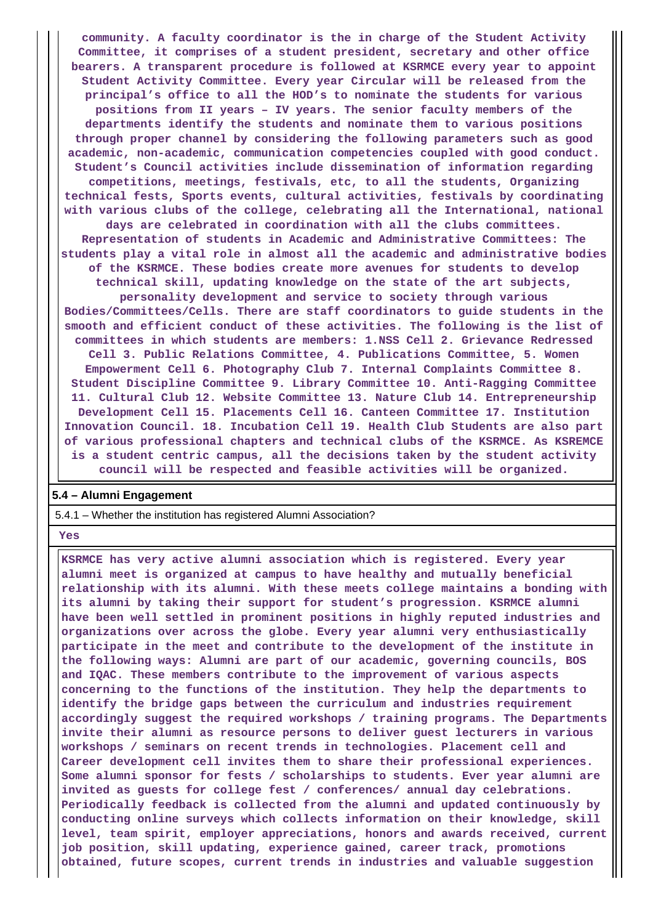**community. A faculty coordinator is the in charge of the Student Activity Committee, it comprises of a student president, secretary and other office bearers. A transparent procedure is followed at KSRMCE every year to appoint Student Activity Committee. Every year Circular will be released from the principal's office to all the HOD's to nominate the students for various positions from II years – IV years. The senior faculty members of the departments identify the students and nominate them to various positions through proper channel by considering the following parameters such as good academic, non-academic, communication competencies coupled with good conduct. Student's Council activities include dissemination of information regarding competitions, meetings, festivals, etc, to all the students, Organizing technical fests, Sports events, cultural activities, festivals by coordinating with various clubs of the college, celebrating all the International, national days are celebrated in coordination with all the clubs committees. Representation of students in Academic and Administrative Committees: The students play a vital role in almost all the academic and administrative bodies of the KSRMCE. These bodies create more avenues for students to develop technical skill, updating knowledge on the state of the art subjects, personality development and service to society through various Bodies/Committees/Cells. There are staff coordinators to guide students in the smooth and efficient conduct of these activities. The following is the list of committees in which students are members: 1.NSS Cell 2. Grievance Redressed Cell 3. Public Relations Committee, 4. Publications Committee, 5. Women Empowerment Cell 6. Photography Club 7. Internal Complaints Committee 8. Student Discipline Committee 9. Library Committee 10. Anti-Ragging Committee 11. Cultural Club 12. Website Committee 13. Nature Club 14. Entrepreneurship Development Cell 15. Placements Cell 16. Canteen Committee 17. Institution Innovation Council. 18. Incubation Cell 19. Health Club Students are also part of various professional chapters and technical clubs of the KSRMCE. As KSREMCE is a student centric campus, all the decisions taken by the student activity council will be respected and feasible activities will be organized.**

#### **5.4 – Alumni Engagement**

5.4.1 – Whether the institution has registered Alumni Association?

 **Yes**

 **KSRMCE has very active alumni association which is registered. Every year alumni meet is organized at campus to have healthy and mutually beneficial relationship with its alumni. With these meets college maintains a bonding with its alumni by taking their support for student's progression. KSRMCE alumni have been well settled in prominent positions in highly reputed industries and organizations over across the globe. Every year alumni very enthusiastically participate in the meet and contribute to the development of the institute in the following ways: Alumni are part of our academic, governing councils, BOS and IQAC. These members contribute to the improvement of various aspects concerning to the functions of the institution. They help the departments to identify the bridge gaps between the curriculum and industries requirement accordingly suggest the required workshops / training programs. The Departments invite their alumni as resource persons to deliver guest lecturers in various workshops / seminars on recent trends in technologies. Placement cell and Career development cell invites them to share their professional experiences. Some alumni sponsor for fests / scholarships to students. Ever year alumni are invited as guests for college fest / conferences/ annual day celebrations. Periodically feedback is collected from the alumni and updated continuously by conducting online surveys which collects information on their knowledge, skill level, team spirit, employer appreciations, honors and awards received, current job position, skill updating, experience gained, career track, promotions obtained, future scopes, current trends in industries and valuable suggestion**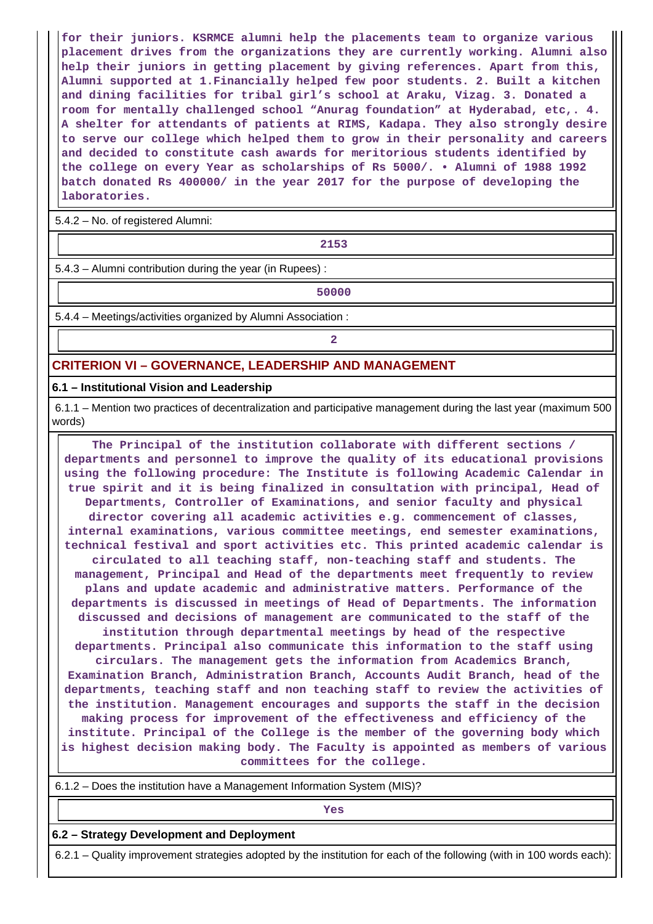**for their juniors. KSRMCE alumni help the placements team to organize various placement drives from the organizations they are currently working. Alumni also help their juniors in getting placement by giving references. Apart from this, Alumni supported at 1.Financially helped few poor students. 2. Built a kitchen and dining facilities for tribal girl's school at Araku, Vizag. 3. Donated a room for mentally challenged school "Anurag foundation" at Hyderabad, etc,. 4. A shelter for attendants of patients at RIMS, Kadapa. They also strongly desire to serve our college which helped them to grow in their personality and careers and decided to constitute cash awards for meritorious students identified by the college on every Year as scholarships of Rs 5000/. • Alumni of 1988 1992 batch donated Rs 400000/ in the year 2017 for the purpose of developing the laboratories.**

5.4.2 – No. of registered Alumni:

**2153**

5.4.3 – Alumni contribution during the year (in Rupees) :

**1** 50000

5.4.4 – Meetings/activities organized by Alumni Association :

**2**

# **CRITERION VI – GOVERNANCE, LEADERSHIP AND MANAGEMENT**

#### **6.1 – Institutional Vision and Leadership**

 6.1.1 – Mention two practices of decentralization and participative management during the last year (maximum 500 words)

 **The Principal of the institution collaborate with different sections / departments and personnel to improve the quality of its educational provisions using the following procedure: The Institute is following Academic Calendar in true spirit and it is being finalized in consultation with principal, Head of Departments, Controller of Examinations, and senior faculty and physical director covering all academic activities e.g. commencement of classes, internal examinations, various committee meetings, end semester examinations, technical festival and sport activities etc. This printed academic calendar is circulated to all teaching staff, non-teaching staff and students. The management, Principal and Head of the departments meet frequently to review plans and update academic and administrative matters. Performance of the departments is discussed in meetings of Head of Departments. The information discussed and decisions of management are communicated to the staff of the institution through departmental meetings by head of the respective departments. Principal also communicate this information to the staff using circulars. The management gets the information from Academics Branch, Examination Branch, Administration Branch, Accounts Audit Branch, head of the departments, teaching staff and non teaching staff to review the activities of the institution. Management encourages and supports the staff in the decision making process for improvement of the effectiveness and efficiency of the institute. Principal of the College is the member of the governing body which is highest decision making body. The Faculty is appointed as members of various committees for the college.**

6.1.2 – Does the institution have a Management Information System (MIS)?

*Yes* 

**6.2 – Strategy Development and Deployment**

6.2.1 – Quality improvement strategies adopted by the institution for each of the following (with in 100 words each):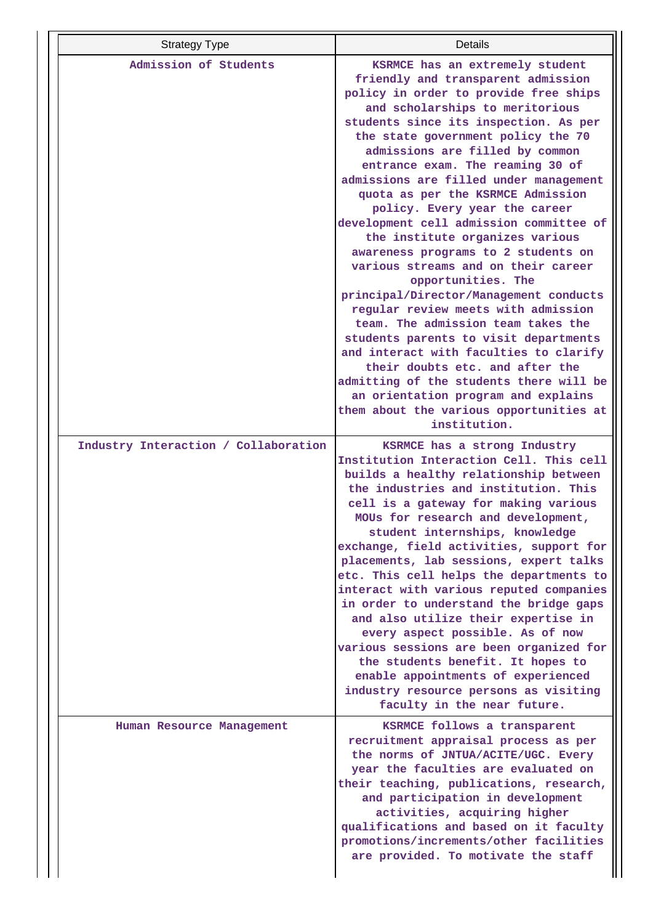| <b>Strategy Type</b>                 | Details                                                                           |
|--------------------------------------|-----------------------------------------------------------------------------------|
| Admission of Students                | KSRMCE has an extremely student                                                   |
|                                      | friendly and transparent admission<br>policy in order to provide free ships       |
|                                      | and scholarships to meritorious                                                   |
|                                      | students since its inspection. As per                                             |
|                                      | the state government policy the 70                                                |
|                                      | admissions are filled by common                                                   |
|                                      | entrance exam. The reaming 30 of                                                  |
|                                      | admissions are filled under management                                            |
|                                      | quota as per the KSRMCE Admission                                                 |
|                                      | policy. Every year the career                                                     |
|                                      | development cell admission committee of                                           |
|                                      | the institute organizes various                                                   |
|                                      | awareness programs to 2 students on<br>various streams and on their career        |
|                                      | opportunities. The                                                                |
|                                      | principal/Director/Management conducts                                            |
|                                      | regular review meets with admission                                               |
|                                      | team. The admission team takes the                                                |
|                                      | students parents to visit departments                                             |
|                                      | and interact with faculties to clarify                                            |
|                                      | their doubts etc. and after the                                                   |
|                                      | admitting of the students there will be                                           |
|                                      | an orientation program and explains<br>them about the various opportunities at    |
|                                      | institution.                                                                      |
|                                      |                                                                                   |
| Industry Interaction / Collaboration | KSRMCE has a strong Industry<br>Institution Interaction Cell. This cell           |
|                                      | builds a healthy relationship between                                             |
|                                      | the industries and institution. This                                              |
|                                      | cell is a gateway for making various                                              |
|                                      | MOUs for research and development,                                                |
|                                      | student internships, knowledge                                                    |
|                                      | exchange, field activities, support for                                           |
|                                      | placements, lab sessions, expert talks<br>etc. This cell helps the departments to |
|                                      | interact with various reputed companies                                           |
|                                      | in order to understand the bridge gaps                                            |
|                                      | and also utilize their expertise in                                               |
|                                      | every aspect possible. As of now                                                  |
|                                      | various sessions are been organized for                                           |
|                                      | the students benefit. It hopes to                                                 |
|                                      | enable appointments of experienced                                                |
|                                      | industry resource persons as visiting<br>faculty in the near future.              |
|                                      |                                                                                   |
| Human Resource Management            | KSRMCE follows a transparent                                                      |
|                                      | recruitment appraisal process as per                                              |
|                                      | the norms of JNTUA/ACITE/UGC. Every<br>year the faculties are evaluated on        |
|                                      | their teaching, publications, research,                                           |
|                                      | and participation in development                                                  |
|                                      | activities, acquiring higher                                                      |
|                                      | qualifications and based on it faculty                                            |
|                                      | promotions/increments/other facilities                                            |
|                                      | are provided. To motivate the staff                                               |
|                                      |                                                                                   |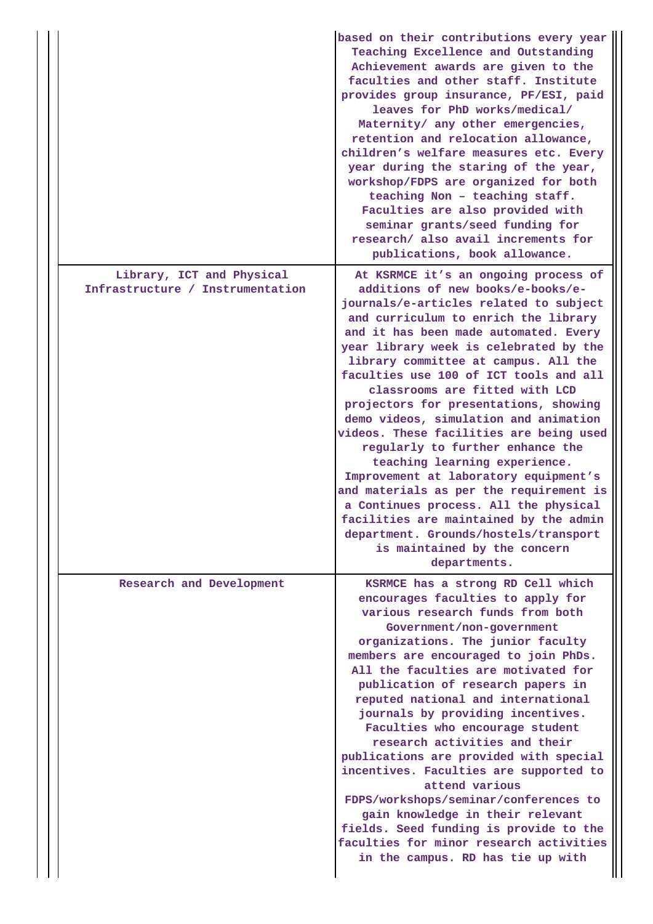|                                                               | based on their contributions every year<br>Teaching Excellence and Outstanding<br>Achievement awards are given to the<br>faculties and other staff. Institute<br>provides group insurance, PF/ESI, paid<br>leaves for PhD works/medical/<br>Maternity/ any other emergencies,<br>retention and relocation allowance,<br>children's welfare measures etc. Every<br>year during the staring of the year,<br>workshop/FDPS are organized for both<br>teaching Non - teaching staff.<br>Faculties are also provided with<br>seminar grants/seed funding for<br>research/ also avail increments for<br>publications, book allowance.                                                                                                                                                                                                      |
|---------------------------------------------------------------|--------------------------------------------------------------------------------------------------------------------------------------------------------------------------------------------------------------------------------------------------------------------------------------------------------------------------------------------------------------------------------------------------------------------------------------------------------------------------------------------------------------------------------------------------------------------------------------------------------------------------------------------------------------------------------------------------------------------------------------------------------------------------------------------------------------------------------------|
| Library, ICT and Physical<br>Infrastructure / Instrumentation | At KSRMCE it's an ongoing process of<br>additions of new books/e-books/e-<br>journals/e-articles related to subject<br>and curriculum to enrich the library<br>and it has been made automated. Every<br>year library week is celebrated by the<br>library committee at campus. All the<br>faculties use 100 of ICT tools and all<br>classrooms are fitted with LCD<br>projectors for presentations, showing<br>demo videos, simulation and animation<br>videos. These facilities are being used<br>regularly to further enhance the<br>teaching learning experience.<br>Improvement at laboratory equipment's<br>and materials as per the requirement is<br>a Continues process. All the physical<br>facilities are maintained by the admin<br>department. Grounds/hostels/transport<br>is maintained by the concern<br>departments. |
| Research and Development                                      | KSRMCE has a strong RD Cell which<br>encourages faculties to apply for<br>various research funds from both<br>Government/non-government<br>organizations. The junior faculty<br>members are encouraged to join PhDs.<br>All the faculties are motivated for<br>publication of research papers in<br>reputed national and international<br>journals by providing incentives.<br>Faculties who encourage student<br>research activities and their<br>publications are provided with special<br>incentives. Faculties are supported to<br>attend various<br>FDPS/workshops/seminar/conferences to<br>gain knowledge in their relevant<br>fields. Seed funding is provide to the<br>faculties for minor research activities<br>in the campus. RD has tie up with                                                                         |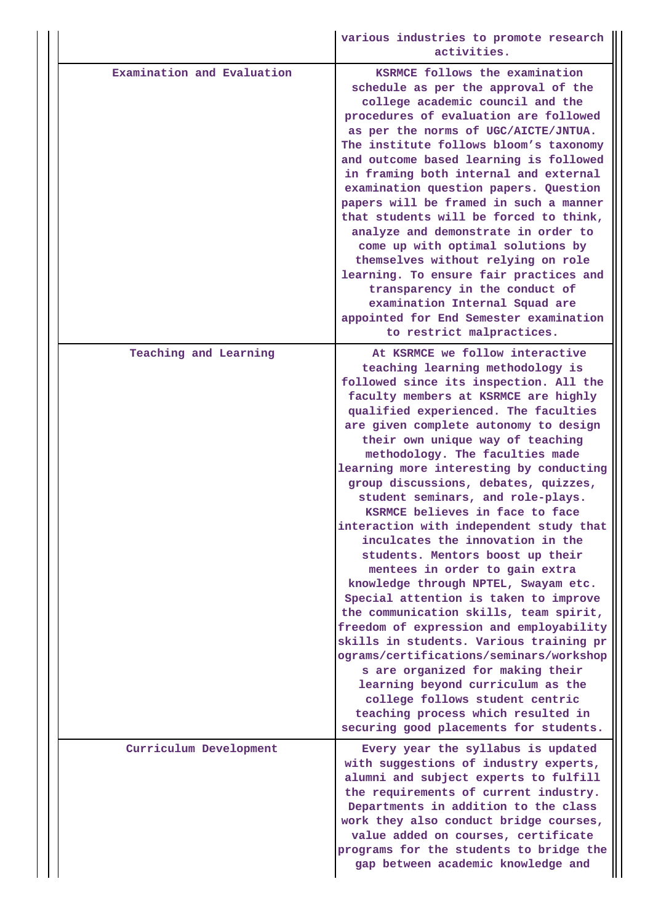|                            | various industries to promote research<br>activities.                                                                                                                                                                                                                                                                                                                                                                                                                                                                                                                                                                                                                                                                                                                                                                                                                                                                                                                                                                                                                                 |
|----------------------------|---------------------------------------------------------------------------------------------------------------------------------------------------------------------------------------------------------------------------------------------------------------------------------------------------------------------------------------------------------------------------------------------------------------------------------------------------------------------------------------------------------------------------------------------------------------------------------------------------------------------------------------------------------------------------------------------------------------------------------------------------------------------------------------------------------------------------------------------------------------------------------------------------------------------------------------------------------------------------------------------------------------------------------------------------------------------------------------|
| Examination and Evaluation | KSRMCE follows the examination<br>schedule as per the approval of the<br>college academic council and the<br>procedures of evaluation are followed<br>as per the norms of UGC/AICTE/JNTUA.<br>The institute follows bloom's taxonomy<br>and outcome based learning is followed<br>in framing both internal and external<br>examination question papers. Question<br>papers will be framed in such a manner<br>that students will be forced to think,<br>analyze and demonstrate in order to<br>come up with optimal solutions by<br>themselves without relying on role<br>learning. To ensure fair practices and<br>transparency in the conduct of<br>examination Internal Squad are<br>appointed for End Semester examination<br>to restrict malpractices.                                                                                                                                                                                                                                                                                                                           |
| Teaching and Learning      | At KSRMCE we follow interactive<br>teaching learning methodology is<br>followed since its inspection. All the<br>faculty members at KSRMCE are highly<br>qualified experienced. The faculties<br>are given complete autonomy to design<br>their own unique way of teaching<br>methodology. The faculties made<br>learning more interesting by conducting<br>group discussions, debates, quizzes,<br>student seminars, and role-plays.<br>KSRMCE believes in face to face<br>interaction with independent study that<br>inculcates the innovation in the<br>students. Mentors boost up their<br>mentees in order to gain extra<br>knowledge through NPTEL, Swayam etc.<br>Special attention is taken to improve<br>the communication skills, team spirit,<br>freedom of expression and employability<br>skills in students. Various training pr<br>ograms/certifications/seminars/workshop<br>s are organized for making their<br>learning beyond curriculum as the<br>college follows student centric<br>teaching process which resulted in<br>securing good placements for students. |
| Curriculum Development     | Every year the syllabus is updated<br>with suggestions of industry experts,<br>alumni and subject experts to fulfill<br>the requirements of current industry.<br>Departments in addition to the class<br>work they also conduct bridge courses,<br>value added on courses, certificate<br>programs for the students to bridge the<br>gap between academic knowledge and                                                                                                                                                                                                                                                                                                                                                                                                                                                                                                                                                                                                                                                                                                               |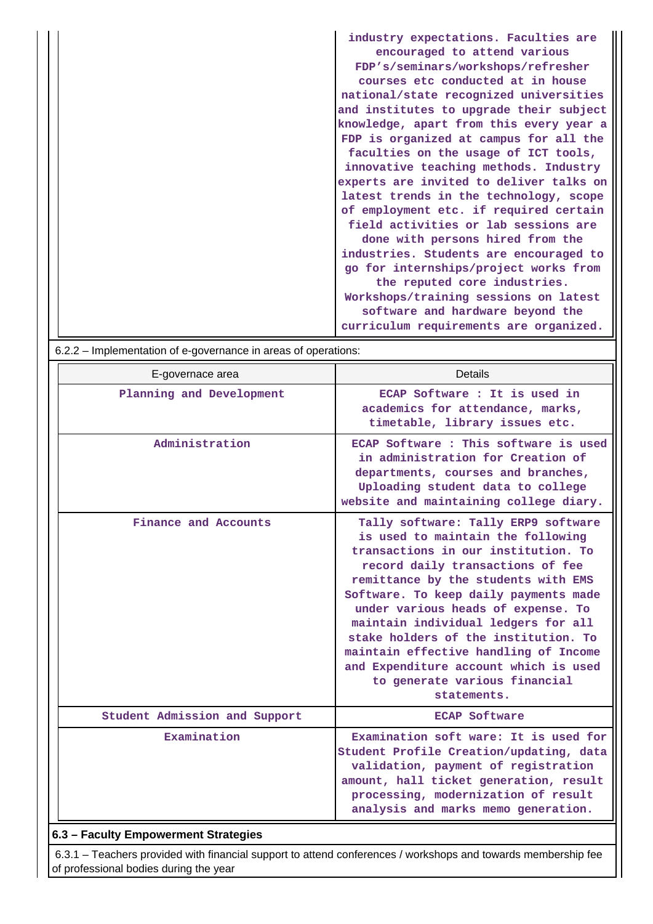| industry expectations. Faculties are    |
|-----------------------------------------|
| encouraged to attend various            |
| FDP's/seminars/workshops/refresher      |
| courses etc conducted at in house       |
| national/state recognized universities  |
| and institutes to upgrade their subject |
| knowledge, apart from this every year a |
| FDP is organized at campus for all the  |
| faculties on the usage of ICT tools,    |
| innovative teaching methods. Industry   |
| experts are invited to deliver talks on |
| latest trends in the technology, scope  |
| of employment etc. if required certain  |
| field activities or lab sessions are    |
| done with persons hired from the        |
| industries. Students are encouraged to  |
| go for internships/project works from   |
| the reputed core industries.            |
| Workshops/training sessions on latest   |
| software and hardware beyond the        |
| curriculum requirements are organized.  |

| $0.2.2$ mpononciation or c governance in areas or operations. |                                                                                                                                                                                                                                                                                                                                                                                                                                                                                            |
|---------------------------------------------------------------|--------------------------------------------------------------------------------------------------------------------------------------------------------------------------------------------------------------------------------------------------------------------------------------------------------------------------------------------------------------------------------------------------------------------------------------------------------------------------------------------|
| E-governace area                                              | <b>Details</b>                                                                                                                                                                                                                                                                                                                                                                                                                                                                             |
| Planning and Development                                      | ECAP Software : It is used in<br>academics for attendance, marks,<br>timetable, library issues etc.                                                                                                                                                                                                                                                                                                                                                                                        |
| Administration                                                | ECAP Software: This software is used<br>in administration for Creation of<br>departments, courses and branches,<br>Uploading student data to college<br>website and maintaining college diary.                                                                                                                                                                                                                                                                                             |
| Finance and Accounts                                          | Tally software: Tally ERP9 software<br>is used to maintain the following<br>transactions in our institution. To<br>record daily transactions of fee<br>remittance by the students with EMS<br>Software. To keep daily payments made<br>under various heads of expense. To<br>maintain individual ledgers for all<br>stake holders of the institution. To<br>maintain effective handling of Income<br>and Expenditure account which is used<br>to generate various financial<br>statements. |
| Student Admission and Support                                 | <b>ECAP Software</b>                                                                                                                                                                                                                                                                                                                                                                                                                                                                       |
| Examination                                                   | Examination soft ware: It is used for<br>Student Profile Creation/updating, data<br>validation, payment of registration<br>amount, hall ticket generation, result<br>processing, modernization of result<br>analysis and marks memo generation.                                                                                                                                                                                                                                            |

# $6.22 -$  Implementation of e-governance in areas of operations:

# **6.3 – Faculty Empowerment Strategies**

 6.3.1 – Teachers provided with financial support to attend conferences / workshops and towards membership fee of professional bodies during the year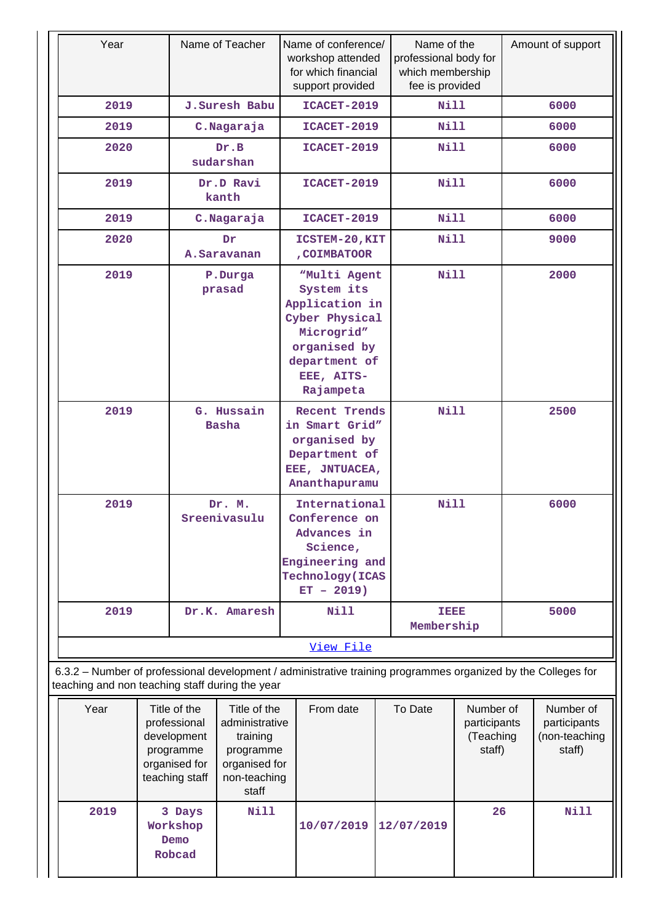| Year                                                                                                                                                             |                        |                                                                                             | Name of Teacher                                                                                                                                         |                                                                                                                          | Name of conference/<br>workshop attended<br>for which financial<br>support provided |                    | Name of the<br>professional body for<br>which membership<br>fee is provided |                                                  | Amount of support |                                                      |
|------------------------------------------------------------------------------------------------------------------------------------------------------------------|------------------------|---------------------------------------------------------------------------------------------|---------------------------------------------------------------------------------------------------------------------------------------------------------|--------------------------------------------------------------------------------------------------------------------------|-------------------------------------------------------------------------------------|--------------------|-----------------------------------------------------------------------------|--------------------------------------------------|-------------------|------------------------------------------------------|
| 2019                                                                                                                                                             |                        |                                                                                             | J.Suresh Babu                                                                                                                                           |                                                                                                                          | ICACET-2019                                                                         |                    | Nill                                                                        |                                                  |                   | 6000                                                 |
| 2019                                                                                                                                                             |                        |                                                                                             | C.Nagaraja                                                                                                                                              |                                                                                                                          | ICACET-2019                                                                         |                    | <b>Nill</b>                                                                 |                                                  |                   | 6000                                                 |
| 2020                                                                                                                                                             |                        |                                                                                             | Dr.B<br>sudarshan                                                                                                                                       |                                                                                                                          | ICACET-2019                                                                         |                    | <b>Nill</b>                                                                 |                                                  |                   | 6000                                                 |
| 2019                                                                                                                                                             |                        |                                                                                             | Dr.D Ravi<br>kanth                                                                                                                                      |                                                                                                                          | ICACET-2019                                                                         |                    | <b>Nill</b>                                                                 |                                                  |                   | 6000                                                 |
| 2019                                                                                                                                                             |                        |                                                                                             | C.Nagaraja                                                                                                                                              |                                                                                                                          | ICACET-2019                                                                         |                    | <b>Nill</b>                                                                 |                                                  |                   | 6000                                                 |
| 2020                                                                                                                                                             |                        |                                                                                             | Dr<br>A.Saravanan                                                                                                                                       |                                                                                                                          | ICSTEM-20, KIT<br>, COIMBATOOR                                                      |                    | <b>Nill</b>                                                                 |                                                  |                   | 9000                                                 |
| 2019<br>P.Durga<br>prasad                                                                                                                                        |                        |                                                                                             | <b>Nill</b><br>"Multi Agent<br>System its<br>Application in<br>Cyber Physical<br>Microgrid"<br>organised by<br>department of<br>EEE, AITS-<br>Rajampeta |                                                                                                                          |                                                                                     | 2000               |                                                                             |                                                  |                   |                                                      |
| 2019<br>G. Hussain<br><b>Basha</b>                                                                                                                               |                        |                                                                                             |                                                                                                                                                         | <b>Recent Trends</b><br>in Smart Grid"<br>organised by<br>Department of<br>EEE, JNTUACEA,<br>Ananthapuramu               |                                                                                     | <b>Nill</b>        |                                                                             | 2500                                             |                   |                                                      |
| 2019                                                                                                                                                             | Dr. M.<br>Sreenivasulu |                                                                                             |                                                                                                                                                         | International<br>Conference on<br>Advances in<br>Science,<br>Engineering and<br><b>Technology</b> (ICAS<br>$ET - 2019$ ) |                                                                                     | <b>Nill</b>        |                                                                             |                                                  | 6000              |                                                      |
| 2019                                                                                                                                                             |                        |                                                                                             | Dr.K. Amaresh                                                                                                                                           |                                                                                                                          | <b>Nill</b>                                                                         | TEEE<br>Membership |                                                                             |                                                  |                   | 5000                                                 |
|                                                                                                                                                                  |                        |                                                                                             |                                                                                                                                                         | View File                                                                                                                |                                                                                     |                    |                                                                             |                                                  |                   |                                                      |
| 6.3.2 - Number of professional development / administrative training programmes organized by the Colleges for<br>teaching and non teaching staff during the year |                        |                                                                                             |                                                                                                                                                         |                                                                                                                          |                                                                                     |                    |                                                                             |                                                  |                   |                                                      |
| Year                                                                                                                                                             |                        | Title of the<br>professional<br>development<br>programme<br>organised for<br>teaching staff | Title of the<br>administrative<br>training<br>programme<br>organised for<br>non-teaching<br>staff                                                       |                                                                                                                          | From date                                                                           |                    | To Date                                                                     | Number of<br>participants<br>(Teaching<br>staff) |                   | Number of<br>participants<br>(non-teaching<br>staff) |
| 2019                                                                                                                                                             |                        | 3 Days<br>Workshop<br>Demo<br>Robcad                                                        | <b>Nill</b>                                                                                                                                             |                                                                                                                          | 10/07/2019                                                                          |                    | 12/07/2019                                                                  | 26                                               |                   | Nill                                                 |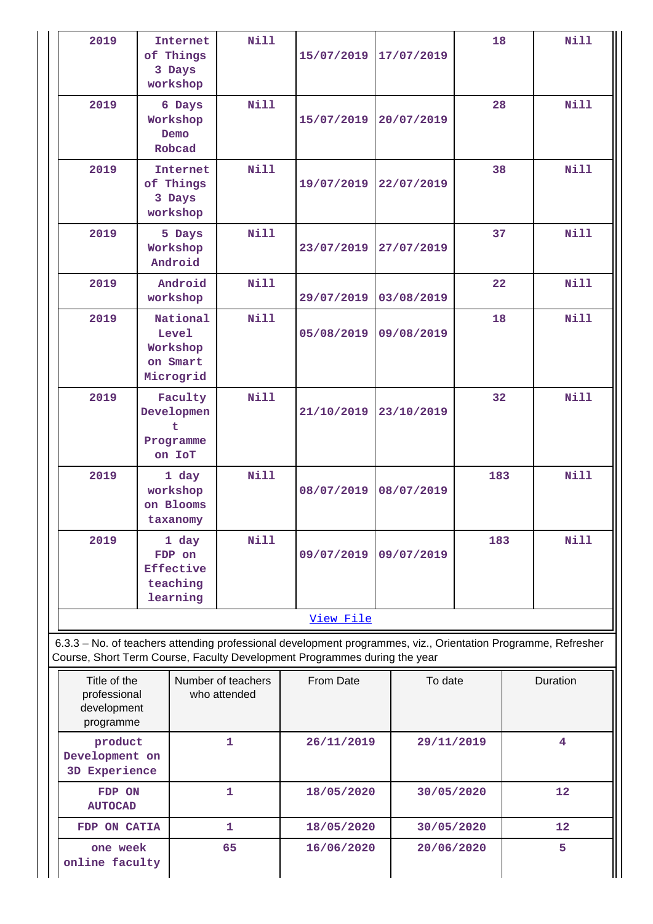|                           | 2019                                                     |                                                        | <b>Internet</b><br>of Things<br>3 Days<br>workshop   | <b>Nill</b>  | 15/07/2019                                                                                                                                                                                 |            | 17/07/2019 | 18  |   | Nill        |
|---------------------------|----------------------------------------------------------|--------------------------------------------------------|------------------------------------------------------|--------------|--------------------------------------------------------------------------------------------------------------------------------------------------------------------------------------------|------------|------------|-----|---|-------------|
|                           | 2019                                                     |                                                        | 6 Days<br>Workshop<br>Demo<br>Robcad                 | <b>Nill</b>  | 15/07/2019                                                                                                                                                                                 |            | 20/07/2019 | 28  |   | Nill        |
|                           | 2019                                                     |                                                        | <b>Internet</b><br>of Things<br>3 Days<br>workshop   | <b>Nill</b>  | 19/07/2019                                                                                                                                                                                 |            | 22/07/2019 | 38  |   | <b>Nill</b> |
|                           | 2019                                                     |                                                        | 5 Days<br>Workshop<br>Android                        | <b>Nill</b>  | 23/07/2019                                                                                                                                                                                 |            | 27/07/2019 | 37  |   | <b>Nill</b> |
|                           | 2019                                                     |                                                        | Android<br>workshop                                  | Nill         | 29/07/2019                                                                                                                                                                                 |            | 03/08/2019 | 22  |   | <b>Nill</b> |
|                           | 2019                                                     | National<br>Level<br>Workshop<br>on Smart<br>Microgrid |                                                      | <b>Nill</b>  | 05/08/2019                                                                                                                                                                                 |            | 09/08/2019 | 18  |   | <b>Nill</b> |
|                           | 2019                                                     |                                                        | Faculty<br>Developmen<br>t<br>Programme<br>on IoT    | <b>Nill</b>  | 21/10/2019                                                                                                                                                                                 |            | 23/10/2019 | 32  |   | <b>Nill</b> |
|                           | 2019                                                     |                                                        | 1 day<br>workshop<br>on Blooms<br>taxanomy           | <b>Nill</b>  | 08/07/2019                                                                                                                                                                                 |            | 08/07/2019 | 183 |   | <b>Nill</b> |
|                           | 2019                                                     |                                                        | 1 day<br>FDP on<br>Effective<br>teaching<br>learning | <b>Nill</b>  | 09/07/2019                                                                                                                                                                                 | 09/07/2019 |            | 183 |   | <b>Nill</b> |
|                           |                                                          |                                                        |                                                      |              | View File                                                                                                                                                                                  |            |            |     |   |             |
|                           |                                                          |                                                        |                                                      |              | 6.3.3 - No. of teachers attending professional development programmes, viz., Orientation Programme, Refresher<br>Course, Short Term Course, Faculty Development Programmes during the year |            |            |     |   |             |
|                           | Title of the<br>professional<br>development<br>programme |                                                        | Number of teachers<br>who attended                   |              | From Date                                                                                                                                                                                  | To date    |            |     |   | Duration    |
|                           | product<br>Development on<br>3D Experience               |                                                        | $\mathbf{1}$                                         | 26/11/2019   |                                                                                                                                                                                            | 29/11/2019 |            |     | 4 |             |
|                           | FDP ON<br><b>AUTOCAD</b>                                 |                                                        |                                                      | $\mathbf{1}$ | 18/05/2020                                                                                                                                                                                 |            | 30/05/2020 |     |   | 12          |
|                           | FDP ON CATIA                                             |                                                        |                                                      | 1            | 18/05/2020                                                                                                                                                                                 |            | 30/05/2020 |     |   | 12          |
| one week<br>mline faculty |                                                          |                                                        | 65                                                   | 16/06/2020   |                                                                                                                                                                                            | 20/06/2020 |            |     | 5 |             |

Ш

**online faculty**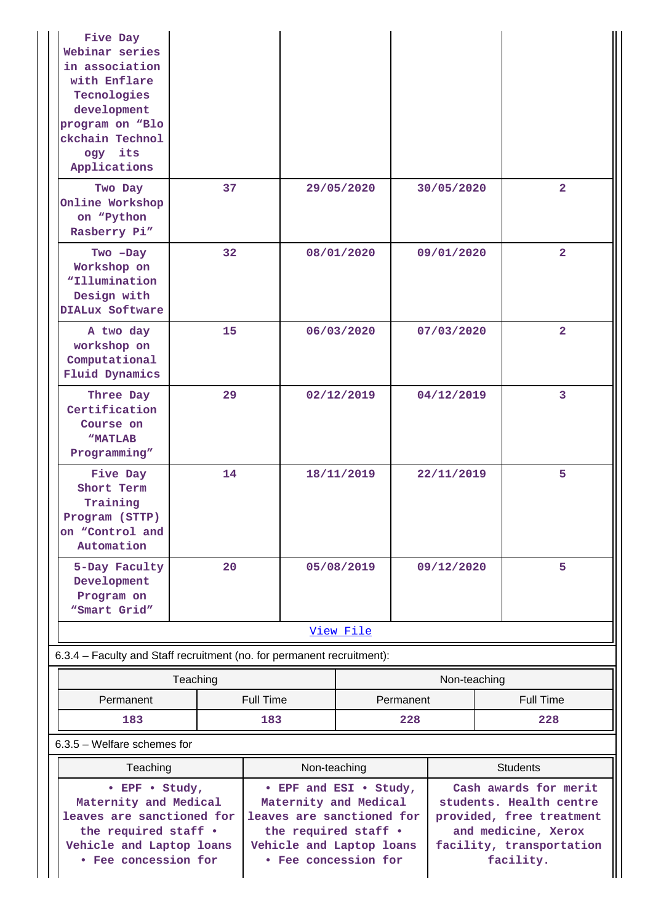| Five Day<br>Webinar series<br>in association<br>with Enflare<br>Tecnologies<br>development<br>program on "Blo<br>ckchain Technol<br>ogy its<br>Applications |                  |                                                                                                                                                          |            |           |              |                                                                                      |                                                      |
|-------------------------------------------------------------------------------------------------------------------------------------------------------------|------------------|----------------------------------------------------------------------------------------------------------------------------------------------------------|------------|-----------|--------------|--------------------------------------------------------------------------------------|------------------------------------------------------|
| Two Day<br>Online Workshop<br>on "Python<br>Rasberry Pi"                                                                                                    | 37               |                                                                                                                                                          | 29/05/2020 |           | 30/05/2020   |                                                                                      | $\overline{2}$                                       |
| Two -Day<br>Workshop on<br>"Illumination<br>Design with<br>DIALux Software                                                                                  | 32               |                                                                                                                                                          | 08/01/2020 |           | 09/01/2020   |                                                                                      | $\overline{2}$                                       |
| A two day<br>workshop on<br>Computational<br>Fluid Dynamics                                                                                                 | 15               |                                                                                                                                                          | 06/03/2020 |           | 07/03/2020   |                                                                                      | $\overline{2}$                                       |
| Three Day<br>Certification<br>Course on<br><b>"MATLAB</b><br>Programming"                                                                                   | 29               |                                                                                                                                                          | 02/12/2019 |           | 04/12/2019   |                                                                                      | 3                                                    |
| Five Day<br>Short Term<br>Training<br>Program (STTP)<br>on "Control and<br>Automation                                                                       | 14               |                                                                                                                                                          | 18/11/2019 |           | 22/11/2019   |                                                                                      | 5                                                    |
| 5-Day Faculty<br>Development<br>Program on<br>"Smart Grid"                                                                                                  | 20               |                                                                                                                                                          | 05/08/2019 |           | 09/12/2020   |                                                                                      | 5                                                    |
|                                                                                                                                                             |                  |                                                                                                                                                          | View File  |           |              |                                                                                      |                                                      |
| 6.3.4 - Faculty and Staff recruitment (no. for permanent recruitment):                                                                                      |                  |                                                                                                                                                          |            |           |              |                                                                                      |                                                      |
|                                                                                                                                                             | Teaching         |                                                                                                                                                          |            |           | Non-teaching |                                                                                      |                                                      |
| Permanent                                                                                                                                                   | <b>Full Time</b> |                                                                                                                                                          |            | Permanent |              |                                                                                      | <b>Full Time</b>                                     |
|                                                                                                                                                             | 183              |                                                                                                                                                          |            | 228       |              |                                                                                      | 228                                                  |
| $6.3.5$ – Welfare schemes for                                                                                                                               |                  |                                                                                                                                                          |            |           |              |                                                                                      |                                                      |
| Teaching                                                                                                                                                    |                  | Non-teaching                                                                                                                                             |            |           |              | <b>Students</b>                                                                      |                                                      |
| • EPF • Study,<br>Maternity and Medical<br>leaves are sanctioned for<br>the required staff .<br>Vehicle and Laptop loans<br>• Fee concession for            |                  | • EPF and ESI • Study,<br>Maternity and Medical<br>leaves are sanctioned for<br>the required staff .<br>Vehicle and Laptop loans<br>• Fee concession for |            |           |              | Cash awards for merit<br>students. Health centre<br>and medicine, Xerox<br>facility. | provided, free treatment<br>facility, transportation |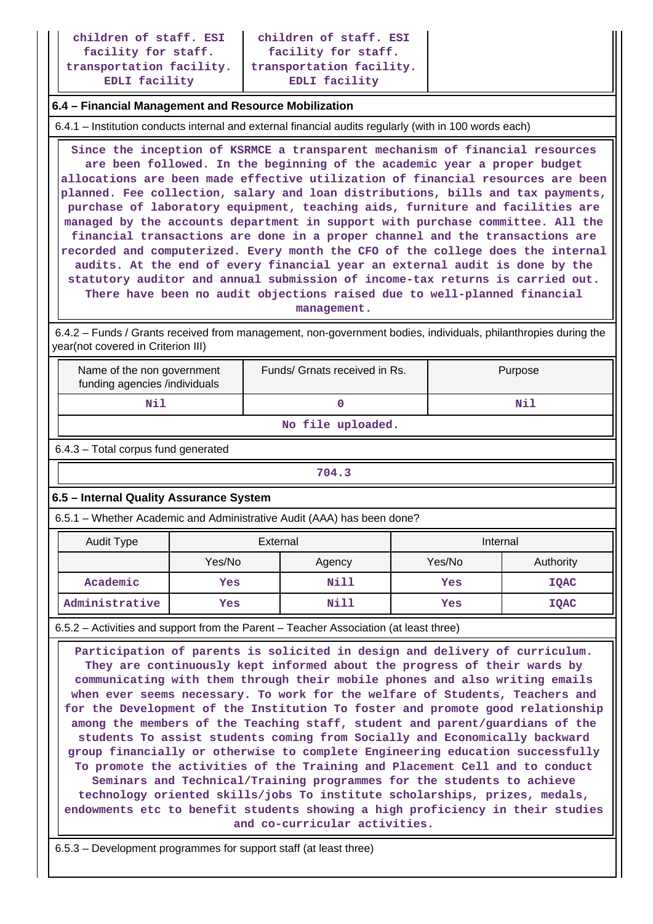### **6.4 – Financial Management and Resource Mobilization**

6.4.1 – Institution conducts internal and external financial audits regularly (with in 100 words each)

 **Since the inception of KSRMCE a transparent mechanism of financial resources are been followed. In the beginning of the academic year a proper budget allocations are been made effective utilization of financial resources are been planned. Fee collection, salary and loan distributions, bills and tax payments, purchase of laboratory equipment, teaching aids, furniture and facilities are managed by the accounts department in support with purchase committee. All the financial transactions are done in a proper channel and the transactions are recorded and computerized. Every month the CFO of the college does the internal audits. At the end of every financial year an external audit is done by the statutory auditor and annual submission of income-tax returns is carried out. There have been no audit objections raised due to well-planned financial management.**

 6.4.2 – Funds / Grants received from management, non-government bodies, individuals, philanthropies during the year(not covered in Criterion III)

| Name of the non government<br>funding agencies /individuals | Funds/ Grnats received in Rs. | Purpose |
|-------------------------------------------------------------|-------------------------------|---------|
|                                                             |                               | Νi      |

**No file uploaded.**

6.4.3 – Total corpus fund generated

| 704.3 |
|-------|
|-------|

## **6.5 – Internal Quality Assurance System**

6.5.1 – Whether Academic and Administrative Audit (AAA) has been done?

| Audit Type     | External |        | Internal |             |
|----------------|----------|--------|----------|-------------|
|                | Yes/No   | Agency | Yes/No   | Authority   |
| Academic       | Yes      | Nill   | Yes      | <b>IQAC</b> |
| Administrative | Yes      | Nill   | Yes      | IQAC        |

6.5.2 – Activities and support from the Parent – Teacher Association (at least three)

 **Participation of parents is solicited in design and delivery of curriculum. They are continuously kept informed about the progress of their wards by communicating with them through their mobile phones and also writing emails when ever seems necessary. To work for the welfare of Students, Teachers and for the Development of the Institution To foster and promote good relationship among the members of the Teaching staff, student and parent/guardians of the students To assist students coming from Socially and Economically backward group financially or otherwise to complete Engineering education successfully To promote the activities of the Training and Placement Cell and to conduct Seminars and Technical/Training programmes for the students to achieve technology oriented skills/jobs To institute scholarships, prizes, medals, endowments etc to benefit students showing a high proficiency in their studies and co-curricular activities.**

6.5.3 – Development programmes for support staff (at least three)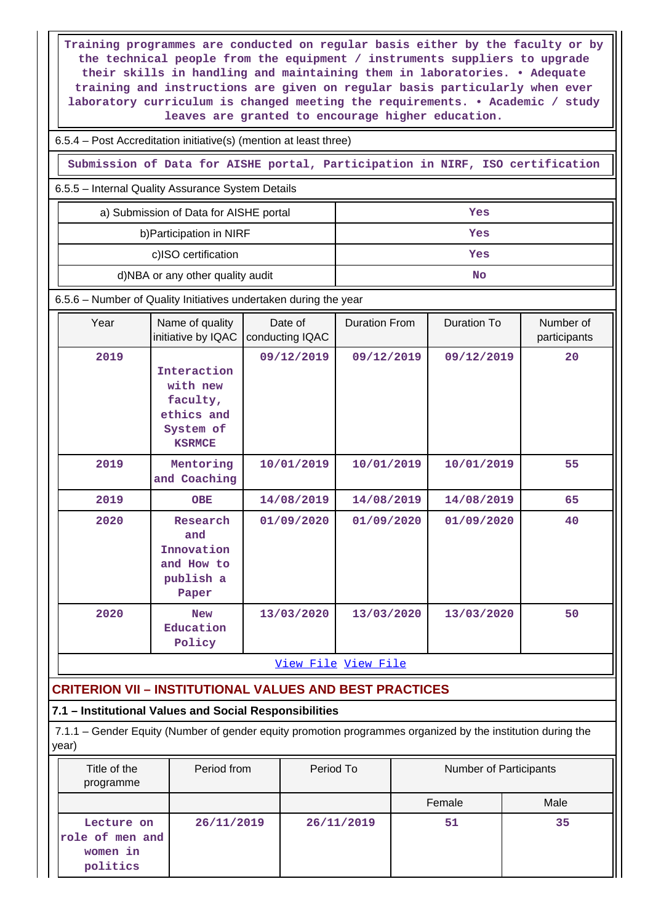**Training programmes are conducted on regular basis either by the faculty or by the technical people from the equipment / instruments suppliers to upgrade their skills in handling and maintaining them in laboratories. • Adequate training and instructions are given on regular basis particularly when ever laboratory curriculum is changed meeting the requirements. • Academic / study leaves are granted to encourage higher education.**

6.5.4 – Post Accreditation initiative(s) (mention at least three)

**Submission of Data for AISHE portal, Participation in NIRF, ISO certification**

6.5.5 – Internal Quality Assurance System Details

| a) Submission of Data for AISHE portal | Yes |
|----------------------------------------|-----|
| b) Participation in NIRF               | Yes |
| c)ISO certification                    | Yes |
| d)NBA or any other quality audit       | No  |

6.5.6 – Number of Quality Initiatives undertaken during the year

| Year | Name of quality<br>initiative by IQAC                                           | Date of<br>conducting IQAC | <b>Duration From</b> | Duration To | Number of<br>participants |
|------|---------------------------------------------------------------------------------|----------------------------|----------------------|-------------|---------------------------|
| 2019 | Interaction<br>with new<br>faculty,<br>ethics and<br>System of<br><b>KSRMCE</b> | 09/12/2019                 | 09/12/2019           | 09/12/2019  | 20                        |
| 2019 | Mentoring<br>and Coaching                                                       | 10/01/2019                 | 10/01/2019           | 10/01/2019  | 55                        |
| 2019 | <b>OBE</b>                                                                      | 14/08/2019                 | 14/08/2019           | 14/08/2019  | 65                        |
| 2020 | Research<br>and<br>Innovation<br>and How to<br>publish a<br>Paper               | 01/09/2020                 | 01/09/2020           | 01/09/2020  | 40                        |
| 2020 | <b>New</b><br>Education<br>Policy                                               | 13/03/2020                 | 13/03/2020           | 13/03/2020  | 50                        |

[View File](https://assessmentonline.naac.gov.in/public/Postacc/Quality_Initiatives_B/8587_Quality_Initiatives_B_1609311182.xlsx) [View File](https://assessmentonline.naac.gov.in/public/Postacc/Quality_Initiatives_B/8587_Quality_Initiatives_B_1609311182.xlsx)

# **CRITERION VII – INSTITUTIONAL VALUES AND BEST PRACTICES**

## **7.1 – Institutional Values and Social Responsibilities**

 7.1.1 – Gender Equity (Number of gender equity promotion programmes organized by the institution during the year)

| Title of the<br>programme                             | Period from | Period To  | Number of Participants |      |
|-------------------------------------------------------|-------------|------------|------------------------|------|
|                                                       |             |            | Female                 | Male |
| Lecture on<br>role of men and<br>women in<br>politics | 26/11/2019  | 26/11/2019 | 51                     | 35   |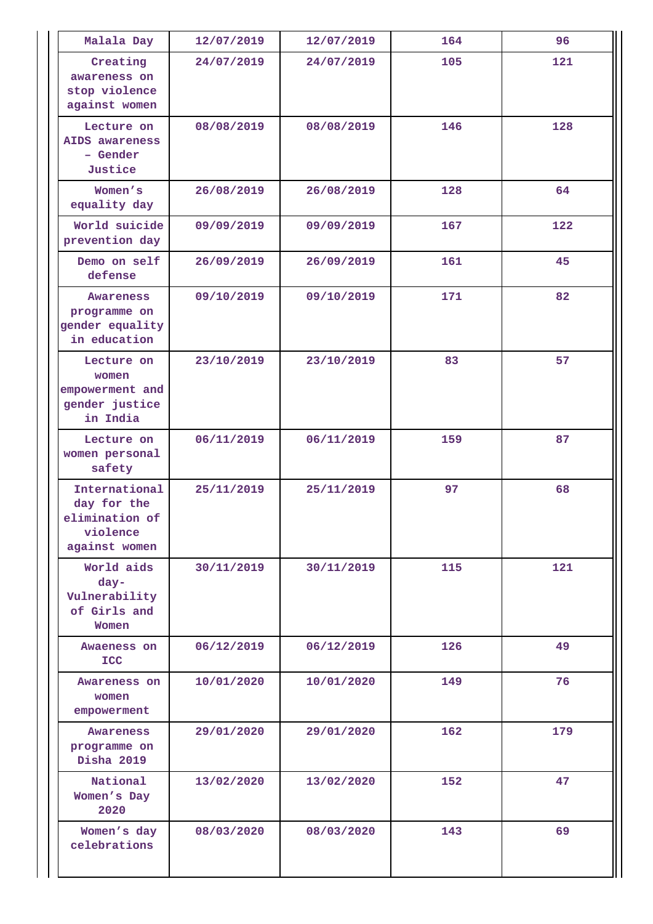| Malala Day                                                                  | 12/07/2019 | 12/07/2019 | 164 | 96  |
|-----------------------------------------------------------------------------|------------|------------|-----|-----|
| Creating<br>awareness on<br>stop violence<br>against women                  | 24/07/2019 | 24/07/2019 | 105 | 121 |
| Lecture on<br>AIDS awareness<br>- Gender<br>Justice                         | 08/08/2019 | 08/08/2019 | 146 | 128 |
| Women's<br>equality day                                                     | 26/08/2019 | 26/08/2019 | 128 | 64  |
| World suicide<br>prevention day                                             | 09/09/2019 | 09/09/2019 | 167 | 122 |
| Demo on self<br>defense                                                     | 26/09/2019 | 26/09/2019 | 161 | 45  |
| Awareness<br>programme on<br>gender equality<br>in education                | 09/10/2019 | 09/10/2019 | 171 | 82  |
| Lecture on<br>women<br>empowerment and<br>gender justice<br>in India        | 23/10/2019 | 23/10/2019 | 83  | 57  |
| Lecture on<br>women personal<br>safety                                      | 06/11/2019 | 06/11/2019 | 159 | 87  |
| International<br>day for the<br>elimination of<br>violence<br>against women | 25/11/2019 | 25/11/2019 | 97  | 68  |
| World aids<br>day-<br>Vulnerability<br>of Girls and<br>Women                | 30/11/2019 | 30/11/2019 | 115 | 121 |
| Awaeness on<br><b>ICC</b>                                                   | 06/12/2019 | 06/12/2019 | 126 | 49  |
| Awareness on<br>women<br>empowerment                                        | 10/01/2020 | 10/01/2020 | 149 | 76  |
| Awareness<br>programme on<br><b>Disha 2019</b>                              | 29/01/2020 | 29/01/2020 | 162 | 179 |
| National<br>Women's Day<br>2020                                             | 13/02/2020 | 13/02/2020 | 152 | 47  |
| Women's day<br>celebrations                                                 | 08/03/2020 | 08/03/2020 | 143 | 69  |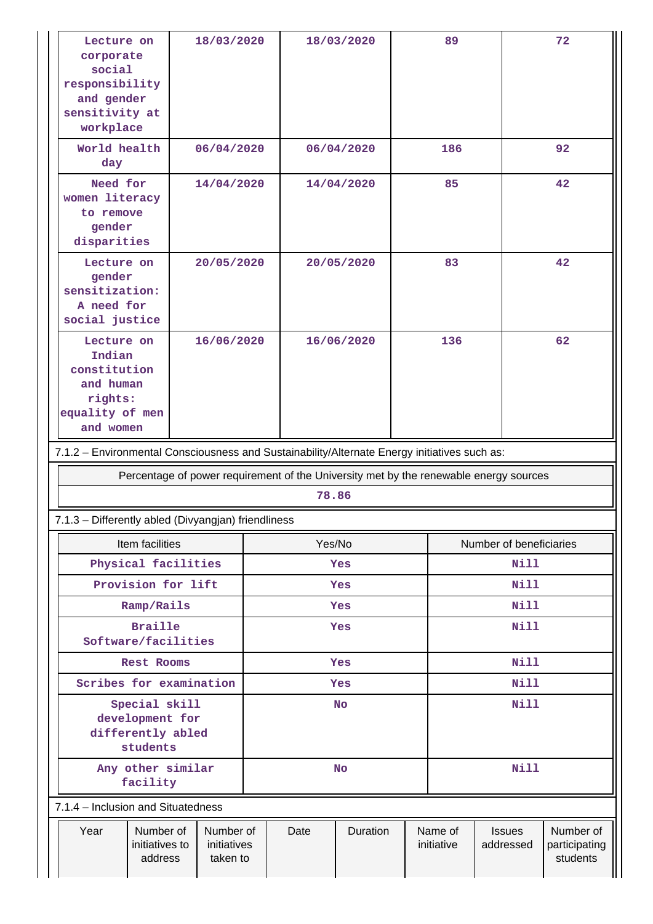| corporate<br>social<br>responsibility<br>and gender<br>sensitivity at<br>workplace    | Lecture on                                                                                                 | 18/03/2020                           |            |            | 18/03/2020 |             | 89                    |                            | 72                                     |    |
|---------------------------------------------------------------------------------------|------------------------------------------------------------------------------------------------------------|--------------------------------------|------------|------------|------------|-------------|-----------------------|----------------------------|----------------------------------------|----|
| World health<br>day                                                                   |                                                                                                            | 06/04/2020                           |            |            | 06/04/2020 | 186         |                       |                            | 92                                     |    |
| Need for<br>women literacy<br>to remove<br>gender<br>disparities                      |                                                                                                            | 14/04/2020                           |            | 14/04/2020 |            |             |                       | 85                         |                                        | 42 |
| gender<br>sensitization:<br>A need for<br>social justice                              | Lecture on                                                                                                 | 20/05/2020                           |            |            | 20/05/2020 | 83          |                       |                            | 42                                     |    |
|                                                                                       | Lecture on<br>16/06/2020<br>Indian<br>constitution<br>and human<br>rights:<br>equality of men<br>and women |                                      |            |            | 16/06/2020 | 136         |                       |                            | 62                                     |    |
|                                                                                       | 7.1.2 - Environmental Consciousness and Sustainability/Alternate Energy initiatives such as:               |                                      |            |            |            |             |                       |                            |                                        |    |
| Percentage of power requirement of the University met by the renewable energy sources |                                                                                                            |                                      |            |            |            |             |                       |                            |                                        |    |
|                                                                                       |                                                                                                            |                                      |            | 78.86      |            |             |                       |                            |                                        |    |
|                                                                                       | 7.1.3 - Differently abled (Divyangjan) friendliness                                                        |                                      |            |            |            |             |                       |                            |                                        |    |
|                                                                                       | Item facilities                                                                                            |                                      |            | Yes/No     |            |             |                       | Number of beneficiaries    |                                        |    |
|                                                                                       | Physical facilities                                                                                        |                                      |            |            | Yes        |             |                       | Nill                       |                                        |    |
|                                                                                       | Provision for lift                                                                                         |                                      | Yes        |            |            |             | <b>Nill</b>           |                            |                                        |    |
|                                                                                       | Ramp/Rails                                                                                                 |                                      | <b>Yes</b> |            |            |             | <b>Nill</b>           |                            |                                        |    |
|                                                                                       | <b>Braille</b><br>Software/facilities                                                                      |                                      | Yes        |            |            | <b>Nill</b> |                       |                            |                                        |    |
|                                                                                       | Rest Rooms                                                                                                 |                                      | Yes        |            |            | Nill        |                       |                            |                                        |    |
|                                                                                       | Scribes for examination                                                                                    |                                      | Yes        |            |            |             | Nill                  |                            |                                        |    |
| Special skill<br>development for<br>differently abled<br>students                     |                                                                                                            | <b>No</b>                            |            | Nill       |            |             |                       |                            |                                        |    |
|                                                                                       | Any other similar<br>facility                                                                              |                                      | <b>No</b>  |            | Nill       |             |                       |                            |                                        |    |
|                                                                                       | 7.1.4 - Inclusion and Situatedness                                                                         |                                      |            |            |            |             |                       |                            |                                        |    |
| Year                                                                                  | Number of<br>initiatives to<br>address                                                                     | Number of<br>initiatives<br>taken to |            | Date       | Duration   |             | Name of<br>initiative | <b>Issues</b><br>addressed | Number of<br>participating<br>students |    |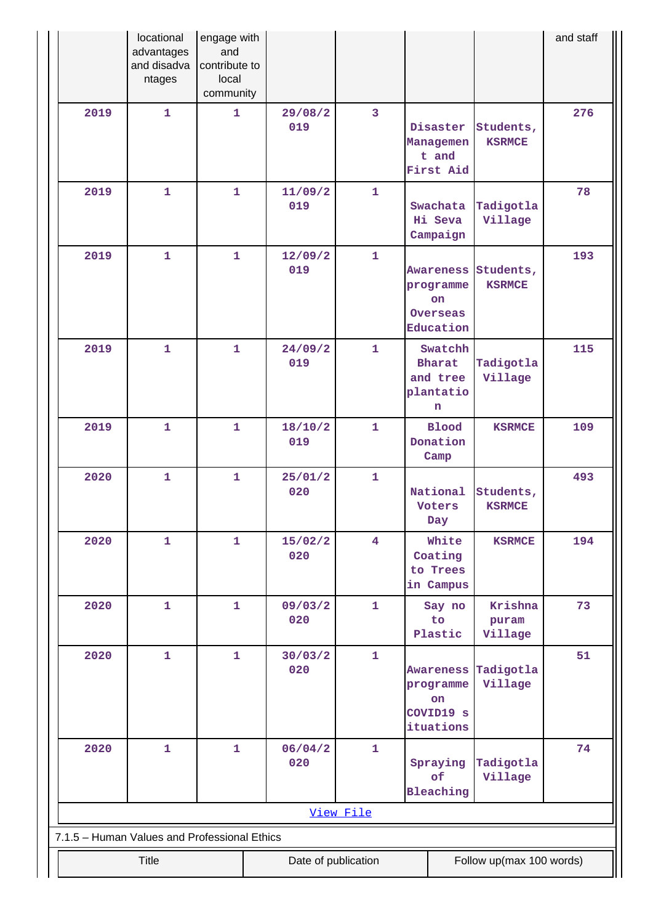|      | locational<br>advantages<br>and disadva<br>ntages | engage with<br>and<br>contribute to<br>local<br>community |                     |                         |                                                                     |                             | and staff |
|------|---------------------------------------------------|-----------------------------------------------------------|---------------------|-------------------------|---------------------------------------------------------------------|-----------------------------|-----------|
| 2019 | $\mathbf{1}$                                      | $\mathbf{1}$                                              | 29/08/2<br>019      | 3                       | Disaster<br>Managemen<br>t and<br>First Aid                         | Students,<br><b>KSRMCE</b>  | 276       |
| 2019 | 1                                                 | 1                                                         | 11/09/2<br>019      | $\mathbf{1}$            | Swachata<br>Hi Seva<br>Campaign                                     | Tadigotla<br>Village        | 78        |
| 2019 | $\mathbf{1}$                                      | $\mathbf{1}$                                              | 12/09/2<br>019      | $\mathbf{1}$            | <b>Awareness</b><br>programme<br><b>on</b><br>Overseas<br>Education | Students,<br><b>KSRMCE</b>  | 193       |
| 2019 | $\mathbf{1}$                                      | $\mathbf{1}$                                              | 24/09/2<br>019      | $\mathbf{1}$            | Swatchh<br><b>Bharat</b><br>and tree<br>plantatio<br>n              | Tadigotla<br>Village        | 115       |
| 2019 | 1                                                 | $\mathbf{1}$                                              | 18/10/2<br>019      | $\mathbf{1}$            | <b>Blood</b><br>Donation<br>Camp                                    | <b>KSRMCE</b>               | 109       |
| 2020 | $\mathbf{1}$                                      | $\mathbf{1}$                                              | 25/01/2<br>020      | $\mathbf{1}$            | National<br><b>Voters</b><br>Day                                    | Students,<br><b>KSRMCE</b>  | 493       |
| 2020 | 1                                                 | $\mathbf{1}$                                              | 15/02/2<br>020      | $\overline{\mathbf{4}}$ | White<br>Coating<br>to Trees<br>in Campus                           | <b>KSRMCE</b>               | 194       |
| 2020 | 1                                                 | $\mathbf{1}$                                              | 09/03/2<br>020      | $\mathbf{1}$            | Say no<br>to<br>Plastic                                             | Krishna<br>puram<br>Village | 73        |
| 2020 | $\mathbf{1}$                                      | $\mathbf{1}$                                              | 30/03/2<br>020      | $\mathbf{1}$            | Awareness<br>programme<br>on<br>COVID19 s<br>ituations              | Tadigotla<br>Village        | 51        |
| 2020 | 1                                                 | $\mathbf{1}$                                              | 06/04/2<br>020      | $\mathbf{1}$            | Spraying<br>of<br>Bleaching                                         | Tadigotla<br>Village        | 74        |
|      | View File                                         |                                                           |                     |                         |                                                                     |                             |           |
|      | 7.1.5 - Human Values and Professional Ethics      |                                                           |                     |                         |                                                                     |                             |           |
|      | Title                                             |                                                           | Date of publication |                         |                                                                     | Follow up(max 100 words)    |           |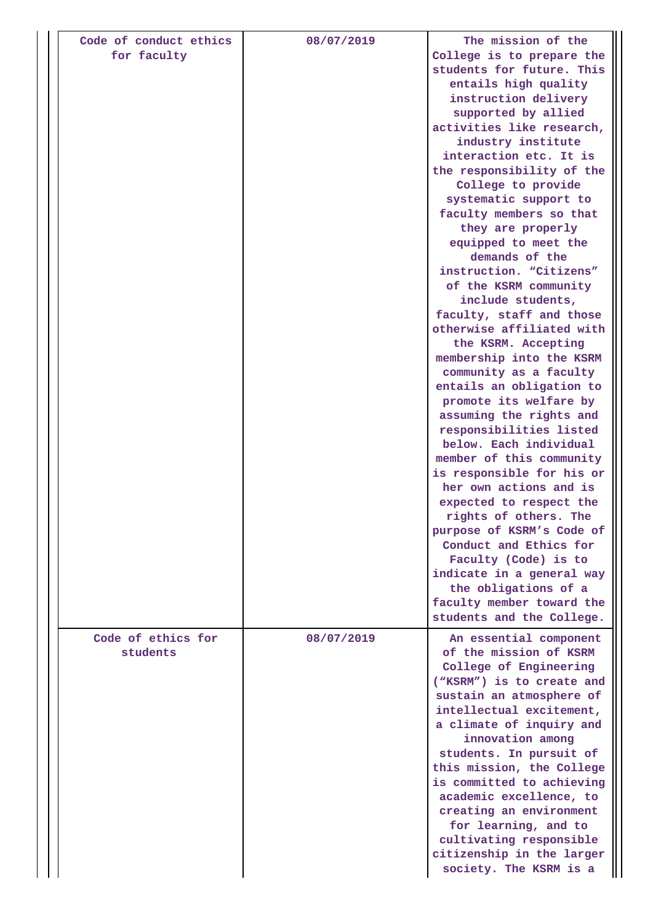| Code of conduct ethics<br>for faculty | 08/07/2019 | The mission of the<br>College is to prepare the<br>students for future. This<br>entails high quality<br>instruction delivery<br>supported by allied<br>activities like research,<br>industry institute<br>interaction etc. It is<br>the responsibility of the<br>College to provide<br>systematic support to<br>faculty members so that<br>they are properly<br>equipped to meet the<br>demands of the<br>instruction. "Citizens"<br>of the KSRM community<br>include students,<br>faculty, staff and those<br>otherwise affiliated with<br>the KSRM. Accepting<br>membership into the KSRM<br>community as a faculty<br>entails an obligation to<br>promote its welfare by<br>assuming the rights and<br>responsibilities listed<br>below. Each individual<br>member of this community<br>is responsible for his or<br>her own actions and is<br>expected to respect the<br>rights of others. The<br>purpose of KSRM's Code of<br>Conduct and Ethics for<br>Faculty (Code) is to<br>indicate in a general way<br>the obligations of a<br>faculty member toward the<br>students and the College. |
|---------------------------------------|------------|--------------------------------------------------------------------------------------------------------------------------------------------------------------------------------------------------------------------------------------------------------------------------------------------------------------------------------------------------------------------------------------------------------------------------------------------------------------------------------------------------------------------------------------------------------------------------------------------------------------------------------------------------------------------------------------------------------------------------------------------------------------------------------------------------------------------------------------------------------------------------------------------------------------------------------------------------------------------------------------------------------------------------------------------------------------------------------------------------|
| Code of ethics for<br>students        | 08/07/2019 | An essential component<br>of the mission of KSRM<br>College of Engineering<br>("KSRM") is to create and<br>sustain an atmosphere of<br>intellectual excitement,<br>a climate of inquiry and<br>innovation among<br>students. In pursuit of<br>this mission, the College<br>is committed to achieving<br>academic excellence, to<br>creating an environment<br>for learning, and to<br>cultivating responsible<br>citizenship in the larger<br>society. The KSRM is a                                                                                                                                                                                                                                                                                                                                                                                                                                                                                                                                                                                                                             |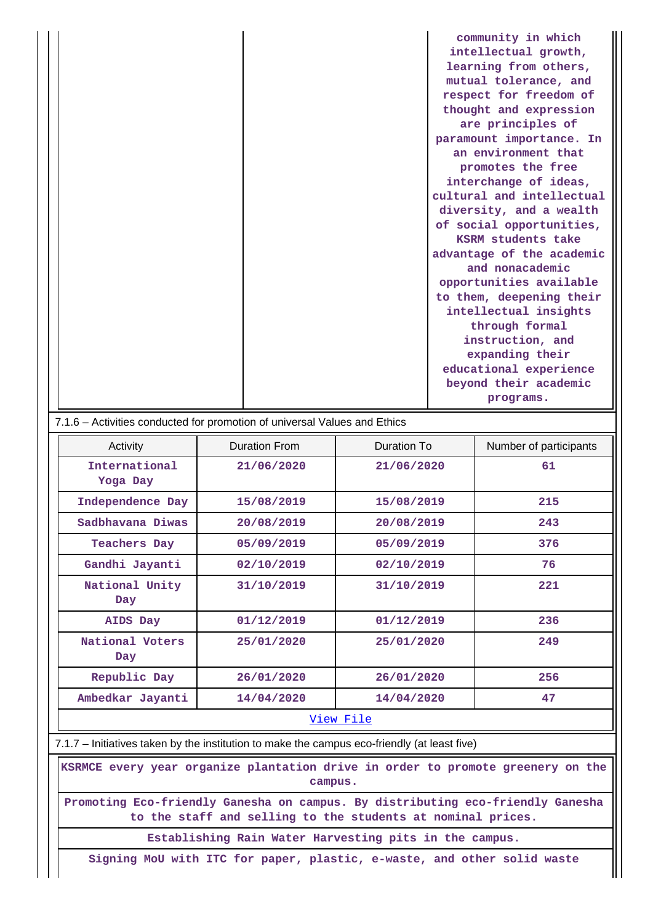| community in which        |
|---------------------------|
| intellectual growth,      |
| learning from others,     |
| mutual tolerance, and     |
| respect for freedom of    |
| thought and expression    |
| are principles of         |
| paramount importance. In  |
| an environment that       |
| promotes the free         |
| interchange of ideas,     |
| cultural and intellectual |
| diversity, and a wealth   |
| of social opportunities,  |
| KSRM students take        |
| advantage of the academic |
| and nonacademic           |
| opportunities available   |
| to them, deepening their  |
| intellectual insights     |
| through formal            |
| instruction, and          |
| expanding their           |
| educational experience    |
| beyond their academic     |
| programs.                 |

| 7.1.6 – Activities conducted for promotion of universal Values and Ethics |               |             |                        |  |  |  |  |  |  |
|---------------------------------------------------------------------------|---------------|-------------|------------------------|--|--|--|--|--|--|
| Activity                                                                  | Duration From | Duration To | Number of participants |  |  |  |  |  |  |
| International<br>Yoga Day                                                 | 21/06/2020    | 21/06/2020  | 61                     |  |  |  |  |  |  |
| Independence Day                                                          | 15/08/2019    | 15/08/2019  | 215                    |  |  |  |  |  |  |
| Sadbhavana Diwas                                                          | 20/08/2019    | 20/08/2019  | 243<br>376             |  |  |  |  |  |  |
| Teachers Day                                                              | 05/09/2019    | 05/09/2019  |                        |  |  |  |  |  |  |
| Gandhi Jayanti                                                            | 02/10/2019    | 02/10/2019  | 76                     |  |  |  |  |  |  |
| National Unity<br>Day                                                     | 31/10/2019    | 31/10/2019  | 221                    |  |  |  |  |  |  |
| AIDS Day                                                                  | 01/12/2019    | 01/12/2019  | 236                    |  |  |  |  |  |  |
| National Voters<br>Day                                                    | 25/01/2020    | 25/01/2020  | 249                    |  |  |  |  |  |  |
| Republic Day                                                              | 26/01/2020    |             | 256                    |  |  |  |  |  |  |
| Ambedkar Jayanti                                                          | 14/04/2020    | 14/04/2020  | 47                     |  |  |  |  |  |  |
| <u>View File</u>                                                          |               |             |                        |  |  |  |  |  |  |

7.1.7 – Initiatives taken by the institution to make the campus eco-friendly (at least five)

 **KSRMCE every year organize plantation drive in order to promote greenery on the campus.**

**Promoting Eco-friendly Ganesha on campus. By distributing eco-friendly Ganesha to the staff and selling to the students at nominal prices.**

**Establishing Rain Water Harvesting pits in the campus.**

**Signing MoU with ITC for paper, plastic, e-waste, and other solid waste**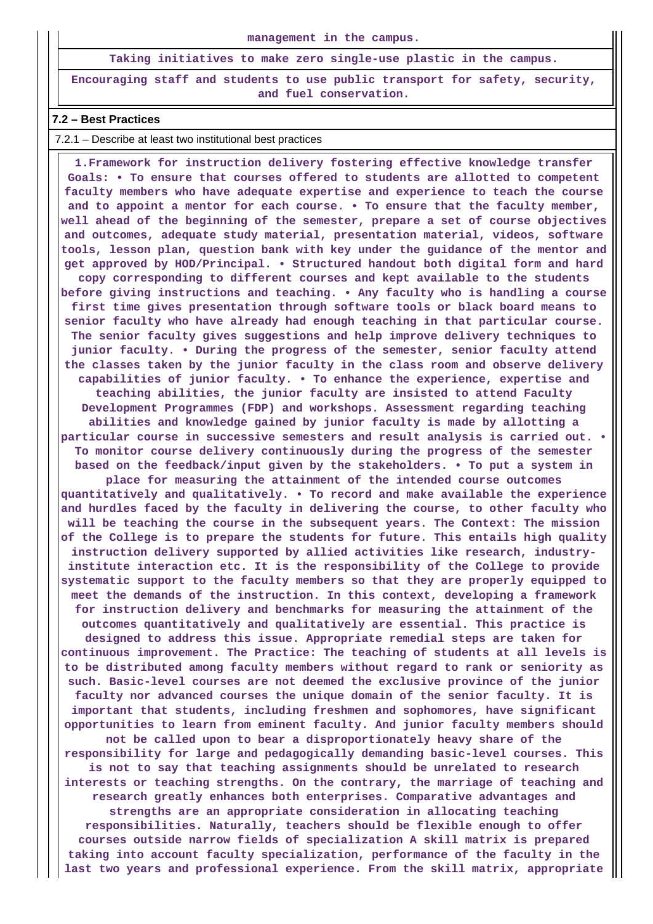#### **management in the campus.**

**Taking initiatives to make zero single-use plastic in the campus.**

**Encouraging staff and students to use public transport for safety, security, and fuel conservation.**

#### **7.2 – Best Practices**

7.2.1 – Describe at least two institutional best practices

 **1.Framework for instruction delivery fostering effective knowledge transfer Goals: • To ensure that courses offered to students are allotted to competent faculty members who have adequate expertise and experience to teach the course and to appoint a mentor for each course. • To ensure that the faculty member, well ahead of the beginning of the semester, prepare a set of course objectives and outcomes, adequate study material, presentation material, videos, software tools, lesson plan, question bank with key under the guidance of the mentor and get approved by HOD/Principal. • Structured handout both digital form and hard copy corresponding to different courses and kept available to the students before giving instructions and teaching. • Any faculty who is handling a course first time gives presentation through software tools or black board means to senior faculty who have already had enough teaching in that particular course. The senior faculty gives suggestions and help improve delivery techniques to junior faculty. • During the progress of the semester, senior faculty attend the classes taken by the junior faculty in the class room and observe delivery capabilities of junior faculty. • To enhance the experience, expertise and teaching abilities, the junior faculty are insisted to attend Faculty Development Programmes (FDP) and workshops. Assessment regarding teaching abilities and knowledge gained by junior faculty is made by allotting a particular course in successive semesters and result analysis is carried out. • To monitor course delivery continuously during the progress of the semester based on the feedback/input given by the stakeholders. • To put a system in place for measuring the attainment of the intended course outcomes quantitatively and qualitatively. • To record and make available the experience and hurdles faced by the faculty in delivering the course, to other faculty who will be teaching the course in the subsequent years. The Context: The mission of the College is to prepare the students for future. This entails high quality instruction delivery supported by allied activities like research, industryinstitute interaction etc. It is the responsibility of the College to provide systematic support to the faculty members so that they are properly equipped to meet the demands of the instruction. In this context, developing a framework for instruction delivery and benchmarks for measuring the attainment of the outcomes quantitatively and qualitatively are essential. This practice is designed to address this issue. Appropriate remedial steps are taken for continuous improvement. The Practice: The teaching of students at all levels is to be distributed among faculty members without regard to rank or seniority as such. Basic-level courses are not deemed the exclusive province of the junior faculty nor advanced courses the unique domain of the senior faculty. It is important that students, including freshmen and sophomores, have significant opportunities to learn from eminent faculty. And junior faculty members should not be called upon to bear a disproportionately heavy share of the responsibility for large and pedagogically demanding basic-level courses. This is not to say that teaching assignments should be unrelated to research interests or teaching strengths. On the contrary, the marriage of teaching and research greatly enhances both enterprises. Comparative advantages and strengths are an appropriate consideration in allocating teaching responsibilities. Naturally, teachers should be flexible enough to offer courses outside narrow fields of specialization A skill matrix is prepared taking into account faculty specialization, performance of the faculty in the last two years and professional experience. From the skill matrix, appropriate**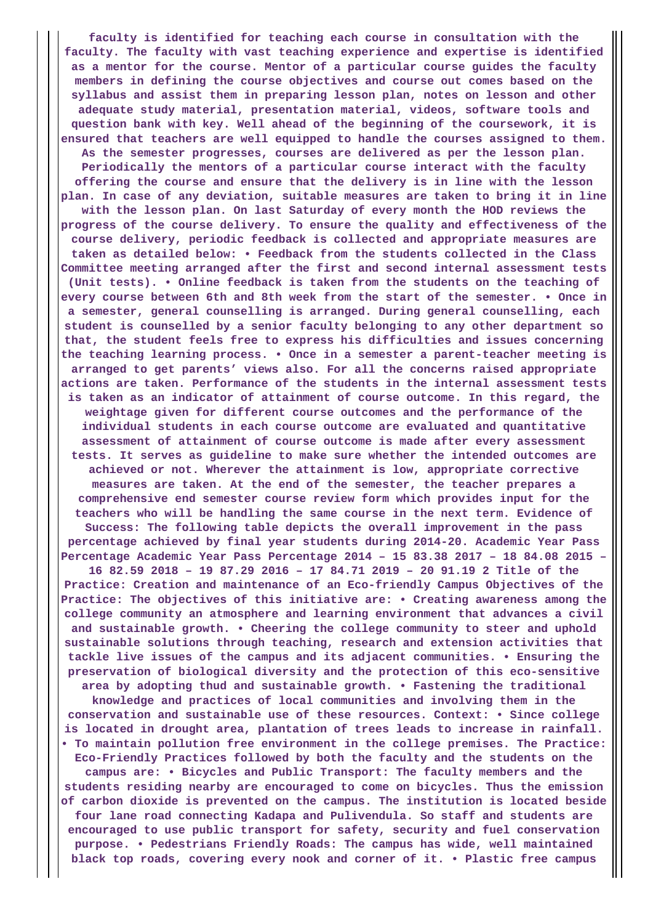**faculty is identified for teaching each course in consultation with the faculty. The faculty with vast teaching experience and expertise is identified as a mentor for the course. Mentor of a particular course guides the faculty members in defining the course objectives and course out comes based on the syllabus and assist them in preparing lesson plan, notes on lesson and other adequate study material, presentation material, videos, software tools and question bank with key. Well ahead of the beginning of the coursework, it is ensured that teachers are well equipped to handle the courses assigned to them. As the semester progresses, courses are delivered as per the lesson plan. Periodically the mentors of a particular course interact with the faculty offering the course and ensure that the delivery is in line with the lesson plan. In case of any deviation, suitable measures are taken to bring it in line with the lesson plan. On last Saturday of every month the HOD reviews the progress of the course delivery. To ensure the quality and effectiveness of the course delivery, periodic feedback is collected and appropriate measures are taken as detailed below: • Feedback from the students collected in the Class Committee meeting arranged after the first and second internal assessment tests (Unit tests). • Online feedback is taken from the students on the teaching of every course between 6th and 8th week from the start of the semester. • Once in a semester, general counselling is arranged. During general counselling, each student is counselled by a senior faculty belonging to any other department so that, the student feels free to express his difficulties and issues concerning the teaching learning process. • Once in a semester a parent-teacher meeting is arranged to get parents' views also. For all the concerns raised appropriate actions are taken. Performance of the students in the internal assessment tests is taken as an indicator of attainment of course outcome. In this regard, the weightage given for different course outcomes and the performance of the individual students in each course outcome are evaluated and quantitative assessment of attainment of course outcome is made after every assessment tests. It serves as guideline to make sure whether the intended outcomes are achieved or not. Wherever the attainment is low, appropriate corrective measures are taken. At the end of the semester, the teacher prepares a comprehensive end semester course review form which provides input for the teachers who will be handling the same course in the next term. Evidence of Success: The following table depicts the overall improvement in the pass percentage achieved by final year students during 2014-20. Academic Year Pass Percentage Academic Year Pass Percentage 2014 – 15 83.38 2017 – 18 84.08 2015 – 16 82.59 2018 – 19 87.29 2016 – 17 84.71 2019 – 20 91.19 2 Title of the Practice: Creation and maintenance of an Eco-friendly Campus Objectives of the Practice: The objectives of this initiative are: • Creating awareness among the college community an atmosphere and learning environment that advances a civil and sustainable growth. • Cheering the college community to steer and uphold sustainable solutions through teaching, research and extension activities that tackle live issues of the campus and its adjacent communities. • Ensuring the preservation of biological diversity and the protection of this eco-sensitive area by adopting thud and sustainable growth. • Fastening the traditional knowledge and practices of local communities and involving them in the conservation and sustainable use of these resources. Context: • Since college is located in drought area, plantation of trees leads to increase in rainfall. • To maintain pollution free environment in the college premises. The Practice: Eco-Friendly Practices followed by both the faculty and the students on the campus are: • Bicycles and Public Transport: The faculty members and the students residing nearby are encouraged to come on bicycles. Thus the emission of carbon dioxide is prevented on the campus. The institution is located beside four lane road connecting Kadapa and Pulivendula. So staff and students are encouraged to use public transport for safety, security and fuel conservation purpose. • Pedestrians Friendly Roads: The campus has wide, well maintained black top roads, covering every nook and corner of it. • Plastic free campus**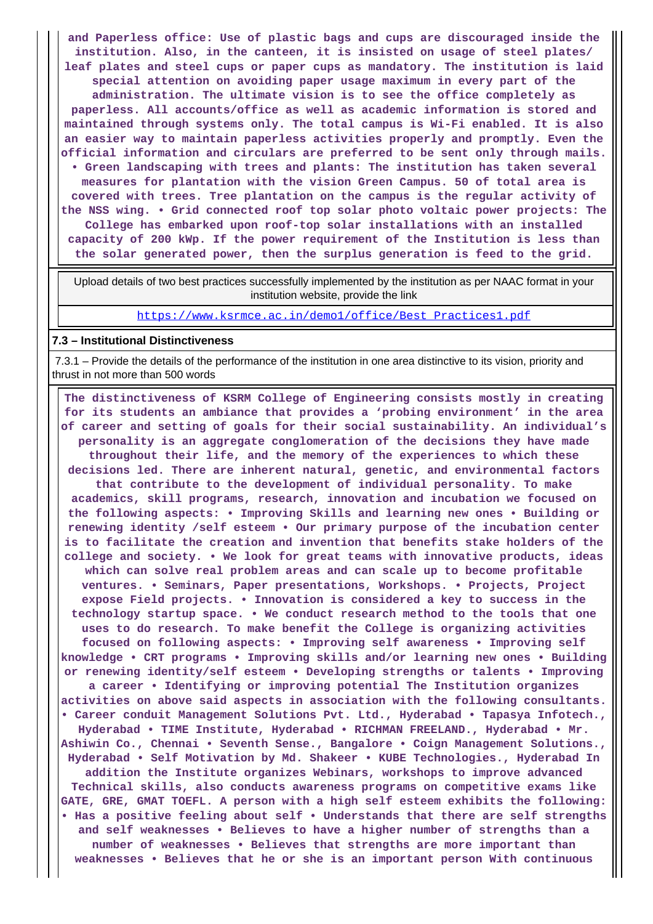**and Paperless office: Use of plastic bags and cups are discouraged inside the institution. Also, in the canteen, it is insisted on usage of steel plates/ leaf plates and steel cups or paper cups as mandatory. The institution is laid special attention on avoiding paper usage maximum in every part of the administration. The ultimate vision is to see the office completely as paperless. All accounts/office as well as academic information is stored and maintained through systems only. The total campus is Wi-Fi enabled. It is also an easier way to maintain paperless activities properly and promptly. Even the official information and circulars are preferred to be sent only through mails. • Green landscaping with trees and plants: The institution has taken several measures for plantation with the vision Green Campus. 50 of total area is covered with trees. Tree plantation on the campus is the regular activity of the NSS wing. • Grid connected roof top solar photo voltaic power projects: The College has embarked upon roof-top solar installations with an installed capacity of 200 kWp. If the power requirement of the Institution is less than the solar generated power, then the surplus generation is feed to the grid.**

 Upload details of two best practices successfully implemented by the institution as per NAAC format in your institution website, provide the link

[https://www.ksrmce.ac.in/demo1/office/Best\\_Practices1.pdf](https://www.ksrmce.ac.in/demo1/office/Best_Practices1.pdf)

#### **7.3 – Institutional Distinctiveness**

 7.3.1 – Provide the details of the performance of the institution in one area distinctive to its vision, priority and thrust in not more than 500 words

 **The distinctiveness of KSRM College of Engineering consists mostly in creating for its students an ambiance that provides a 'probing environment' in the area of career and setting of goals for their social sustainability. An individual's personality is an aggregate conglomeration of the decisions they have made throughout their life, and the memory of the experiences to which these decisions led. There are inherent natural, genetic, and environmental factors that contribute to the development of individual personality. To make academics, skill programs, research, innovation and incubation we focused on the following aspects: • Improving Skills and learning new ones • Building or renewing identity /self esteem • Our primary purpose of the incubation center is to facilitate the creation and invention that benefits stake holders of the college and society. • We look for great teams with innovative products, ideas which can solve real problem areas and can scale up to become profitable ventures. • Seminars, Paper presentations, Workshops. • Projects, Project expose Field projects. • Innovation is considered a key to success in the technology startup space. • We conduct research method to the tools that one uses to do research. To make benefit the College is organizing activities focused on following aspects: • Improving self awareness • Improving self knowledge • CRT programs • Improving skills and/or learning new ones • Building or renewing identity/self esteem • Developing strengths or talents • Improving a career • Identifying or improving potential The Institution organizes activities on above said aspects in association with the following consultants. • Career conduit Management Solutions Pvt. Ltd., Hyderabad • Tapasya Infotech., Hyderabad • TIME Institute, Hyderabad • RICHMAN FREELAND., Hyderabad • Mr. Ashiwin Co., Chennai • Seventh Sense., Bangalore • Coign Management Solutions., Hyderabad • Self Motivation by Md. Shakeer • KUBE Technologies., Hyderabad In addition the Institute organizes Webinars, workshops to improve advanced Technical skills, also conducts awareness programs on competitive exams like GATE, GRE, GMAT TOEFL. A person with a high self esteem exhibits the following: • Has a positive feeling about self • Understands that there are self strengths and self weaknesses • Believes to have a higher number of strengths than a number of weaknesses • Believes that strengths are more important than weaknesses • Believes that he or she is an important person With continuous**